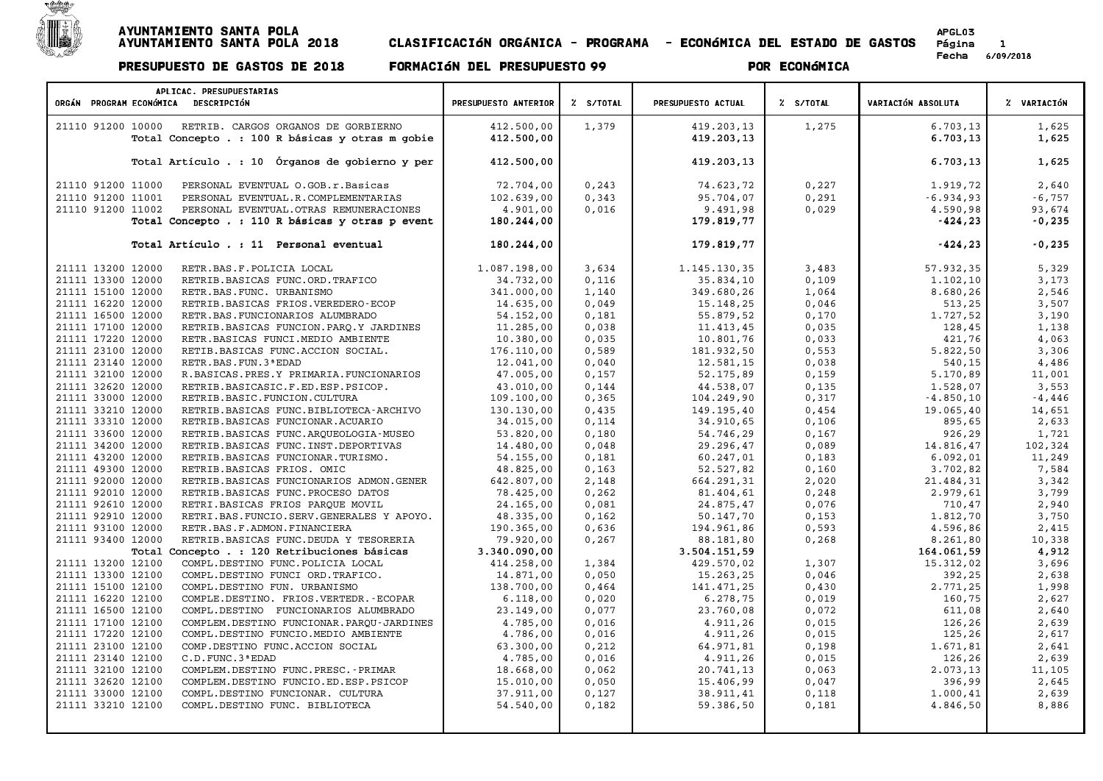

| APLICAC. PRESUPUESTARIAS                                      |                      |           |                    |           |                           |             |
|---------------------------------------------------------------|----------------------|-----------|--------------------|-----------|---------------------------|-------------|
| ORGÁN PROGRAM ECONÓMICA DESCRIPCIÓN                           | PRESUPUESTO ANTERIOR | Z S/TOTAL | PRESUPUESTO ACTUAL | % S/TOTAL | <b>VARIACIÓN ABSOLUTA</b> | % VARIACIÓN |
| 21110 91200 10000<br>RETRIB. CARGOS ORGANOS DE GORBIERNO      | 412.500,00           | 1,379     | 419.203,13         | 1,275     | 6.703, 13                 | 1,625       |
| Total Concepto . : 100 R básicas y otras m gobie              | 412.500,00           |           | 419.203,13         |           | 6.703, 13                 | 1,625       |
|                                                               |                      |           |                    |           |                           |             |
| Total Artículo . : 10 Órganos de gobierno y per               | 412.500,00           |           | 419.203,13         |           | 6.703,13                  | 1,625       |
|                                                               |                      |           |                    |           |                           |             |
| 21110 91200 11000<br>PERSONAL EVENTUAL O.GOB.r.Basicas        | 72.704,00            | 0, 243    | 74.623,72          | 0,227     | 1.919,72                  | 2,640       |
| 21110 91200 11001<br>PERSONAL EVENTUAL.R.COMPLEMENTARIAS      | 102.639,00           | 0,343     | 95.704,07          | 0,291     | $-6.934,93$               | $-6,757$    |
| 21110 91200 11002<br>PERSONAL EVENTUAL. OTRAS REMUNERACIONES  | 4.901,00             | 0,016     | 9.491,98           | 0,029     | 4.590,98                  | 93,674      |
| Total Concepto . : 110 R básicas y otras p event              | 180.244,00           |           | 179.819,77         |           | $-424, 23$                | $-0,235$    |
| Total Artículo . : 11 Personal eventual                       | 180.244,00           |           | 179.819,77         |           | $-424, 23$                | $-0,235$    |
|                                                               |                      |           |                    |           |                           |             |
| 21111 13200 12000<br>RETR.BAS.F.POLICIA LOCAL                 | 1.087.198,00         | 3,634     | 1.145.130,35       | 3,483     | 57.932,35                 | 5,329       |
| 21111 13300 12000<br>RETRIB.BASICAS FUNC.ORD.TRAFICO          | 34.732,00            | 0,116     | 35.834,10          | 0,109     | 1.102,10                  | 3,173       |
| 21111 15100 12000<br>RETR.BAS.FUNC. URBANISMO                 | 341.000,00           | 1,140     | 349.680,26         | 1,064     | 8.680,26                  | 2,546       |
| 21111 16220 12000<br>RETRIB.BASICAS FRIOS.VEREDERO-ECOP       | 14.635,00            | 0,049     | 15.148,25          | 0,046     | 513,25                    | 3,507       |
| 21111 16500 12000<br>RETR.BAS.FUNCIONARIOS ALUMBRADO          | 54.152,00            | 0,181     | 55.879,52          | 0,170     | 1.727,52                  | 3,190       |
| 21111 17100 12000<br>RETRIB.BASICAS FUNCION.PARQ.Y JARDINES   | 11.285,00            | 0,038     | 11.413,45          | 0,035     | 128,45                    | 1,138       |
| 21111 17220 12000<br>RETR. BASICAS FUNCI. MEDIO AMBIENTE      | 10.380,00            | 0,035     | 10.801,76          | 0,033     | 421,76                    | 4,063       |
| 21111 23100 12000<br>RETIB.BASICAS FUNC.ACCION SOCIAL.        | 176.110,00           | 0,589     | 181.932,50         | 0,553     | 5.822,50                  | 3,306       |
| 21111 23140 12000<br>RETR. BAS. FUN. 3 ª EDAD                 | 12.041,00            | 0,040     | 12.581,15          | 0,038     | 540,15                    | 4,486       |
| 21111 32100 12000<br>R.BASICAS.PRES.Y PRIMARIA.FUNCIONARIOS   | 47.005,00            | 0,157     | 52.175,89          | 0,159     | 5.170,89                  | 11,001      |
| 21111 32620 12000<br>RETRIB.BASICASIC.F.ED.ESP.PSICOP.        | 43.010,00            | 0,144     | 44.538,07          | 0,135     | 1,528,07                  | 3,553       |
| 21111 33000 12000<br>RETRIB.BASIC.FUNCION.CULTURA             | 109.100,00           | 0, 365    | 104.249,90         | 0,317     | $-4.850, 10$              | $-4,446$    |
| 21111 33210 12000<br>RETRIB.BASICAS FUNC.BIBLIOTECA-ARCHIVO   | 130.130,00           | 0,435     | 149.195,40         | 0,454     | 19.065,40                 | 14,651      |
| 21111 33310 12000<br>RETRIB.BASICAS FUNCIONAR.ACUARIO         | 34.015,00            | 0,114     | 34.910,65          | 0,106     | 895,65                    | 2,633       |
| 21111 33600 12000<br>RETRIB.BASICAS FUNC.ARQUEOLOGIA-MUSEO    | 53.820,00            | 0,180     | 54.746,29          | 0,167     | 926,29                    | 1,721       |
| 21111 34200 12000<br>RETRIB. BASICAS FUNC. INST. DEPORTIVAS   | 14.480,00            | 0,048     | 29.296,47          | 0,089     | 14.816,47                 | 102,324     |
| 21111 43200 12000<br>RETRIB.BASICAS FUNCIONAR.TURISMO.        | 54.155,00            | 0,181     | 60.247,01          | 0,183     | 6.092,01                  | 11,249      |
| 21111 49300 12000<br>RETRIB.BASICAS FRIOS. OMIC               | 48.825,00            | 0,163     | 52.527,82          | 0,160     | 3.702,82                  | 7,584       |
| 21111 92000 12000<br>RETRIB.BASICAS FUNCIONARIOS ADMON.GENER  | 642.807,00           | 2,148     | 664.291,31         | 2,020     | 21.484,31                 | 3,342       |
| 21111 92010 12000<br>RETRIB. BASICAS FUNC. PROCESO DATOS      | 78.425,00            | 0,262     | 81.404,61          | 0,248     | 2.979,61                  | 3,799       |
| 21111 92610 12000<br>RETRI.BASICAS FRIOS PARQUE MOVIL         | 24.165,00            | 0,081     | 24.875,47          | 0,076     | 710,47                    | 2,940       |
| 21111 92910 12000<br>RETRI.BAS.FUNCIO.SERV.GENERALES Y APOYO. | 48.335,00            | 0,162     | 50.147,70          | 0,153     | 1.812,70                  | 3,750       |
| 21111 93100 12000<br>RETR. BAS. F. ADMON. FINANCIERA          | 190.365,00           | 0,636     | 194.961,86         | 0,593     | 4.596,86                  | 2,415       |
| 21111 93400 12000<br>RETRIB.BASICAS FUNC.DEUDA Y TESORERIA    | 79.920,00            | 0,267     | 88.181,80          | 0,268     | 8.261,80                  | 10,338      |
| Total Concepto . : 120 Retribuciones básicas                  | 3.340.090,00         |           | 3.504.151,59       |           | 164.061,59                | 4,912       |
| 21111 13200 12100<br>COMPL.DESTINO FUNC.POLICIA LOCAL         | 414.258,00           | 1,384     | 429.570,02         | 1,307     | 15.312,02                 | 3,696       |
| 21111 13300 12100<br>COMPL.DESTINO FUNCI ORD.TRAFICO.         | 14.871,00            | 0,050     | 15.263,25          | 0,046     | 392,25                    | 2,638       |
| 21111 15100 12100<br>COMPL.DESTINO FUN. URBANISMO             | 138.700,00           | 0,464     | 141.471,25         | 0,430     | 2.771,25                  | 1,998       |
| 21111 16220 12100<br>COMPLE.DESTINO. FRIOS.VERTEDR.-ECOPAR    | 6.118,00             | 0,020     | 6.278,75           | 0,019     | 160,75                    | 2,627       |
| 21111 16500 12100<br>COMPL.DESTINO FUNCIONARIOS ALUMBRADO     | 23.149,00            | 0,077     | 23.760,08          | 0,072     | 611,08                    | 2,640       |
| 21111 17100 12100<br>COMPLEM.DESTINO FUNCIONAR.PARQU-JARDINES | 4.785,00             | 0,016     | 4.911,26           | 0,015     | 126,26                    | 2,639       |
| 21111 17220 12100<br>COMPL.DESTINO FUNCIO.MEDIO AMBIENTE      | 4.786,00             | 0,016     | 4.911,26           | 0,015     | 125,26                    | 2,617       |
| 21111 23100 12100<br>COMP.DESTINO FUNC.ACCION SOCIAL          | 63.300,00            | 0,212     | 64.971,81          | 0,198     | 1.671,81                  | 2,641       |
| 21111 23140 12100<br>C.D. FUNC. 3 ª EDAD                      | 4.785,00             | 0,016     | 4.911,26           | 0,015     | 126,26                    | 2,639       |
| 21111 32100 12100<br>COMPLEM.DESTINO FUNC.PRESC. - PRIMAR     | 18.668,00            | 0,062     | 20.741,13          | 0,063     | 2.073,13                  | 11,105      |
| 21111 32620 12100<br>COMPLEM.DESTINO FUNCIO.ED.ESP.PSICOP     | 15.010,00            | 0,050     | 15.406,99          | 0,047     | 396,99                    | 2,645       |
| 21111 33000 12100<br>COMPL.DESTINO FUNCIONAR. CULTURA         | 37.911,00            | 0,127     | 38.911,41          | 0,118     | 1,000,41                  | 2,639       |
| 21111 33210 12100<br>COMPL.DESTINO FUNC. BIBLIOTECA           | 54.540,00            | 0,182     | 59.386,50          | 0,181     | 4.846,50                  | 8,886       |
|                                                               |                      |           |                    |           |                           |             |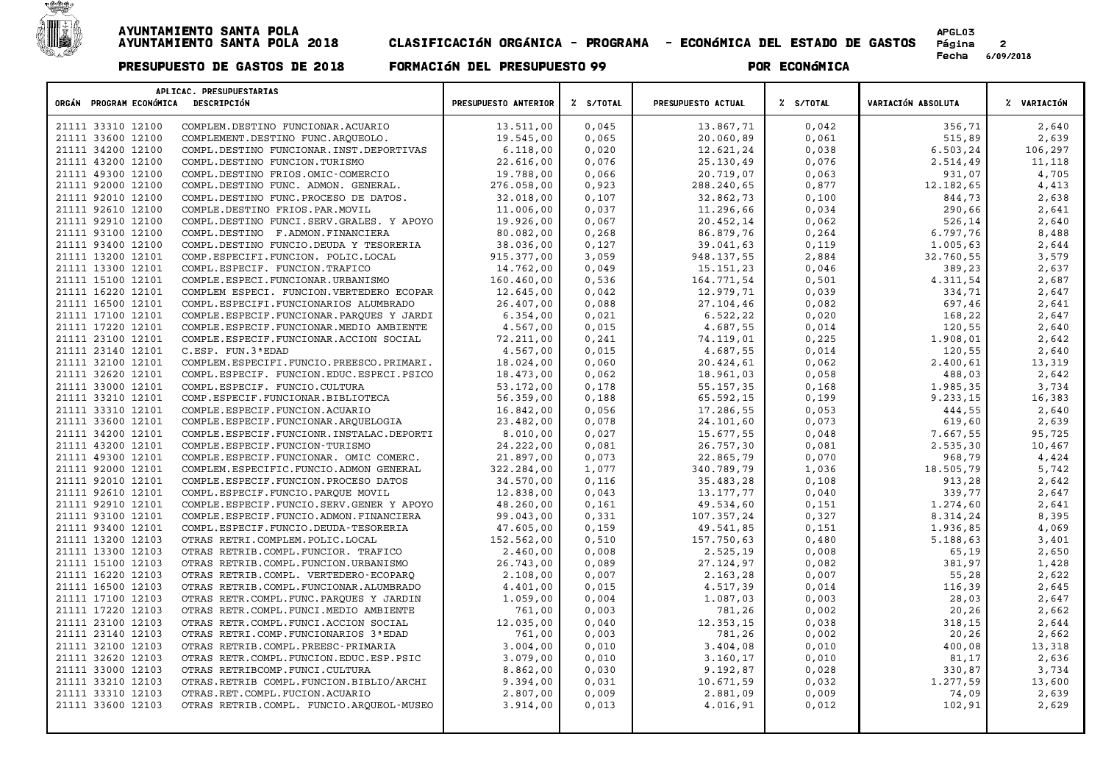

| APLICAC. PRESUPUESTARIAS<br>ORGÁN PROGRAM ECONÓMICA<br>DESCRIPCIÓN | PRESUPUESTO ANTERIOR | Z S/TOTAL | PRESUPUESTO ACTUAL | Z S/TOTAL | VARIACIÓN ABSOLUTA | % VARIACIÓN |
|--------------------------------------------------------------------|----------------------|-----------|--------------------|-----------|--------------------|-------------|
|                                                                    |                      |           |                    |           |                    |             |
| 21111 33310 12100<br>COMPLEM.DESTINO FUNCIONAR.ACUARIO             | 13.511,00            | 0,045     | 13.867,71          | 0,042     | 356,71             | 2,640       |
| 21111 33600 12100<br>COMPLEMENT.DESTINO FUNC.ARQUEOLO.             | 19.545,00            | 0,065     | 20.060,89          | 0,061     | 515,89             | 2,639       |
| 21111 34200 12100<br>COMPL.DESTINO FUNCIONAR.INST.DEPORTIVAS       | 6.118,00             | 0,020     | 12.621,24          | 0,038     | 6.503,24           | 106,297     |
| 21111 43200 12100<br>COMPL.DESTINO FUNCION.TURISMO                 | 22.616,00            | 0,076     | 25.130,49          | 0,076     | 2.514,49           | 11,118      |
| 21111 49300 12100<br>COMPL.DESTINO FRIOS.OMIC-COMERCIO             | 19.788,00            | 0,066     | 20.719,07          | 0,063     | 931,07             | 4,705       |
| 21111 92000 12100<br>COMPL.DESTINO FUNC. ADMON. GENERAL.           | 276.058,00           | 0,923     | 288.240,65         | 0,877     | 12.182,65          | 4,413       |
| 21111 92010 12100<br>COMPL.DESTINO FUNC.PROCESO DE DATOS.          | 32.018,00            | 0,107     | 32.862,73          | 0,100     | 844,73             | 2,638       |
| 21111 92610 12100<br>COMPLE.DESTINO FRIOS.PAR.MOVIL                | 11.006,00            | 0,037     | 11.296,66          | 0,034     | 290,66             | 2,641       |
| 21111 92910 12100<br>COMPL.DESTINO FUNCI.SERV.GRALES. Y APOYO      | 19.926,00            | 0,067     | 20.452,14          | 0,062     | 526,14             | 2,640       |
| 21111 93100 12100<br>COMPL.DESTINO F.ADMON.FINANCIERA              | 80.082,00            | 0,268     | 86.879,76          | 0, 264    | 6.797,76           | 8,488       |
| 21111 93400 12100<br>COMPL.DESTINO FUNCIO.DEUDA Y TESORERIA        | 38.036,00            | 0,127     | 39.041,63          | 0,119     | 1.005,63           | 2,644       |
| 21111 13200 12101<br>COMP.ESPECIFI.FUNCION. POLIC.LOCAL            | 915.377,00           | 3,059     | 948.137,55         | 2,884     | 32.760,55          | 3,579       |
| 21111 13300 12101<br>COMPL.ESPECIF. FUNCION.TRAFICO                | 14.762,00            | 0,049     | 15.151,23          | 0,046     | 389,23             | 2,637       |
| 21111 15100 12101<br>COMPLE.ESPECI.FUNCIONAR.URBANISMO             | 160.460,00           | 0,536     | 164.771,54         | 0,501     | 4.311,54           | 2,687       |
| 21111 16220 12101<br>COMPLEM ESPECI. FUNCION.VERTEDERO ECOPAR      | 12.645,00            | 0,042     | 12.979,71          | 0,039     | 334,71             | 2,647       |
| 21111 16500 12101<br>COMPL.ESPECIFI.FUNCIONARIOS ALUMBRADO         | 26.407,00            | 0,088     | 27.104,46          | 0,082     | 697,46             | 2,641       |
| 21111 17100 12101<br>COMPLE.ESPECIF.FUNCIONAR.PARQUES Y JARDI      | 6.354,00             | 0,021     | 6.522, 22          | 0,020     | 168,22             | 2,647       |
| 21111 17220 12101<br>COMPLE. ESPECIF. FUNCIONAR. MEDIO AMBIENTE    | 4.567,00             | 0,015     | 4.687,55           | 0,014     | 120,55             | 2,640       |
| 21111 23100 12101<br>COMPLE.ESPECIF.FUNCIONAR.ACCION SOCIAL        | 72.211,00            | 0,241     | 74.119,01          | 0,225     | 1.908,01           | 2,642       |
| 21111 23140 12101<br>C.ESP. FUN.3 ª EDAD                           | 4.567,00             | 0,015     | 4.687,55           | 0,014     | 120,55             | 2,640       |
| 21111 32100 12101<br>COMPLEM. ESPECIFI. FUNCIO. PREESCO. PRIMARI.  | 18.024,00            | 0,060     | 20.424,61          | 0,062     | 2.400,61           | 13,319      |
| 21111 32620 12101<br>COMPL.ESPECIF. FUNCION.EDUC.ESPECI.PSICO      | 18.473,00            | 0,062     | 18.961,03          | 0,058     | 488,03             | 2,642       |
| 21111 33000 12101<br>COMPL.ESPECIF. FUNCIO.CULTURA                 | 53.172,00            | 0,178     | 55.157,35          | 0,168     | 1.985,35           | 3,734       |
| 21111 33210 12101<br>COMP.ESPECIF.FUNCIONAR.BIBLIOTECA             | 56.359,00            | 0,188     | 65.592,15          | 0,199     | 9.233,15           | 16,383      |
| 21111 33310 12101<br>COMPLE.ESPECIF.FUNCION.ACUARIO                | 16.842,00            | 0,056     | 17.286,55          | 0,053     | 444,55             | 2,640       |
| 21111 33600 12101<br>COMPLE. ESPECIF. FUNCIONAR. ARQUELOGIA        | 23.482,00            | 0,078     | 24.101,60          | 0,073     | 619,60             | 2,639       |
| 21111 34200 12101<br>COMPLE. ESPECIF. FUNCIONR. INSTALAC. DEPORTI  | 8.010,00             | 0,027     | 15.677,55          | 0,048     | 7.667,55           | 95,725      |
| 21111 43200 12101<br>COMPLE.ESPECIF.FUNCION-TURISMO                | 24.222,00            | 0,081     | 26.757,30          | 0,081     | 2.535,30           | 10,467      |
| 21111 49300 12101<br>COMPLE.ESPECIF.FUNCIONAR. OMIC COMERC.        | 21.897,00            | 0,073     | 22.865,79          | 0,070     | 968,79             | 4,424       |
| 21111 92000 12101<br>COMPLEM. ESPECIFIC. FUNCIO. ADMON GENERAL     | 322.284,00           | 1,077     | 340.789,79         | 1,036     | 18.505,79          | 5,742       |
| 21111 92010 12101<br>COMPLE. ESPECIF. FUNCION. PROCESO DATOS       | 34.570,00            | 0,116     | 35.483,28          | 0,108     | 913,28             | 2,642       |
| 21111 92610 12101<br>COMPL.ESPECIF.FUNCIO.PARQUE MOVIL             | 12.838,00            | 0,043     | 13.177,77          | 0,040     | 339,77             | 2,647       |
| 21111 92910 12101<br>COMPLE.ESPECIF.FUNCIO.SERV.GENER Y APOYO      | 48.260,00            | 0,161     | 49.534,60          | 0,151     | 1.274,60           | 2,641       |
| 21111 93100 12101<br>COMPLE. ESPECIF. FUNCIO. ADMON. FINANCIERA    | 99.043,00            | 0,331     | 107.357,24         | 0,327     | 8.314,24           | 8,395       |
| 21111 93400 12101<br>COMPL.ESPECIF.FUNCIO.DEUDA-TESORERIA          | 47.605,00            | 0,159     | 49.541,85          | 0,151     | 1.936,85           | 4,069       |
| 21111 13200 12103<br>OTRAS RETRI.COMPLEM.POLIC.LOCAL               | 152.562,00           | 0,510     | 157.750,63         | 0,480     | 5.188,63           | 3,401       |
| 21111 13300 12103<br>OTRAS RETRIB.COMPL.FUNCIOR. TRAFICO           | 2.460,00             | 0,008     | 2.525,19           | 0,008     | 65,19              | 2,650       |
| 21111 15100 12103<br>OTRAS RETRIB.COMPL.FUNCION.URBANISMO          | 26.743,00            | 0,089     | 27.124,97          | 0,082     | 381,97             | 1,428       |
| 21111 16220 12103<br>OTRAS RETRIB.COMPL. VERTEDERO-ECOPARQ         | 2.108,00             | 0,007     | 2.163,28           | 0,007     | 55,28              | 2,622       |
| 21111 16500 12103<br>OTRAS RETRIB.COMPL.FUNCIONAR.ALUMBRADO        | 4.401,00             | 0,015     | 4.517,39           | 0,014     | 116,39             | 2,645       |
| 21111 17100 12103<br>OTRAS RETR.COMPL.FUNC.PARQUES Y JARDIN        | 1.059,00             | 0,004     | 1.087,03           | 0,003     | 28,03              | 2,647       |
| 21111 17220 12103<br>OTRAS RETR.COMPL.FUNCI.MEDIO AMBIENTE         | 761,00               | 0,003     | 781,26             | 0,002     | 20,26              | 2,662       |
| 21111 23100 12103<br>OTRAS RETR.COMPL.FUNCI.ACCION SOCIAL          | 12.035,00            | 0,040     | 12.353,15          | 0,038     | 318,15             | 2,644       |
| 21111 23140 12103<br>OTRAS RETRI.COMP. FUNCIONARIOS 3ª EDAD        | 761,00               | 0,003     | 781,26             | 0,002     | 20,26              | 2,662       |
| 21111 32100 12103<br>OTRAS RETRIB.COMPL.PREESC-PRIMARIA            | 3.004,00             | 0,010     | 3.404,08           | 0,010     | 400,08             | 13,318      |
| 21111 32620 12103<br>OTRAS RETR.COMPL.FUNCION.EDUC.ESP.PSIC        | 3.079,00             | 0,010     | 3.160,17           | 0,010     | 81,17              | 2,636       |
| 21111 33000 12103<br>OTRAS RETRIBCOMP. FUNCI.CULTURA               | 8.862,00             | 0,030     | 9.192,87           | 0,028     | 330,87             | 3,734       |
| 21111 33210 12103<br>OTRAS.RETRIB COMPL.FUNCION.BIBLIO/ARCHI       | 9.394,00             | 0,031     | 10.671,59          | 0,032     | 1.277,59           | 13,600      |
| 21111 33310 12103<br>OTRAS.RET.COMPL.FUCION.ACUARIO                | 2.807,00             | 0,009     | 2.881,09           | 0,009     | 74,09              | 2,639       |
| 21111 33600 12103<br>OTRAS RETRIB.COMPL. FUNCIO.ARQUEOL-MUSEO      | 3.914,00             | 0,013     | 4.016,91           | 0,012     | 102,91             | 2,629       |
|                                                                    |                      |           |                    |           |                    |             |
|                                                                    |                      |           |                    |           |                    |             |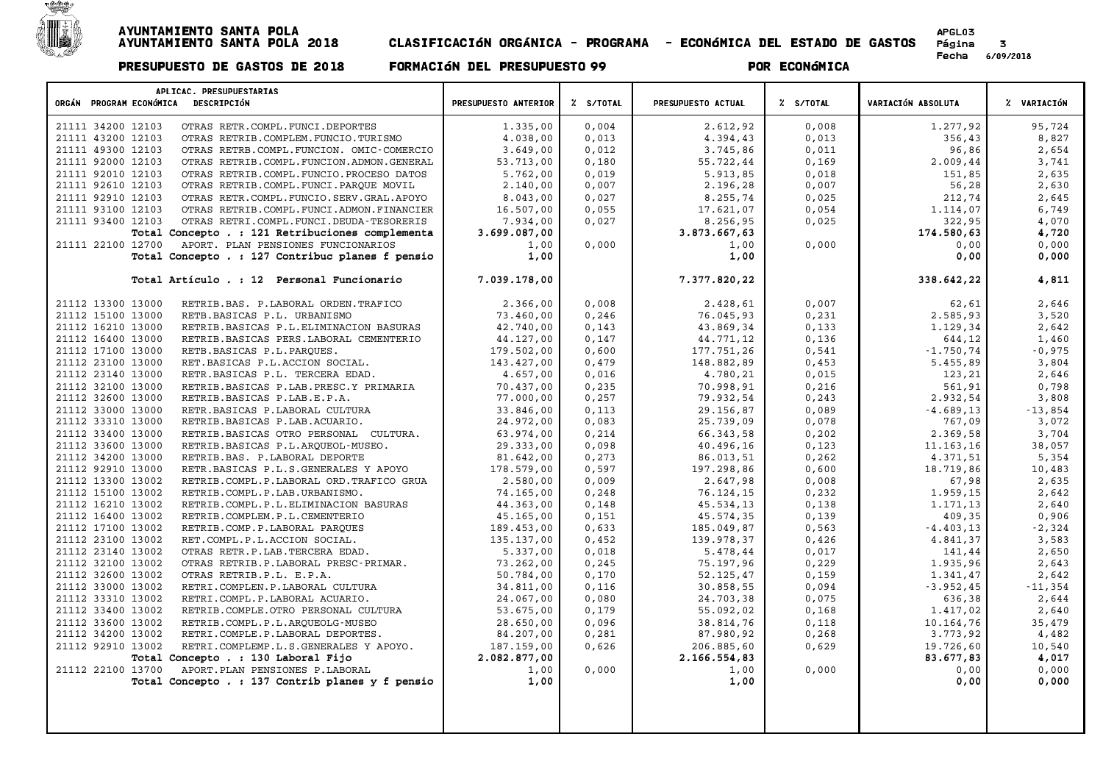

| APLICAC. PRESUPUESTARIAS                                                     |                            |           |                            |           |                        |                 |
|------------------------------------------------------------------------------|----------------------------|-----------|----------------------------|-----------|------------------------|-----------------|
| ORGÁN PROGRAM ECONÓMICA DESCRIPCIÓN                                          | PRESUPUESTO ANTERIOR       | % S/TOTAL | PRESUPUESTO ACTUAL         | % S/TOTAL | VARIACIÓN ABSOLUTA     | Z VARIACIÓN     |
| 21111 34200 12103<br>OTRAS RETR.COMPL.FUNCI.DEPORTES                         | 1.335,00                   | 0,004     | 2.612,92                   | 0,008     | 1.277,92               | 95,724          |
| 21111 43200 12103<br>OTRAS RETRIB.COMPLEM.FUNCIO.TURISMO                     | 4.038,00                   | 0,013     | 4.394,43                   | 0,013     | 356,43                 | 8,827           |
| 21111 49300 12103<br>OTRAS RETRB.COMPL.FUNCION. OMIC-COMERCIO                | 3.649,00                   | 0,012     | 3.745,86                   | 0,011     | 96,86                  | 2,654           |
| 21111 92000 12103<br>OTRAS RETRIB.COMPL.FUNCION.ADMON.GENERAL                | 53.713,00                  | 0,180     | 55.722,44                  | 0,169     | 2.009,44               | 3,741           |
| 21111 92010 12103<br>OTRAS RETRIB.COMPL.FUNCIO.PROCESO DATOS                 | 5.762,00                   | 0,019     | 5.913,85                   | 0,018     | 151,85                 | 2,635           |
| 21111 92610 12103<br>OTRAS RETRIB.COMPL.FUNCI.PARQUE MOVIL                   | 2.140,00                   | 0,007     | 2.196,28                   | 0,007     | 56,28                  | 2,630           |
| 21111 92910 12103<br>OTRAS RETR.COMPL.FUNCIO.SERV.GRAL.APOYO                 | 8.043,00                   | 0,027     | 8.255,74                   | 0,025     | 212,74                 | 2,645           |
| 21111 93100 12103<br>OTRAS RETRIB.COMPL.FUNCI.ADMON.FINANCIER                | 16.507,00                  | 0,055     | 17.621,07                  | 0,054     | 1.114,07               | 6,749           |
| 21111 93400 12103<br>OTRAS RETRI.COMPL.FUNCI.DEUDA-TESORERIS                 | 7.934,00                   | 0,027     | 8.256,95                   | 0,025     | 322,95                 | 4,070           |
| Total Concepto . : 121 Retribuciones complementa                             | 3.699.087,00               |           | 3.873.667,63               |           | 174.580,63             | 4,720           |
| 21111 22100 12700<br>APORT. PLAN PENSIONES FUNCIONARIOS                      | 1,00                       | 0,000     | 1,00                       | 0,000     | 0,00                   | 0,000           |
| Total Concepto . : 127 Contribuc planes f pensio                             | 1,00                       |           | 1,00                       |           | 0,00                   | 0,000           |
| Total Artículo . : 12 Personal Funcionario                                   | 7.039.178,00               |           | 7.377.820,22               |           | 338.642,22             | 4,811           |
|                                                                              |                            |           |                            |           |                        |                 |
| 21112 13300 13000<br>RETRIB.BAS. P.LABORAL ORDEN.TRAFICO                     | 2.366,00                   | 0,008     | 2.428,61                   | 0,007     | 62,61                  | 2,646           |
| 21112 15100 13000<br>RETB.BASICAS P.L. URBANISMO                             | 73.460,00                  | 0,246     | 76.045,93                  | 0,231     | 2.585,93               | 3,520           |
| 21112 16210 13000<br>RETRIB. BASICAS P.L. ELIMINACION BASURAS                | 42.740,00                  | 0,143     | 43.869,34                  | 0,133     | 1.129,34               | 2,642           |
| 21112 16400 13000<br>RETRIB.BASICAS PERS.LABORAL CEMENTERIO                  | 44.127,00                  | 0,147     | 44.771,12                  | 0,136     | 644,12                 | 1,460           |
| 21112 17100 13000<br>RETB. BASICAS P.L. PARQUES.                             | 179.502,00                 | 0,600     | 177.751,26                 | 0,541     | $-1.750, 74$           | $-0,975$        |
| 21112 23100 13000<br>RET.BASICAS P.L.ACCION SOCIAL.                          | 143.427,00                 | 0,479     | 148.882,89                 | 0,453     | 5.455,89               | 3,804           |
| 21112 23140 13000<br>RETR.BASICAS P.L. TERCERA EDAD.                         | 4.657,00                   | 0,016     | 4.780,21                   | 0,015     | 123,21                 | 2,646           |
| 21112 32100 13000<br>RETRIB.BASICAS P.LAB.PRESC.Y PRIMARIA                   | 70.437,00                  | 0,235     | 70.998,91                  | 0,216     | 561,91                 | 0,798           |
| 21112 32600 13000<br>RETRIB.BASICAS P.LAB.E.P.A.                             | 77.000,00                  | 0, 257    | 79.932,54                  | 0, 243    | 2.932,54               | 3,808           |
| 21112 33000 13000<br>RETR.BASICAS P.LABORAL CULTURA                          | 33.846,00                  | 0,113     | 29.156,87                  | 0,089     | $-4.689, 13$           | $-13,854$       |
| 21112 33310 13000<br>RETRIB.BASICAS P.LAB.ACUARIO.                           | 24.972,00                  | 0,083     | 25.739,09                  | 0,078     | 767,09                 | 3,072           |
| 21112 33400 13000<br>RETRIB.BASICAS OTRO PERSONAL CULTURA.                   | 63.974,00                  | 0,214     | 66.343,58                  | 0,202     | 2.369,58               | 3,704           |
| 21112 33600 13000<br>RETRIB.BASICAS P.L.ARQUEOL-MUSEO.                       | 29.333,00                  | 0,098     | 40.496,16                  | 0,123     | 11.163,16              | 38,057          |
| 21112 34200 13000<br>RETRIB.BAS. P.LABORAL DEPORTE                           | 81.642,00                  | 0, 273    | 86.013,51                  | 0, 262    | 4.371,51               | 5,354           |
| 21112 92910 13000<br>RETR. BASICAS P.L.S. GENERALES Y APOYO                  | 178.579,00                 | 0,597     | 197.298,86                 | 0,600     | 18.719,86              | 10,483          |
| 21112 13300 13002<br>RETRIB.COMPL.P.LABORAL ORD.TRAFICO GRUA                 | 2.580,00                   | 0,009     | 2.647,98                   | 0,008     | 67,98                  | 2,635           |
| 21112 15100 13002<br>RETRIB.COMPL.P.LAB.URBANISMO.                           | 74.165,00                  | 0,248     | 76.124,15                  | 0,232     | 1.959,15               | 2,642           |
| 21112 16210 13002<br>RETRIB.COMPL.P.L.ELIMINACION BASURAS                    | 44.363,00                  | 0,148     | 45.534,13                  | 0,138     | 1.171,13               | 2,640           |
| 21112 16400 13002<br>RETRIB.COMPLEM.P.L.CEMENTERIO                           | 45.165,00                  | 0,151     | 45.574,35                  | 0,139     | 409,35                 | 0,906           |
| 21112 17100 13002<br>RETRIB.COMP.P.LABORAL PARQUES                           | 189.453,00                 | 0,633     | 185.049,87                 | 0,563     | $-4.403, 13$           | $-2,324$        |
| 21112 23100 13002<br>RET.COMPL.P.L.ACCION SOCIAL.                            | 135.137,00                 | 0,452     | 139.978,37                 | 0,426     | 4.841,37               | 3,583           |
| 21112 23140 13002<br>OTRAS RETR.P.LAB.TERCERA EDAD.                          | 5.337,00                   | 0,018     | 5.478,44                   | 0,017     | 141,44                 | 2,650           |
| 21112 32100 13002<br>OTRAS RETRIB.P.LABORAL PRESC-PRIMAR.                    | 73.262,00                  | 0, 245    | 75.197,96                  | 0,229     | 1.935,96               | 2,643           |
| 21112 32600 13002<br>OTRAS RETRIB.P.L. E.P.A.                                | 50.784,00                  | 0,170     | 52.125,47                  | 0,159     | 1.341,47               | 2,642           |
| 21112 33000 13002<br>RETRI.COMPLEN.P.LABORAL CULTURA                         | 34.811,00                  | 0,116     | 30.858,55                  | 0,094     | $-3.952, 45$           | $-11,354$       |
| 21112 33310 13002<br>RETRI.COMPL.P.LABORAL ACUARIO.                          | 24.067,00                  | 0.080     | 24.703,38                  | 0.075     | 636,38                 | 2,644           |
| 21112 33400 13002<br>RETRIB.COMPLE.OTRO PERSONAL CULTURA                     | 53.675,00                  | 0,179     | 55.092,02                  | 0,168     | 1.417,02               | 2,640           |
| 21112 33600 13002<br>RETRIB.COMPL.P.L.ARQUEOLG-MUSEO<br>21112 34200 13002    | 28.650,00                  | 0,096     | 38.814,76                  | 0,118     | 10.164,76              | 35,479          |
| RETRI.COMPLE.P.LABORAL DEPORTES.<br>21112 92910 13002                        | 84.207,00                  | 0,281     | 87.980,92                  | 0,268     | 3.773,92               | 4,482           |
| RETRI.COMPLEMP.L.S.GENERALES Y APOYO.<br>Total Concepto . : 130 Laboral Fijo | 187.159,00<br>2.082.877,00 | 0,626     | 206.885,60<br>2.166.554,83 | 0,629     | 19.726,60<br>83.677,83 | 10,540<br>4,017 |
| 21112 22100 13700<br>APORT. PLAN PENSIONES P. LABORAL                        | 1,00                       | 0,000     | 1,00                       | 0,000     | 0,00                   | 0,000           |
| Total Concepto . : 137 Contrib planes y f pensio                             | 1,00                       |           | 1,00                       |           | 0,00                   | 0,000           |
|                                                                              |                            |           |                            |           |                        |                 |
|                                                                              |                            |           |                            |           |                        |                 |
|                                                                              |                            |           |                            |           |                        |                 |
|                                                                              |                            |           |                            |           |                        |                 |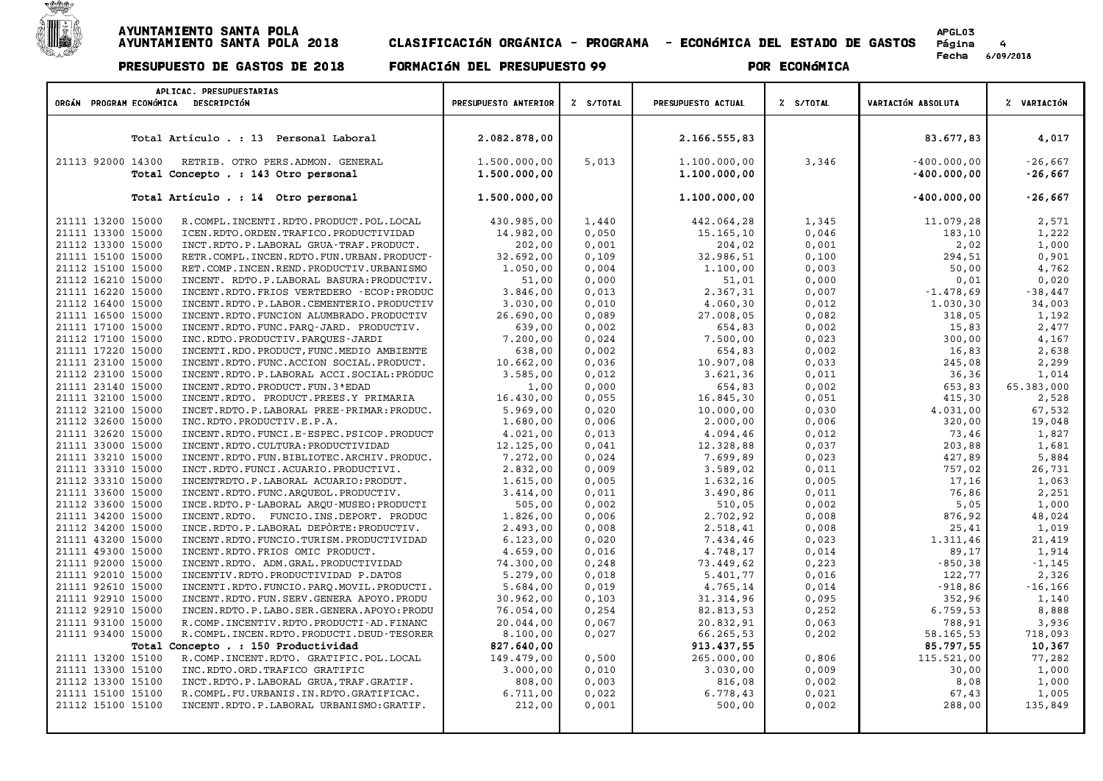

## AYUNTAMIENTO SANTA POLA APGLOSA ANTENDRA A ESPECIAL A ESPECIAL A ESPECIAL A ESPECIAL A ESPECIAL A ESPECIAL A E<br>A especial a especial a especial a especial a especial a especial a especial a especial a especial a especial .<br>AYUNTAMIENTO SANTA POLA<br>AYUNTAMIENTO SANTA POLA 2018 CLASIFICACIÓN ORGÁNICA - PROGRAMA - ECONÓMICA DEL ESTADO DE GASTOS Página

# PRESUPUESTO DE GASTOS DE <sup>2018</sup> FORMACIøN DEL PRESUPUESTO <sup>99</sup> POR ECONøMICA

APGL03<br>Página 4<br>Fecha 6/09/2018

| APLICAC. PRESUPUESTARIAS                                                                      |                              |           |                              |           |                                |                        |
|-----------------------------------------------------------------------------------------------|------------------------------|-----------|------------------------------|-----------|--------------------------------|------------------------|
| ORGÁN PROGRAM ECONÓMICA DESCRIPCIÓN                                                           | PRESUPUESTO ANTERIOR         | Z S/TOTAL | PRESUPUESTO ACTUAL           | % S/TOTAL | VARIACIÓN ABSOLUTA             | % VARIACIÓN            |
|                                                                                               |                              |           |                              |           |                                |                        |
| Total Artículo . : 13 Personal Laboral                                                        | 2.082.878,00                 |           | 2.166.555,83                 |           | 83.677,83                      | 4,017                  |
| 21113 92000 14300<br>RETRIB. OTRO PERS.ADMON. GENERAL<br>Total Concepto . : 143 Otro personal | 1.500.000,00<br>1,500,000,00 | 5,013     | 1.100.000,00<br>1.100.000,00 | 3,346     | $-400.000,00$<br>$-400.000,00$ | $-26,667$<br>$-26,667$ |
| Total Artículo . : 14 Otro personal                                                           | 1.500.000,00                 |           | 1.100.000,00                 |           | $-400.000,00$                  | $-26,667$              |
| 21111 13200 15000<br>R.COMPL.INCENTI.RDTO.PRODUCT.POL.LOCAL                                   | 430.985,00                   | 1,440     | 442.064,28                   | 1,345     | 11.079,28                      | 2,571                  |
| 21111 13300 15000<br>ICEN.RDTO.ORDEN.TRAFICO.PRODUCTIVIDAD                                    | 14.982,00                    | 0,050     | 15.165,10                    | 0,046     | 183,10                         | 1,222                  |
| 21112 13300 15000<br>INCT.RDTO.P.LABORAL GRUA-TRAF.PRODUCT.                                   | 202,00                       | 0,001     | 204,02                       | 0,001     | 2,02                           | 1,000                  |
| 21111 15100 15000<br>RETR. COMPL. INCEN. RDTO. FUN. URBAN. PRODUCT-                           | 32.692,00                    | 0,109     | 32.986,51                    | 0,100     | 294,51                         | 0,901                  |
| 21112 15100 15000<br>RET.COMP.INCEN.REND.PRODUCTIV.URBANISMO                                  | 1.050,00                     | 0.004     | 1.100,00                     | 0.003     | 50,00                          | 4,762                  |
| 21112 16210 15000<br>INCENT. RDTO.P.LABORAL BASURA: PRODUCTIV.                                | 51,00                        | 0,000     | 51,01                        | 0,000     | 0,01                           | 0,020                  |
| 21111 16220 15000<br>INCENT.RDTO.FRIOS VERTEDERO - ECOP: PRODUC                               | 3.846,00                     | 0,013     | 2.367,31                     | 0,007     | $-1.478,69$                    | $-38,447$              |
| 21112 16400 15000<br>INCENT.RDTO.P.LABOR.CEMENTERIO.PRODUCTIV                                 | 3.030,00                     | 0,010     | 4.060,30                     | 0,012     | 1.030,30                       | 34,003                 |
| 21111 16500 15000<br>INCENT.RDTO.FUNCION ALUMBRADO.PRODUCTIV                                  | 26.690,00                    | 0,089     | 27.008,05                    | 0,082     | 318,05                         | 1,192                  |
| 21111 17100 15000<br>INCENT.RDTO.FUNC.PARQ-JARD. PRODUCTIV.                                   | 639,00                       | 0,002     | 654,83                       | 0,002     | 15,83                          | 2,477                  |
| 21112 17100 15000<br>INC.RDTO.PRODUCTIV.PARQUES-JARDI                                         | 7.200,00                     | 0,024     | 7.500,00                     | 0,023     | 300,00                         | 4,167                  |
| 21111 17220 15000<br>INCENTI.RDO.PRODUCT, FUNC.MEDIO AMBIENTE                                 | 638,00                       | 0,002     | 654,83                       | 0,002     | 16,83                          | 2,638                  |
| 21111 23100 15000<br>INCENT.RDTO.FUNC.ACCION SOCIAL.PRODUCT.                                  | 10.662,00                    | 0,036     | 10.907,08                    | 0,033     | 245,08                         | 2,299                  |
| 21112 23100 15000<br>INCENT.RDTO.P.LABORAL ACCI.SOCIAL: PRODUC                                | 3.585,00                     | 0,012     | 3.621,36                     | 0,011     | 36,36                          | 1,014                  |
| 21111 23140 15000<br>INCENT. RDTO. PRODUCT. FUN. 3 ª EDAD                                     | 1,00                         | 0,000     | 654,83                       | 0,002     | 653,83                         | 65.383,000             |
| 21111 32100 15000<br>INCENT.RDTO. PRODUCT.PREES.Y PRIMARIA                                    | 16.430,00                    | 0,055     | 16.845,30                    | 0,051     | 415,30                         | 2,528                  |
| 21112 32100 15000<br>INCET.RDTO.P.LABORAL PREE-PRIMAR:PRODUC.                                 | 5.969,00                     | 0,020     | 10.000,00                    | 0,030     | 4.031,00                       | 67,532                 |
| 21112 32600 15000<br>INC.RDTO.PRODUCTIV.E.P.A.                                                | 1.680,00                     | 0,006     | 2.000,00                     | 0,006     | 320,00                         | 19,048                 |
| 21111 32620 15000<br>INCENT.RDTO.FUNCI.E-ESPEC.PSICOP.PRODUCT                                 | 4.021,00                     | 0,013     | 4.094,46                     | 0,012     | 73,46                          | 1,827                  |
| 21111 33000 15000<br>INCENT.RDTO.CULTURA: PRODUCTIVIDAD                                       | 12.125,00                    | 0,041     | 12.328,88                    | 0,037     | 203,88                         | 1,681                  |
| 21111 33210 15000<br>INCENT.RDTO.FUN.BIBLIOTEC.ARCHIV.PRODUC.                                 | 7.272,00                     | 0,024     | 7.699,89                     | 0,023     | 427,89                         | 5,884                  |
| 21111 33310 15000<br>INCT.RDTO.FUNCI.ACUARIO.PRODUCTIVI.                                      | 2.832,00                     | 0,009     | 3.589,02                     | 0,011     | 757,02                         | 26,731                 |
| 21112 33310 15000<br>INCENTRDTO.P.LABORAL ACUARIO: PRODUT.                                    | 1.615,00                     | 0.005     | 1.632,16                     | 0.005     | 17.16                          | 1,063                  |
| 21111 33600 15000<br>INCENT.RDTO.FUNC.ARQUEOL.PRODUCTIV.                                      | 3.414,00                     | 0,011     | 3.490,86                     | 0,011     | 76,86                          | 2,251                  |
| 21112 33600 15000<br>INCE.RDTO.P-LABORAL AROU-MUSEO:PRODUCTI                                  | 505,00                       | 0,002     | 510,05                       | 0,002     | 5,05                           | 1,000                  |
| 21111 34200 15000<br>INCENT.RDTO. FUNCIO.INS.DEPORT. PRODUC                                   | 1.826,00                     | 0,006     | 2.702,92                     | 0,008     | 876,92                         | 48,024                 |
| INCE.RDTO.P.LABORAL DEPÒRTE: PRODUCTIV.<br>21112 34200 15000                                  | 2.493,00                     | 0,008     | 2.518,41                     | 0,008     | 25,41                          | 1,019                  |
| 21111 43200 15000<br>INCENT.RDTO.FUNCIO.TURISM.PRODUCTIVIDAD                                  | 6.123,00                     | 0,020     | 7.434,46                     | 0,023     | 1.311,46                       | 21,419                 |
| 21111 49300 15000<br>INCENT.RDTO.FRIOS OMIC PRODUCT.                                          | 4.659,00                     | 0,016     | 4.748,17                     | 0,014     | 89,17                          | 1,914                  |
| 21111 92000 15000<br>INCENT.RDTO. ADM.GRAL.PRODUCTIVIDAD                                      | 74.300,00                    | 0,248     | 73.449,62                    | 0,223     | $-850, 38$                     | $-1,145$               |
| 21111 92010 15000<br>INCENTIV.RDTO.PRODUCTIVIDAD P.DATOS                                      | 5.279,00                     | 0,018     | 5.401,77                     | 0,016     | 122,77                         | 2,326                  |
| 21111 92610 15000<br>INCENTI.RDTO.FUNCIO.PARQ.MOVIL.PRODUCTI.                                 | 5.684,00                     | 0,019     | 4.765,14                     | 0,014     | $-918,86$                      | $-16, 166$             |
| 21111 92910 15000<br>INCENT.RDTO.FUN.SERV.GENERA APOYO.PRODU                                  | 30.962,00                    | 0,103     | 31.314,96                    | 0,095     | 352,96                         | 1,140                  |
| 21112 92910 15000<br>INCEN.RDTO.P.LABO.SER.GENERA.APOYO:PRODU                                 | 76.054,00                    | 0,254     | 82.813,53                    | 0,252     | 6.759, 53                      | 8,888                  |
| 21111 93100 15000<br>R. COMP. INCENTIV. RDTO. PRODUCTI-AD. FINANC                             | 20.044,00                    | 0,067     | 20.832,91                    | 0,063     | 788,91                         | 3,936                  |
| 21111 93400 15000<br>R. COMPL. INCEN. RDTO. PRODUCTI. DEUD-TESORER                            | 8.100,00                     | 0,027     | 66.265,53                    | 0,202     | 58.165,53                      | 718,093                |
| Total Concepto . : 150 Productividad                                                          | 827.640,00                   |           | 913.437,55                   |           | 85.797,55                      | 10,367                 |
| 21111 13200 15100<br>R.COMP.INCENT.RDTO. GRATIFIC.POL.LOCAL                                   | 149.479,00                   | 0,500     | 265.000,00                   | 0,806     | 115.521,00                     | 77,282                 |
| 21111 13300 15100<br>INC.RDTO.ORD.TRAFICO GRATIFIC                                            | 3.000,00                     | 0,010     | 3.030,00                     | 0,009     | 30,00                          | 1,000                  |
| 21112 13300 15100<br>INCT.RDTO.P.LABORAL GRUA, TRAF.GRATIF.                                   | 808,00                       | 0.003     | 816,08                       | 0,002     | 8,08                           | 1,000                  |

 15100 15100 R.COMPL.FU.URBANIS.IN.RDTO.GRATIFICAC. 6.711,00 0,022 6.778,43 0,021 67,43 1,005 15100 15100 INCENT.RDTO.P.LABORAL URBANISMO:GRATIF. 212,00 0,001 500,00 0,002 288,00 135,849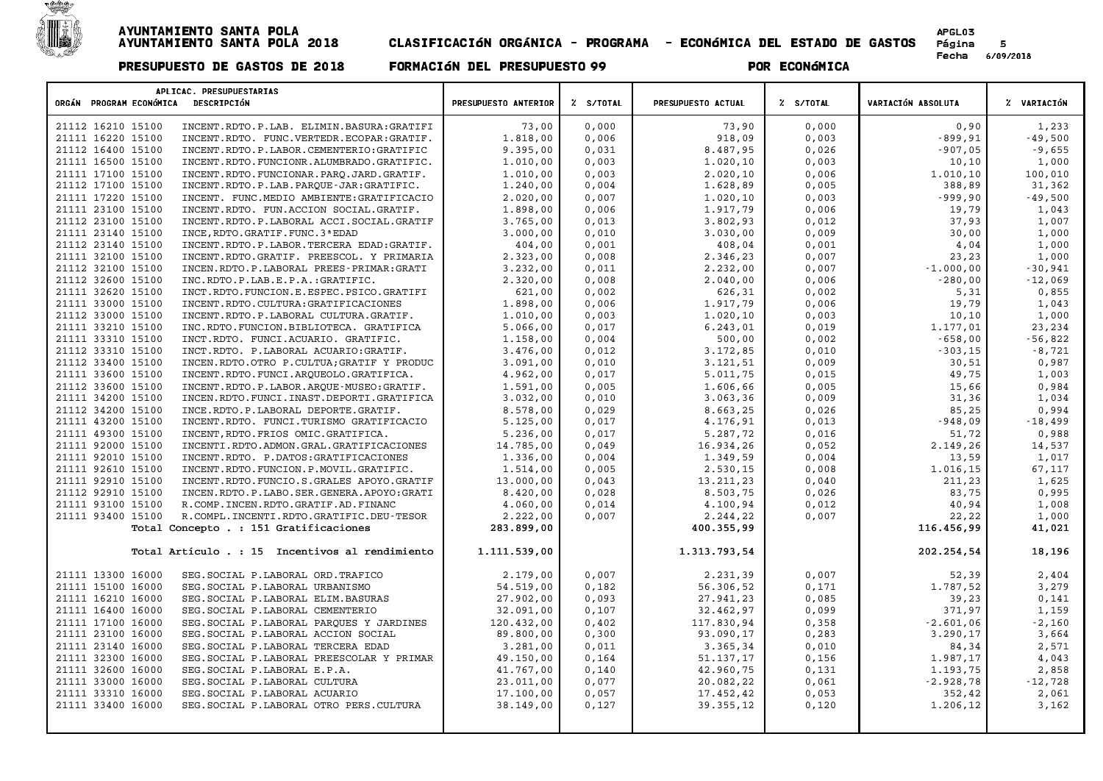

|                         | APLICAC. PRESUPUESTARIAS                        |                      |           |                    |           |                    |             |
|-------------------------|-------------------------------------------------|----------------------|-----------|--------------------|-----------|--------------------|-------------|
| ORGÁN PROGRAM ECONÓMICA | DESCRIPCIÓN                                     | PRESUPUESTO ANTERIOR | Z S/TOTAL | PRESUPUESTO ACTUAL | % S/TOTAL | VARIACIÓN ABSOLUTA | % VARIACIÓN |
| 21112 16210 15100       | INCENT.RDTO.P.LAB. ELIMIN.BASURA:GRATIFI        | 73,00                | 0,000     | 73,90              | 0,000     | 0,90               | 1,233       |
| 21111 16220 15100       | INCENT.RDTO. FUNC.VERTEDR.ECOPAR:GRATIF.        | 1.818,00             | 0,006     | 918,09             | 0,003     | $-899,91$          | $-49,500$   |
| 21112 16400 15100       | INCENT.RDTO.P.LABOR.CEMENTERIO:GRATIFIC         | 9.395,00             | 0,031     | 8.487,95           | 0,026     | $-907,05$          | $-9,655$    |
| 21111 16500 15100       | INCENT.RDTO.FUNCIONR.ALUMBRADO.GRATIFIC.        | 1.010,00             | 0,003     | 1.020,10           | 0,003     | 10,10              | 1,000       |
| 21111 17100 15100       | INCENT.RDTO.FUNCIONAR.PARO.JARD.GRATIF.         | 1,010,00             | 0.003     | 2.020,10           | 0,006     | 1,010,10           | 100,010     |
| 21112 17100 15100       | INCENT.RDTO.P.LAB.PARQUE-JAR:GRATIFIC.          | 1.240,00             | 0,004     | 1.628,89           | 0,005     | 388,89             | 31,362      |
| 21111 17220 15100       | INCENT. FUNC.MEDIO AMBIENTE: GRATIFICACIO       | 2.020,00             | 0,007     | 1.020,10           | 0,003     | $-999,90$          | $-49,500$   |
| 21111 23100 15100       | INCENT.RDTO. FUN.ACCION SOCIAL.GRATIF.          | 1.898,00             | 0,006     | 1.917,79           | 0,006     | 19,79              | 1,043       |
| 21112 23100 15100       | INCENT.RDTO.P.LABORAL ACCI.SOCIAL.GRATIF        | 3.765,00             | 0,013     | 3.802,93           | 0,012     | 37,93              | 1,007       |
| 21111 23140 15100       | INCE, RDTO. GRATIF. FUNC. 3 ª EDAD              | 3.000,00             | 0,010     | 3.030,00           | 0,009     | 30,00              | 1,000       |
| 21112 23140 15100       | INCENT.RDTO.P.LABOR.TERCERA EDAD:GRATIF.        | 404,00               | 0,001     | 408,04             | 0,001     | 4,04               | 1,000       |
| 21111 32100 15100       | INCENT.RDTO.GRATIF. PREESCOL. Y PRIMARIA        | 2.323,00             | 0,008     | 2.346,23           | 0,007     | 23,23              | 1,000       |
| 21112 32100 15100       | INCEN.RDTO.P.LABORAL PREES-PRIMAR:GRATI         | 3.232,00             | 0,011     | 2.232,00           | 0,007     | $-1.000,00$        | $-30,941$   |
| 21112 32600 15100       | INC.RDTO.P.LAB.E.P.A.:GRATIFIC.                 | 2.320,00             | 0,008     | 2.040,00           | 0,006     | $-280,00$          | $-12,069$   |
| 21111 32620 15100       | INCT.RDTO.FUNCION.E.ESPEC.PSICO.GRATIFI         | 621,00               | 0,002     | 626,31             | 0,002     | 5,31               | 0,855       |
| 21111 33000 15100       | INCENT.RDTO.CULTURA:GRATIFICACIONES             | 1.898,00             | 0,006     | 1.917,79           | 0,006     | 19,79              | 1,043       |
| 21112 33000 15100       | INCENT.RDTO.P.LABORAL CULTURA.GRATIF.           | 1,010,00             | 0,003     | 1,020,10           | 0,003     | 10,10              | 1,000       |
| 21111 33210 15100       | INC.RDTO.FUNCION.BIBLIOTECA. GRATIFICA          | 5.066,00             | 0,017     | 6.243,01           | 0,019     | 1.177,01           | 23,234      |
| 21111 33310 15100       | INCT.RDTO. FUNCI.ACUARIO. GRATIFIC.             | 1,158,00             | 0,004     | 500,00             | 0,002     | $-658,00$          | $-56,822$   |
| 21112 33310 15100       | INCT.RDTO. P.LABORAL ACUARIO:GRATIF.            | 3.476,00             | 0,012     | 3.172,85           | 0,010     | $-303, 15$         | $-8,721$    |
| 21112 33400 15100       | INCEN.RDTO.OTRO P.CULTUA; GRATIF Y PRODUC       | 3.091,00             | 0,010     | 3.121,51           | 0,009     | 30,51              | 0,987       |
| 21111 33600 15100       | INCENT.RDTO.FUNCI.ARQUEOLO.GRATIFICA.           | 4.962,00             | 0,017     | 5.011,75           | 0,015     | 49,75              | 1,003       |
| 21112 33600 15100       | INCENT.RDTO.P.LABOR.ARQUE-MUSEO:GRATIF.         | 1.591,00             | 0,005     | 1.606,66           | 0,005     | 15,66              | 0,984       |
| 21111 34200 15100       | INCEN.RDTO.FUNCI.INAST.DEPORTI.GRATIFICA        | 3.032,00             | 0,010     | 3.063,36           | 0,009     | 31,36              | 1,034       |
| 21112 34200 15100       | INCE.RDTO.P.LABORAL DEPORTE.GRATIF.             | 8.578,00             | 0,029     | 8.663,25           | 0,026     | 85,25              | 0,994       |
| 21111 43200 15100       | INCENT.RDTO. FUNCI.TURISMO GRATIFICACIO         | 5.125,00             | 0,017     | 4.176,91           | 0,013     | $-948,09$          | $-18,499$   |
| 21111 49300 15100       | INCENT, RDTO. FRIOS OMIC. GRATIFICA.            | 5.236,00             | 0,017     | 5.287,72           | 0,016     | 51,72              | 0,988       |
| 21111 92000 15100       | INCENTI.RDTO.ADMON.GRAL.GRATIFICACIONES         | 14.785,00            | 0,049     | 16.934,26          | 0,052     | 2.149,26           | 14,537      |
| 21111 92010 15100       | INCENT.RDTO. P.DATOS:GRATIFICACIONES            | 1.336,00             | 0,004     | 1.349,59           | 0,004     | 13,59              | 1,017       |
| 21111 92610 15100       | INCENT.RDTO.FUNCION.P.MOVIL.GRATIFIC.           | 1.514,00             | 0,005     | 2.530,15           | 0,008     | 1.016,15           | 67,117      |
| 21111 92910 15100       | INCENT.RDTO.FUNCIO.S.GRALES APOYO.GRATIF        | 13.000,00            | 0,043     | 13.211,23          | 0,040     | 211,23             | 1,625       |
| 21112 92910 15100       | INCEN.RDTO.P.LABO.SER.GENERA.APOYO:GRATI        | 8.420,00             | 0,028     | 8.503,75           | 0,026     | 83,75              | 0,995       |
| 21111 93100 15100       | R. COMP. INCEN. RDTO. GRATIF. AD. FINANC        | 4.060.00             | 0,014     | 4.100,94           | 0,012     | 40,94              | 1,008       |
| 21111 93400 15100       | R. COMPL. INCENTI. RDTO. GRATIFIC. DEU - TESOR  | 2.222,00             | 0,007     | 2.244,22           | 0,007     | 22,22              | 1,000       |
|                         | Total Concepto . : 151 Gratificaciones          | 283.899,00           |           | 400.355,99         |           | 116.456,99         | 41,021      |
|                         | Total Artículo . : 15 Incentivos al rendimiento | 1.111.539,00         |           | 1.313.793,54       |           | 202.254,54         | 18,196      |
| 21111 13300 16000       | SEG. SOCIAL P. LABORAL ORD. TRAFICO             | 2.179,00             | 0,007     | 2.231,39           | 0,007     | 52,39              | 2,404       |
| 21111 15100 16000       | SEG. SOCIAL P. LABORAL URBANISMO                | 54.519,00            | 0,182     | 56.306,52          | 0,171     | 1.787,52           | 3,279       |
| 21111 16210 16000       | SEG. SOCIAL P. LABORAL ELIM. BASURAS            | 27.902,00            | 0,093     | 27.941,23          | 0,085     | 39,23              | 0,141       |
| 21111 16400 16000       | SEG. SOCIAL P. LABORAL CEMENTERIO               | 32.091,00            | 0,107     | 32.462,97          | 0,099     | 371,97             | 1,159       |
| 21111 17100 16000       | SEG. SOCIAL P. LABORAL PARQUES Y JARDINES       | 120.432,00           | 0,402     | 117.830,94         | 0,358     | $-2.601,06$        | $-2,160$    |
| 21111 23100 16000       | SEG. SOCIAL P. LABORAL ACCION SOCIAL            | 89.800,00            | 0,300     | 93.090,17          | 0, 283    | 3.290,17           | 3,664       |
| 21111 23140 16000       | SEG. SOCIAL P. LABORAL TERCERA EDAD             | 3.281,00             | 0,011     | 3.365,34           | 0,010     | 84,34              | 2,571       |
| 21111 32300 16000       | SEG. SOCIAL P. LABORAL PREESCOLAR Y PRIMAR      | 49.150,00            | 0,164     | 51.137,17          | 0,156     | 1.987,17           | 4,043       |
| 21111 32600 16000       | SEG. SOCIAL P. LABORAL E.P.A.                   | 41.767,00            | 0,140     | 42.960,75          | 0,131     | 1.193,75           | 2,858       |
| 21111 33000 16000       | SEG. SOCIAL P. LABORAL CULTURA                  | 23.011,00            | 0,077     | 20.082,22          | 0,061     | $-2.928,78$        | $-12,728$   |
| 21111 33310 16000       | SEG. SOCIAL P. LABORAL ACUARIO                  | 17.100,00            | 0,057     | 17.452,42          | 0,053     | 352,42             | 2,061       |
| 21111 33400 16000       | SEG. SOCIAL P. LABORAL OTRO PERS. CULTURA       | 38.149,00            | 0,127     | 39.355,12          | 0,120     | 1.206,12           | 3,162       |
|                         |                                                 |                      |           |                    |           |                    |             |
|                         |                                                 |                      |           |                    |           |                    |             |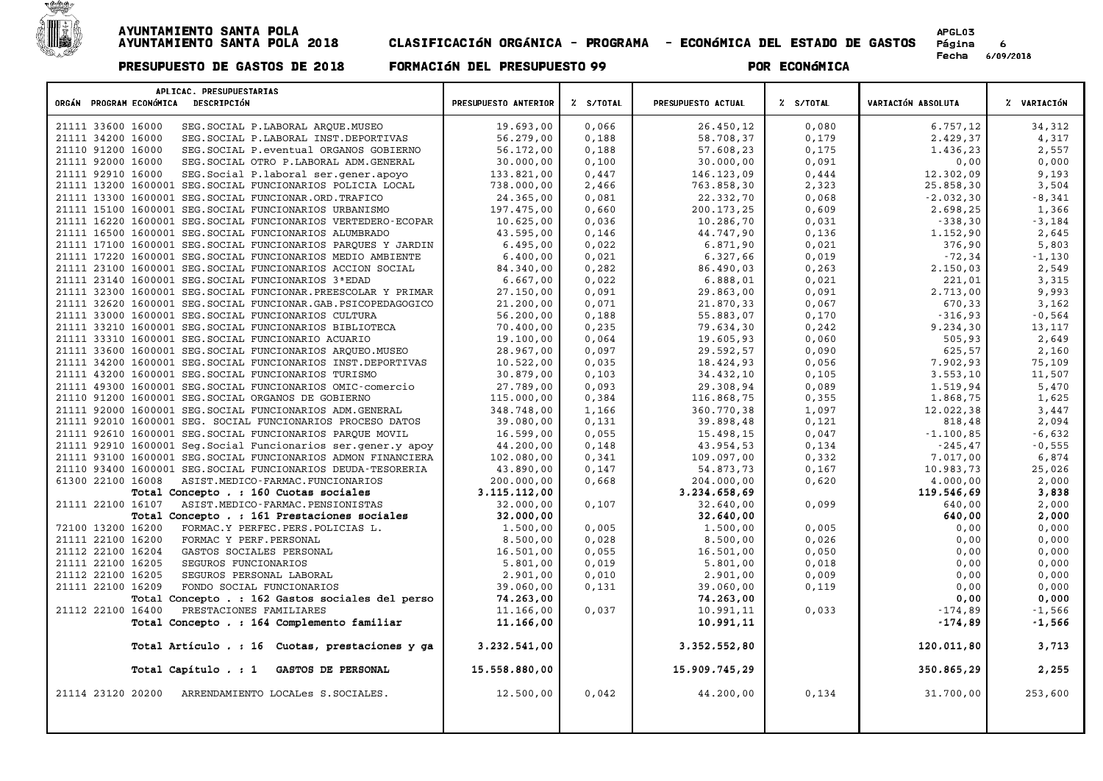

| APLICAC. PRESUPUESTARIAS<br>ORGÁN PROGRAM ECONÓMICA DESCRIPCIÓN | PRESUPUESTO ANTERIOR | Z S/TOTAL | PRESUPUESTO ACTUAL | Z S/TOTAL | VARIACIÓN ABSOLUTA | % VARIACIÓN |
|-----------------------------------------------------------------|----------------------|-----------|--------------------|-----------|--------------------|-------------|
|                                                                 |                      |           |                    |           |                    |             |
| 21111 33600 16000<br>SEG. SOCIAL P. LABORAL ARQUE. MUSEO        | 19.693,00            | 0,066     | 26.450,12          | 0.080     | 6.757,12           | 34,312      |
| 21111 34200 16000<br>SEG. SOCIAL P. LABORAL INST. DEPORTIVAS    | 56.279,00            | 0,188     | 58.708,37          | 0,179     | 2.429,37           | 4,317       |
| 21110 91200 16000<br>SEG. SOCIAL P. eventual ORGANOS GOBIERNO   | 56.172,00            | 0,188     | 57.608,23          | 0,175     | 1.436,23           | 2,557       |
| 21111 92000 16000<br>SEG. SOCIAL OTRO P. LABORAL ADM. GENERAL   | 30.000,00            | 0,100     | 30.000,00          | 0,091     | 0,00               | 0,000       |
| 21111 92910 16000<br>SEG. Social P. laboral ser. gener. apoyo   | 133.821,00           | 0,447     | 146.123,09         | 0,444     | 12.302,09          | 9,193       |
| 21111 13200 1600001 SEG. SOCIAL FUNCIONARIOS POLICIA LOCAL      | 738.000,00           | 2,466     | 763.858,30         | 2,323     | 25.858,30          | 3,504       |
| 21111 13300 1600001 SEG. SOCIAL FUNCIONAR. ORD. TRAFICO         | 24.365,00            | 0,081     | 22.332,70          | 0,068     | $-2.032, 30$       | $-8,341$    |
| 21111 15100 1600001 SEG. SOCIAL FUNCIONARIOS URBANISMO          | 197.475,00           | 0,660     | 200.173,25         | 0,609     | 2.698,25           | 1,366       |
| 21111 16220 1600001 SEG. SOCIAL FUNCIONARIOS VERTEDERO-ECOPAR   | 10.625,00            | 0,036     | 10.286,70          | 0,031     | $-338,30$          | $-3,184$    |
| 21111 16500 1600001 SEG. SOCIAL FUNCIONARIOS ALUMBRADO          | 43.595,00            | 0,146     | 44.747,90          | 0,136     | 1.152,90           | 2,645       |
| 21111 17100 1600001 SEG. SOCIAL FUNCIONARIOS PARQUES Y JARDIN   | 6.495.00             | 0.022     | 6.871,90           | 0.021     | 376,90             | 5,803       |
| 21111 17220 1600001 SEG. SOCIAL FUNCIONARIOS MEDIO AMBIENTE     | 6.400,00             | 0,021     | 6.327,66           | 0,019     | $-72, 34$          | $-1,130$    |
| 21111 23100 1600001 SEG. SOCIAL FUNCIONARIOS ACCION SOCIAL      | 84.340,00            | 0,282     | 86.490,03          | 0, 263    | 2.150,03           | 2,549       |
| 21111 23140 1600001 SEG. SOCIAL FUNCIONARIOS 3ª EDAD            | 6.667,00             | 0,022     | 6.888,01           | 0,021     | 221,01             | 3,315       |
| 21111 32300 1600001 SEG. SOCIAL FUNCIONAR. PREESCOLAR Y PRIMAR  | 27.150,00            | 0,091     | 29.863,00          | 0,091     | 2.713,00           | 9,993       |
| 21111 32620 1600001 SEG. SOCIAL FUNCIONAR. GAB. PSICOPEDAGOGICO | 21.200,00            | 0,071     | 21.870,33          | 0,067     | 670,33             | 3,162       |
| 21111 33000 1600001 SEG. SOCIAL FUNCIONARIOS CULTURA            | 56.200,00            | 0,188     | 55.883,07          | 0,170     | $-316,93$          | $-0,564$    |
| 21111 33210 1600001 SEG. SOCIAL FUNCIONARIOS BIBLIOTECA         | 70.400,00            | 0,235     | 79.634,30          | 0,242     | 9.234,30           | 13,117      |
| 21111 33310 1600001 SEG. SOCIAL FUNCIONARIO ACUARIO             | 19.100,00            | 0.064     | 19.605,93          | 0,060     | 505,93             | 2,649       |
| 21111 33600 1600001 SEG. SOCIAL FUNCIONARIOS ARQUEO. MUSEO      | 28.967,00            | 0,097     | 29.592,57          | 0,090     | 625,57             | 2,160       |
| 21111 34200 1600001 SEG. SOCIAL FUNCIONARIOS INST. DEPORTIVAS   | 10.522,00            | 0,035     | 18.424,93          | 0,056     | 7.902,93           | 75,109      |
| 21111 43200 1600001 SEG. SOCIAL FUNCIONARIOS TURISMO            | 30.879,00            | 0,103     | 34.432,10          | 0,105     | 3.553, 10          | 11,507      |
| 21111 49300 1600001 SEG. SOCIAL FUNCIONARIOS OMIC-comercio      | 27.789,00            | 0,093     | 29.308,94          | 0,089     | 1.519,94           | 5,470       |
| 21110 91200 1600001 SEG. SOCIAL ORGANOS DE GOBIERNO             | 115.000,00           | 0,384     | 116.868,75         | 0,355     | 1.868,75           | 1,625       |
| 21111 92000 1600001 SEG. SOCIAL FUNCIONARIOS ADM. GENERAL       | 348.748,00           | 1,166     | 360.770,38         | 1,097     | 12.022,38          | 3,447       |
| 21111 92010 1600001 SEG. SOCIAL FUNCIONARIOS PROCESO DATOS      | 39.080,00            | 0,131     | 39.898,48          | 0,121     | 818,48             | 2,094       |
| 21111 92610 1600001 SEG. SOCIAL FUNCIONARIOS PAROUE MOVIL       | 16.599,00            | 0,055     | 15.498,15          | 0,047     | $-1.100, 85$       | $-6,632$    |
| 21111 92910 1600001 Seg. Social Funcionarios ser. gener. y apoy | 44.200,00            | 0,148     | 43.954,53          | 0,134     | $-245, 47$         | $-0,555$    |
| 21111 93100 1600001 SEG. SOCIAL FUNCIONARIOS ADMON FINANCIERA   | 102.080,00           | 0,341     | 109.097,00         | 0,332     | 7.017,00           | 6,874       |
| 21110 93400 1600001 SEG. SOCIAL FUNCIONARIOS DEUDA-TESORERIA    | 43.890,00            | 0,147     | 54.873,73          | 0,167     | 10.983,73          | 25,026      |
| 61300 22100 16008<br>ASIST.MEDICO-FARMAC.FUNCIONARIOS           | 200.000,00           | 0,668     | 204.000,00         | 0,620     | 4,000,00           | 2,000       |
| Total Concepto . : 160 Cuotas sociales                          | 3.115.112,00         |           | 3.234.658,69       |           | 119.546,69         | 3,838       |
| 21111 22100 16107<br>ASIST.MEDICO-FARMAC.PENSIONISTAS           | 32.000,00            | 0,107     | 32.640,00          | 0,099     | 640,00             | 2,000       |
| Total Concepto . : 161 Prestaciones sociales                    | 32.000,00            |           | 32.640,00          |           | 640,00             | 2,000       |
| 72100 13200 16200<br>FORMAC.Y PERFEC.PERS.POLICIAS L.           | 1,500,00             | 0,005     | 1,500,00           | 0,005     | 0,00               | 0,000       |
| 21111 22100 16200<br>FORMAC Y PERF. PERSONAL                    | 8.500,00             | 0,028     | 8.500,00           | 0,026     | 0,00               | 0,000       |
| 21112 22100 16204<br>GASTOS SOCIALES PERSONAL                   | 16.501,00            | 0,055     | 16.501,00          | 0,050     | 0,00               | 0,000       |
| 21111 22100 16205<br>SEGUROS FUNCIONARIOS                       | 5.801,00             | 0,019     | 5.801,00           | 0,018     | 0,00               | 0,000       |
| 21112 22100 16205<br>SEGUROS PERSONAL LABORAL                   | 2.901,00             | 0,010     | 2.901,00           | 0,009     | 0,00               | 0,000       |
| 21111 22100 16209<br>FONDO SOCIAL FUNCIONARIOS                  | 39.060,00            | 0,131     | 39.060,00          | 0,119     | 0,00               | 0,000       |
| Total Concepto . : 162 Gastos sociales del perso                | 74.263,00            |           | 74.263,00          |           | 0,00               | 0,000       |
| 21112 22100 16400<br>PRESTACIONES FAMILIARES                    | 11.166,00            | 0,037     | 10.991,11          | 0,033     | $-174,89$          | $-1,566$    |
| Total Concepto . : 164 Complemento familiar                     | 11,166,00            |           | 10.991,11          |           | $-174,89$          | -1,566      |
| Total Artículo . : 16 Cuotas, prestaciones y ga                 | 3.232.541,00         |           | 3.352.552,80       |           | 120.011,80         | 3,713       |
| Total Capítulo . : 1<br>GASTOS DE PERSONAL                      | 15.558.880,00        |           | 15.909.745,29      |           | 350.865,29         | 2,255       |
| 21114 23120 20200<br>ARRENDAMIENTO LOCALes S.SOCIALES.          | 12,500,00            | 0,042     | 44,200,00          | 0,134     | 31.700,00          | 253,600     |
|                                                                 |                      |           |                    |           |                    |             |
|                                                                 |                      |           |                    |           |                    |             |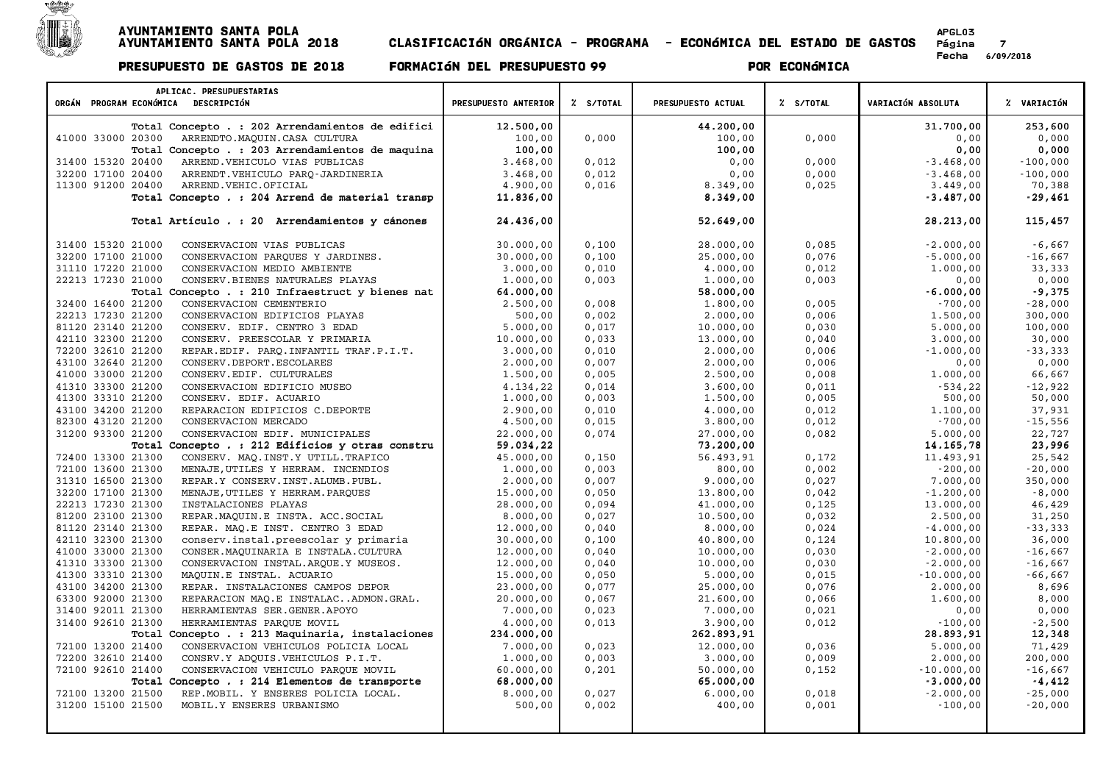

Página 7<br>Fecha 6/09/2018

| APLICAC. PRESUPUESTARIAS                                   |                      |           |                    |           |                    |             |
|------------------------------------------------------------|----------------------|-----------|--------------------|-----------|--------------------|-------------|
| ORGÁN PROGRAM ECONÓMICA DESCRIPCIÓN                        | PRESUPUESTO ANTERIOR | % S/TOTAL | PRESUPUESTO ACTUAL | % S/TOTAL | VARIACIÓN ABSOLUTA | Z VARIACIÓN |
| Total Concepto . : 202 Arrendamientos de edifici           | 12.500,00            |           | 44.200,00          |           | 31.700,00          | 253,600     |
| 41000 33000 20300<br>ARRENDTO.MAQUIN.CASA CULTURA          | 100,00               | 0,000     | 100,00             | 0,000     | 0,00               | 0,000       |
| Total Concepto . : 203 Arrendamientos de maquina           | 100,00               |           | 100,00             |           | 0,00               | 0,000       |
| 31400 15320 20400<br>ARREND. VEHICULO VIAS PUBLICAS        | 3.468,00             | 0,012     | 0,00               | 0,000     | $-3.468,00$        | $-100,000$  |
| 32200 17100 20400<br>ARRENDT.VEHICULO PARO-JARDINERIA      | 3.468,00             | 0,012     | 0,00               | 0,000     | $-3.468,00$        | $-100,000$  |
| 11300 91200 20400<br>ARREND. VEHIC. OFICIAL                | 4.900,00             | 0,016     | 8.349,00           | 0,025     | 3.449,00           | 70,388      |
| Total Concepto . : 204 Arrend de material transp           | 11.836,00            |           | 8.349,00           |           | $-3.487,00$        | $-29,461$   |
| Total Artículo . : 20 Arrendamientos y cánones             | 24.436,00            |           | 52.649,00          |           | 28.213,00          | 115,457     |
| 31400 15320 21000<br>CONSERVACION VIAS PUBLICAS            | 30.000,00            | 0,100     | 28.000,00          | 0,085     | $-2.000,00$        | $-6,667$    |
| 32200 17100 21000<br>CONSERVACION PARQUES Y JARDINES.      | 30.000,00            | 0,100     | 25.000,00          | 0,076     | $-5.000,00$        | $-16,667$   |
| 31110 17220 21000<br>CONSERVACION MEDIO AMBIENTE           | 3.000,00             | 0,010     | 4.000,00           | 0,012     | 1,000,00           | 33,333      |
| 22213 17230 21000<br>CONSERV. BIENES NATURALES PLAYAS      | 1,000,00             | 0,003     | 1.000,00           | 0,003     | 0,00               | 0,000       |
| Total Concepto . : 210 Infraestruct y bienes nat           | 64.000,00            |           | 58.000,00          |           | $-6.000,00$        | $-9,375$    |
| 32400 16400 21200<br>CONSERVACION CEMENTERIO               | 2.500,00             | 0,008     | 1.800,00           | 0,005     | $-700,00$          | $-28,000$   |
| 22213 17230 21200<br>CONSERVACION EDIFICIOS PLAYAS         | 500,00               | 0,002     | 2.000,00           | 0,006     | 1.500,00           | 300,000     |
| 81120 23140 21200<br>CONSERV. EDIF. CENTRO 3 EDAD          | 5.000,00             | 0,017     | 10.000,00          | 0,030     | 5.000,00           | 100,000     |
| 42110 32300 21200<br>CONSERV. PREESCOLAR Y PRIMARIA        | 10.000,00            | 0,033     | 13.000,00          | 0,040     | 3.000,00           | 30,000      |
| 72200 32610 21200<br>REPAR.EDIF. PARQ.INFANTIL TRAF.P.I.T. | 3.000,00             | 0,010     | 2.000,00           | 0,006     | $-1.000,00$        | $-33,333$   |
| 43100 32640 21200<br>CONSERV.DEPORT.ESCOLARES              | 2,000,00             | 0,007     | 2,000,00           | 0,006     | 0,00               | 0,000       |
| 41000 33000 21200<br>CONSERV. EDIF. CULTURALES             | 1.500,00             | 0,005     | 2.500,00           | 0,008     | 1.000,00           | 66,667      |
| 41310 33300 21200<br>CONSERVACION EDIFICIO MUSEO           | 4.134,22             | 0,014     | 3.600,00           | 0,011     | $-534,22$          | $-12,922$   |
| 41300 33310 21200<br>CONSERV. EDIF. ACUARIO                | 1.000,00             | 0,003     | 1.500,00           | 0,005     | 500,00             | 50,000      |
| 43100 34200 21200<br>REPARACION EDIFICIOS C.DEPORTE        | 2.900,00             | 0,010     | 4.000,00           | 0,012     | 1,100,00           | 37,931      |
| 82300 43120 21200<br>CONSERVACION MERCADO                  | 4.500,00             | 0,015     | 3.800,00           | 0,012     | $-700,00$          | $-15,556$   |
| 31200 93300 21200<br>CONSERVACION EDIF. MUNICIPALES        | 22.000,00            | 0,074     | 27.000,00          | 0,082     | 5.000,00           | 22,727      |
| Total Concepto . : 212 Edificios y otras constru           | 59.034,22            |           | 73.200,00          |           | 14.165,78          | 23,996      |
| 72400 13300 21300<br>CONSERV. MAQ. INST. Y UTILL. TRAFICO  | 45.000,00            | 0,150     | 56.493,91          | 0,172     | 11,493,91          | 25,542      |
| 72100 13600 21300<br>MENAJE, UTILES Y HERRAM. INCENDIOS    | 1.000,00             | 0,003     | 800,00             | 0,002     | $-200,00$          | $-20,000$   |
| 31310 16500 21300<br>REPAR.Y CONSERV. INST. ALUMB. PUBL.   | 2,000,00             | 0,007     | 9.000,00           | 0,027     | 7.000,00           | 350,000     |
| 32200 17100 21300<br>MENAJE, UTILES Y HERRAM. PARQUES      | 15.000,00            | 0,050     | 13.800,00          | 0,042     | $-1.200,00$        | $-8,000$    |
| 22213 17230 21300<br>INSTALACIONES PLAYAS                  | 28.000,00            | 0,094     | 41.000,00          | 0,125     | 13.000,00          | 46,429      |
| 81200 23100 21300<br>REPAR. MAQUIN.E INSTA. ACC. SOCIAL    | 8.000,00             | 0,027     | 10.500,00          | 0,032     | 2.500,00           | 31,250      |
| 81120 23140 21300<br>REPAR. MAQ.E INST. CENTRO 3 EDAD      | 12.000,00            | 0,040     | 8.000,00           | 0,024     | $-4.000,00$        | $-33,333$   |
| 42110 32300 21300<br>conserv.instal.preescolar y primaria  | 30.000,00            | 0,100     | 40.800,00          | 0,124     | 10.800,00          | 36,000      |
| 41000 33000 21300<br>CONSER. MAQUINARIA E INSTALA. CULTURA | 12.000,00            | 0,040     | 10.000,00          | 0,030     | $-2.000,00$        | $-16,667$   |
| 41310 33300 21300<br>CONSERVACION INSTAL. ARQUE. Y MUSEOS. | 12.000,00            | 0,040     | 10.000,00          | 0,030     | $-2.000,00$        | $-16,667$   |
| 41300 33310 21300<br>MAQUIN.E INSTAL. ACUARIO              | 15.000,00            | 0,050     | 5.000,00           | 0,015     | $-10.000,00$       | $-66,667$   |
| 43100 34200 21300<br>REPAR. INSTALACIONES CAMPOS DEPOR     | 23.000,00            | 0,077     | 25.000,00          | 0,076     | 2.000,00           | 8,696       |
| 63300 92000 21300<br>REPARACION MAQ.E INSTALACADMON.GRAL.  | 20.000,00            | 0,067     | 21.600,00          | 0,066     | 1.600,00           | 8,000       |
| 31400 92011 21300<br>HERRAMIENTAS SER.GENER.APOYO          | 7.000,00             | 0,023     | 7.000,00           | 0,021     | 0,00               | 0,000       |
| 31400 92610 21300<br>HERRAMIENTAS PARQUE MOVIL             | 4,000,00             | 0,013     | 3.900,00           | 0,012     | $-100,00$          | $-2,500$    |
| Total Concepto . : 213 Maquinaria, instalaciones           | 234.000,00           |           | 262.893,91         |           | 28.893,91          | 12,348      |
| 72100 13200 21400<br>CONSERVACION VEHICULOS POLICIA LOCAL  | 7.000,00             | 0,023     | 12.000,00          | 0.036     | 5.000,00           | 71,429      |
| 72200 32610 21400<br>CONSRV.Y ADQUIS.VEHICULOS P.I.T.      | 1,000,00             | 0,003     | 3.000,00           | 0,009     | 2.000,00           | 200,000     |
| 72100 92610 21400<br>CONSERVACION VEHICULO PARQUE MOVIL    | 60.000,00            | 0,201     | 50.000,00          | 0,152     | $-10.000,00$       | $-16,667$   |
| Total Concepto . : 214 Elementos de transporte             | 68.000,00            |           | 65.000,00          |           | $-3.000,00$        | $-4,412$    |
| 72100 13200 21500<br>REP.MOBIL. Y ENSERES POLICIA LOCAL.   | 8.000,00             | 0,027     | 6.000,00           | 0,018     | $-2.000,00$        | $-25,000$   |
| 31200 15100 21500<br>MOBIL.Y ENSERES URBANISMO             | 500,00               | 0,002     | 400,00             | 0,001     | $-100,00$          | $-20,000$   |
|                                                            |                      |           |                    |           |                    |             |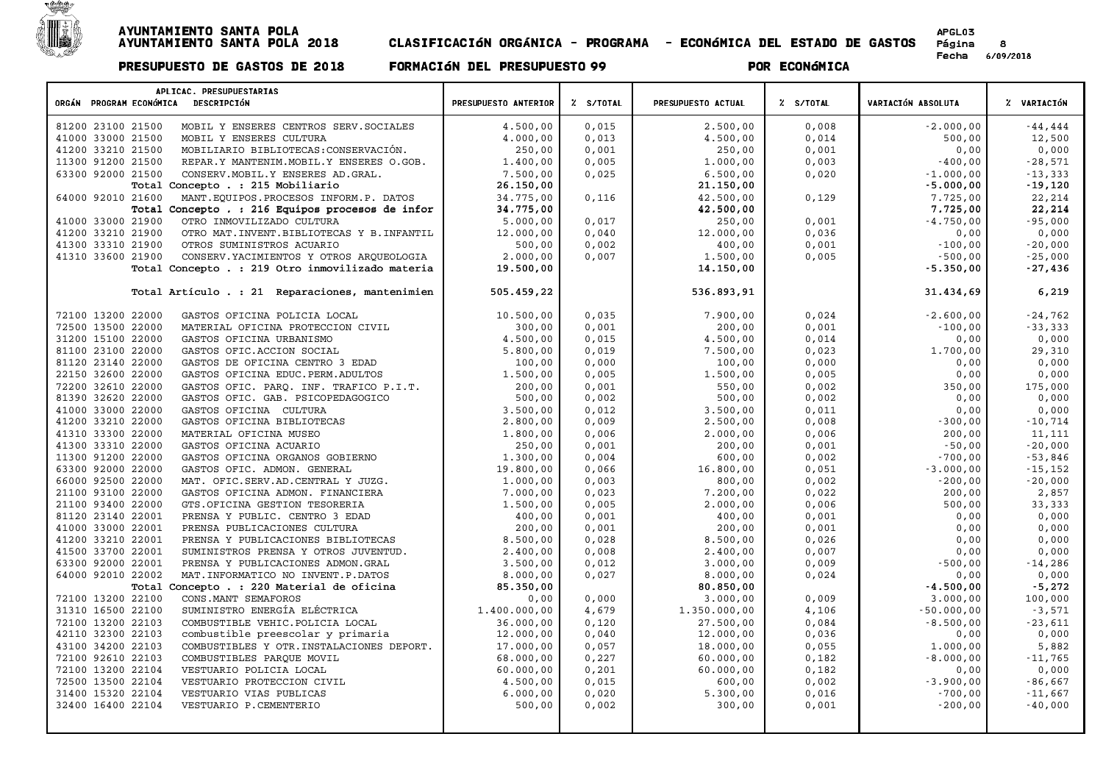

 $\mathsf{r}$ 

| APLICAC. PRESUPUESTARIAS<br>ORGÁN PROGRAM ECONÓMICA DESCRIPCIÓN                        | PRESUPUESTO ANTERIOR | Z S/TOTAL      | PRESUPUESTO ACTUAL | Z S/TOTAL      | VARIACIÓN ABSOLUTA  | % VARIACIÓN        |
|----------------------------------------------------------------------------------------|----------------------|----------------|--------------------|----------------|---------------------|--------------------|
|                                                                                        |                      |                |                    |                |                     |                    |
| 81200 23100 21500<br>MOBIL Y ENSERES CENTROS SERV. SOCIALES                            | 4.500,00             | 0,015          | 2,500,00           | 0.008          | $-2.000,00$         | $-44, 444$         |
| 41000 33000 21500<br>MOBIL Y ENSERES CULTURA                                           | 4.000,00             | 0,013          | 4.500,00           | 0,014          | 500,00              | 12,500             |
| 41200 33210 21500<br>MOBILIARIO BIBLIOTECAS: CONSERVACIÓN.                             | 250,00               | 0,001          | 250,00             | 0,001          | 0,00                | 0,000              |
| 11300 91200 21500<br>REPAR.Y MANTENIM. MOBIL.Y ENSERES O.GOB.                          | 1.400,00             | 0,005          | 1.000,00           | 0,003          | $-400,00$           | $-28,571$          |
| 63300 92000 21500<br>CONSERV. MOBIL. Y ENSERES AD. GRAL.                               | 7.500,00             | 0,025          | 6.500,00           | 0,020          | $-1.000,00$         | $-13, 333$         |
| Total Concepto . : 215 Mobiliario                                                      | 26,150,00            |                | 21.150,00          |                | $-5.000,00$         | $-19,120$          |
| 64000 92010 21600<br>MANT. EQUIPOS. PROCESOS INFORM. P. DATOS                          | 34.775,00            | 0,116          | 42.500,00          | 0,129          | 7.725,00            | 22,214             |
| Total Concepto . : 216 Equipos procesos de infor                                       | 34.775,00            |                | 42.500,00          |                | 7.725,00            | 22,214             |
| 41000 33000 21900<br>OTRO INMOVILIZADO CULTURA                                         | 5.000,00             | 0,017          | 250,00             | 0,001          | $-4.750,00$         | $-95,000$          |
| 41200 33210 21900<br>OTRO MAT. INVENT. BIBLIOTECAS Y B. INFANTIL                       | 12.000,00            | 0,040          | 12.000,00          | 0,036          | 0,00                | 0,000              |
| 41300 33310 21900<br>OTROS SUMINISTROS ACUARIO                                         | 500,00               | 0,002          | 400,00             | 0,001          | $-100.00$           | $-20.000$          |
| 41310 33600 21900<br>CONSERV. YACIMIENTOS Y OTROS ARQUEOLOGIA                          | 2.000,00             | 0,007          | 1.500,00           | 0,005          | $-500,00$           | $-25,000$          |
| Total Concepto . : 219 Otro inmovilizado materia                                       | 19.500,00            |                | 14.150,00          |                | $-5.350,00$         | $-27,436$          |
| Total Artículo . : 21 Reparaciones, mantenimien                                        | 505.459,22           |                | 536.893,91         |                | 31.434,69           | 6,219              |
| 72100 13200 22000<br>GASTOS OFICINA POLICIA LOCAL                                      | 10.500,00            | 0.035          | 7.900,00           | 0,024          | $-2.600,00$         | $-24,762$          |
| 72500 13500 22000<br>MATERIAL OFICINA PROTECCION CIVIL                                 | 300,00               | 0,001          | 200,00             | 0,001          | $-100,00$           | $-33,333$          |
| 31200 15100 22000<br>GASTOS OFICINA URBANISMO                                          | 4.500,00             | 0,015          | 4.500,00           | 0,014          | 0,00                | 0,000              |
| 81100 23100 22000<br>GASTOS OFIC. ACCION SOCIAL                                        | 5.800,00             | 0,019          | 7.500,00           | 0,023          | 1.700,00            | 29,310             |
| 81120 23140 22000<br>GASTOS DE OFICINA CENTRO 3 EDAD                                   | 100,00               | 0,000          | 100,00             | 0,000          | 0,00                | 0,000              |
| 22150 32600 22000<br>GASTOS OFICINA EDUC. PERM. ADULTOS                                | 1.500,00             | 0,005          | 1.500,00           | 0,005          | 0,00                | 0,000              |
| 72200 32610 22000<br>GASTOS OFIC. PARQ. INF. TRAFICO P.I.T.                            | 200,00               | 0,001          | 550,00             | 0,002          | 350,00              | 175,000            |
| 81390 32620 22000<br>GASTOS OFIC. GAB. PSICOPEDAGOGICO                                 | 500,00               | 0,002          | 500,00             | 0,002          | 0,00                | 0,000              |
| 41000 33000 22000<br>GASTOS OFICINA CULTURA                                            | 3.500,00             | 0,012          | 3.500,00           | 0,011          | 0,00                | 0,000              |
| 41200 33210 22000<br>GASTOS OFICINA BIBLIOTECAS                                        | 2.800,00             | 0,009          | 2.500,00           | 0,008          | $-300,00$           | $-10,714$          |
| 41310 33300 22000<br>MATERIAL OFICINA MUSEO                                            | 1,800,00             | 0,006          | 2.000,00           | 0,006          | 200,00              | 11,111             |
| 41300 33310 22000<br>GASTOS OFICINA ACUARIO                                            | 250,00               | 0,001          | 200,00             | 0,001          | $-50,00$            | $-20,000$          |
| 11300 91200 22000<br>GASTOS OFICINA ORGANOS GOBIERNO                                   | 1.300,00             | 0,004          | 600,00             | 0,002          | $-700,00$           | $-53,846$          |
| 63300 92000 22000<br>GASTOS OFIC. ADMON. GENERAL                                       | 19.800,00            | 0,066          | 16.800,00          | 0,051          | $-3.000,00$         | $-15, 152$         |
| 66000 92500 22000<br>MAT. OFIC.SERV.AD.CENTRAL Y JUZG.<br>21100 93100 22000            | 1,000,00<br>7.000,00 | 0,003<br>0,023 | 800,00<br>7.200,00 | 0,002<br>0,022 | $-200,00$<br>200,00 | $-20,000$<br>2,857 |
| GASTOS OFICINA ADMON. FINANCIERA<br>21100 93400 22000<br>GTS.OFICINA GESTION TESORERIA | 1,500,00             | 0,005          | 2.000,00           | 0,006          | 500,00              | 33,333             |
| 81120 23140 22001<br>PRENSA Y PUBLIC. CENTRO 3 EDAD                                    | 400,00               | 0,001          | 400,00             | 0,001          | 0,00                | 0,000              |
| 41000 33000 22001<br>PRENSA PUBLICACIONES CULTURA                                      | 200,00               | 0,001          | 200,00             | 0,001          | 0,00                | 0,000              |
| 41200 33210 22001<br>PRENSA Y PUBLICACIONES BIBLIOTECAS                                | 8.500,00             | 0,028          | 8.500,00           | 0,026          | 0,00                | 0,000              |
| 41500 33700 22001<br>SUMINISTROS PRENSA Y OTROS JUVENTUD.                              | 2.400,00             | 0,008          | 2.400,00           | 0,007          | 0,00                | 0,000              |
| 63300 92000 22001<br>PRENSA Y PUBLICACIONES ADMON.GRAL                                 | 3.500,00             | 0,012          | 3.000,00           | 0,009          | $-500,00$           | $-14,286$          |
| 64000 92010 22002<br>MAT. INFORMATICO NO INVENT. P. DATOS                              | 8.000,00             | 0,027          | 8.000,00           | 0,024          | 0,00                | 0,000              |
| Total Concepto . : 220 Material de oficina                                             | 85.350,00            |                | 80.850,00          |                | $-4.500,00$         | $-5,272$           |
| 72100 13200 22100<br>CONS. MANT SEMAFOROS                                              | 0,00                 | 0,000          | 3.000,00           | 0,009          | 3.000,00            | 100,000            |
| 31310 16500 22100<br>SUMINISTRO ENERGÍA ELÉCTRICA                                      | 1.400.000,00         | 4,679          | 1.350.000,00       | 4,106          | $-50.000,00$        | $-3,571$           |
| 72100 13200 22103<br>COMBUSTIBLE VEHIC. POLICIA LOCAL                                  | 36.000,00            | 0,120          | 27.500,00          | 0,084          | $-8.500,00$         | $-23,611$          |
| 42110 32300 22103<br>combustible preescolar y primaria                                 | 12.000,00            | 0,040          | 12.000,00          | 0,036          | 0,00                | 0,000              |
| 43100 34200 22103<br>COMBUSTIBLES Y OTR. INSTALACIONES DEPORT.                         | 17.000,00            | 0,057          | 18.000,00          | 0,055          | 1.000,00            | 5,882              |
| 72100 92610 22103<br>COMBUSTIBLES PARQUE MOVIL                                         | 68.000,00            | 0,227          | 60.000,00          | 0,182          | $-8.000,00$         | $-11,765$          |
| 72100 13200 22104<br>VESTUARIO POLICIA LOCAL                                           | 60.000,00            | 0,201          | 60.000,00          | 0,182          | 0,00                | 0,000              |
| 72500 13500 22104<br>VESTUARIO PROTECCION CIVIL                                        | 4.500,00             | 0,015          | 600,00             | 0,002          | $-3.900,00$         | $-86,667$          |
| 31400 15320 22104<br>VESTUARIO VIAS PUBLICAS                                           | 6.000,00             | 0,020          | 5.300,00           | 0,016          | $-700,00$           | $-11,667$          |
| 32400 16400 22104<br>VESTUARIO P.CEMENTERIO                                            | 500,00               | 0,002          | 300,00             | 0,001          | $-200,00$           | $-40,000$          |
|                                                                                        |                      |                |                    |                |                     |                    |
|                                                                                        |                      |                |                    |                |                     |                    |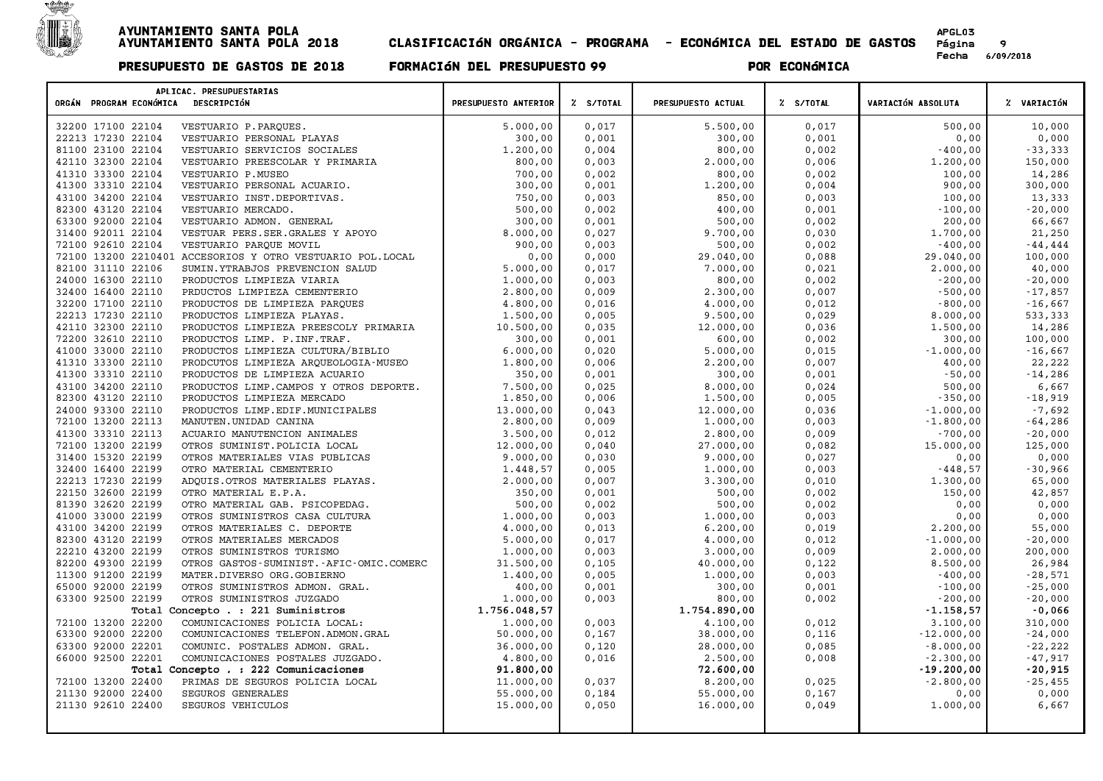

Página 9<br>Fecha 6/09/2018

| ORGÁN PROGRAM ECONÓMICA DESCRIPCIÓN    | APLICAC. PRESUPUESTARIAS                                                             | PRESUPUESTO ANTERIOR     | % S/TOTAL      | PRESUPUESTO ACTUAL   | % S/TOTAL      | VARIACIÓN ABSOLUTA     | % VARIACIÓN            |
|----------------------------------------|--------------------------------------------------------------------------------------|--------------------------|----------------|----------------------|----------------|------------------------|------------------------|
|                                        |                                                                                      |                          | 0,017          |                      | 0,017          | 500,00                 |                        |
| 32200 17100 22104                      | VESTUARIO P.PARQUES.                                                                 | 5.000,00                 |                | 5.500,00             |                |                        | 10,000                 |
| 22213 17230 22104<br>81100 23100 22104 | VESTUARIO PERSONAL PLAYAS<br>VESTUARIO SERVICIOS SOCIALES                            | 300,00<br>1.200,00       | 0,001<br>0,004 | 300,00<br>800,00     | 0,001<br>0,002 | 0,00<br>$-400,00$      | 0,000<br>$-33,333$     |
|                                        |                                                                                      |                          |                |                      |                |                        |                        |
| 42110 32300 22104                      | VESTUARIO PREESCOLAR Y PRIMARIA                                                      | 800,00                   | 0,003          | 2.000,00             | 0,006          | 1.200,00               | 150,000                |
| 41310 33300 22104                      | VESTUARIO P.MUSEO                                                                    | 700,00                   | 0,002          | 800,00               | 0,002          | 100,00                 | 14,286                 |
| 41300 33310 22104                      | VESTUARIO PERSONAL ACUARIO.                                                          | 300,00                   | 0,001          | 1.200,00             | 0,004          | 900,00                 | 300,000                |
| 43100 34200 22104                      | VESTUARIO INST.DEPORTIVAS.                                                           | 750,00                   | 0,003          | 850,00               | 0,003          | 100,00                 | 13,333                 |
| 82300 43120 22104                      | VESTUARIO MERCADO.                                                                   | 500,00                   | 0,002          | 400,00               | 0,001          | $-100,00$              | $-20,000$              |
| 63300 92000 22104<br>31400 92011 22104 | VESTUARIO ADMON. GENERAL<br>VESTUAR PERS. SER. GRALES Y APOYO                        | 300,00<br>8.000,00       | 0,001<br>0,027 | 500,00<br>9.700,00   | 0,002<br>0,030 | 200,00<br>1.700,00     | 66,667<br>21,250       |
| 72100 92610 22104                      |                                                                                      |                          |                |                      |                |                        |                        |
|                                        | VESTUARIO PARQUE MOVIL<br>72100 13200 2210401 ACCESORIOS Y OTRO VESTUARIO POL. LOCAL | 900,00<br>0,00           | 0,003<br>0,000 | 500,00<br>29.040,00  | 0,002<br>0,088 | $-400,00$<br>29.040,00 | $-44, 444$<br>100,000  |
| 82100 31110 22106                      | SUMIN.YTRABJOS PREVENCION SALUD                                                      | 5.000,00                 | 0,017          | 7.000,00             |                | 2.000,00               | 40,000                 |
| 24000 16300 22110                      | PRODUCTOS LIMPIEZA VIARIA                                                            | 1.000,00                 | 0,003          | 800,00               | 0,021<br>0,002 | $-200,00$              | $-20,000$              |
| 32400 16400 22110                      |                                                                                      |                          | 0,009          |                      |                | $-500,00$              |                        |
| 32200 17100 22110                      | PRDUCTOS LIMPIEZA CEMENTERIO                                                         | 2.800,00<br>4.800,00     |                | 2.300,00<br>4.000,00 | 0,007<br>0,012 | $-800,00$              | $-17,857$<br>$-16,667$ |
|                                        | PRODUCTOS DE LIMPIEZA PARQUES                                                        |                          | 0,016          |                      |                |                        |                        |
| 22213 17230 22110<br>42110 32300 22110 | PRODUCTOS LIMPIEZA PLAYAS.                                                           | 1.500,00                 | 0,005<br>0,035 | 9.500,00             | 0,029          | 8.000,00               | 533,333                |
|                                        | PRODUCTOS LIMPIEZA PREESCOLY PRIMARIA                                                | 10.500,00                |                | 12.000,00            | 0,036          | 1.500,00               | 14,286                 |
| 72200 32610 22110                      | PRODUCTOS LIMP. P. INF. TRAF.                                                        | 300,00                   | 0,001          | 600,00               | 0,002          | 300,00                 | 100,000                |
| 41000 33000 22110                      | PRODUCTOS LIMPIEZA CULTURA/BIBLIO                                                    | 6.000,00                 | 0,020          | 5.000,00             | 0,015          | $-1.000,00$            | $-16,667$              |
| 41310 33300 22110                      | PRODCUTOS LIMPIEZA ARQUEOLOGIA-MUSEO                                                 | 1,800,00                 | 0,006          | 2,200,00             | 0,007          | 400,00                 | 22,222                 |
| 41300 33310 22110                      | PRODUCTOS DE LIMPIEZA ACUARIO                                                        | 350,00                   | 0,001          | 300,00               | 0,001          | $-50,00$               | $-14,286$              |
| 43100 34200 22110                      | PRODUCTOS LIMP. CAMPOS Y OTROS DEPORTE.                                              | 7.500,00                 | 0,025          | 8.000,00             | 0,024          | 500,00                 | 6,667                  |
| 82300 43120 22110<br>24000 93300 22110 | PRODUCTOS LIMPIEZA MERCADO                                                           | 1.850,00                 | 0,006          | 1.500,00             | 0,005          | $-350,00$              | $-18,919$              |
|                                        | PRODUCTOS LIMP.EDIF.MUNICIPALES                                                      | 13.000,00                | 0,043          | 12.000,00            | 0,036          | $-1.000,00$            | $-7,692$               |
| 72100 13200 22113                      | MANUTEN.UNIDAD CANINA                                                                | 2.800,00                 | 0,009          | 1.000,00             | 0,003          | $-1.800,00$            | $-64,286$              |
| 41300 33310 22113                      | ACUARIO MANUTENCION ANIMALES                                                         | 3.500,00                 | 0,012          | 2.800,00             | 0,009          | $-700,00$              | $-20,000$              |
| 72100 13200 22199                      | OTROS SUMINIST. POLICIA LOCAL                                                        | 12.000,00                | 0,040          | 27.000,00            | 0,082          | 15.000,00              | 125,000                |
| 31400 15320 22199<br>32400 16400 22199 | OTROS MATERIALES VIAS PUBLICAS                                                       | 9.000,00                 | 0,030<br>0,005 | 9.000,00             | 0,027          | 0,00<br>$-448,57$      | 0,000                  |
|                                        | OTRO MATERIAL CEMENTERIO                                                             | 1.448,57                 |                | 1.000,00             | 0,003          |                        | $-30,966$              |
| 22213 17230 22199<br>22150 32600 22199 | ADQUIS.OTROS MATERIALES PLAYAS.                                                      | 2.000,00<br>350,00       | 0,007<br>0,001 | 3.300,00<br>500,00   | 0,010<br>0,002 | 1.300,00<br>150,00     | 65,000<br>42,857       |
|                                        | OTRO MATERIAL E.P.A.                                                                 |                          |                |                      |                |                        |                        |
| 81390 32620 22199<br>41000 33000 22199 | OTRO MATERIAL GAB. PSICOPEDAG.                                                       | 500,00                   | 0,002          | 500,00               | 0,002          | 0,00<br>0,00           | 0,000<br>0,000         |
|                                        | OTROS SUMINISTROS CASA CULTURA                                                       | 1.000,00                 | 0,003          | 1.000,00             | 0,003          |                        |                        |
| 43100 34200 22199<br>82300 43120 22199 | OTROS MATERIALES C. DEPORTE                                                          | 4.000,00                 | 0,013          | 6.200,00             | 0,019          | 2,200,00               | 55,000                 |
| 22210 43200 22199                      | OTROS MATERIALES MERCADOS                                                            | 5.000,00                 | 0,017<br>0,003 | 4.000,00             | 0,012          | $-1.000,00$            | $-20,000$              |
| 82200 49300 22199                      | OTROS SUMINISTROS TURISMO                                                            | 1.000,00                 | 0,105          | 3.000,00             | 0,009<br>0,122 | 2.000,00<br>8.500,00   | 200,000<br>26,984      |
|                                        | OTROS GASTOS-SUMINIST.-AFIC-OMIC.COMERC                                              | 31.500,00                |                | 40.000,00            |                |                        |                        |
| 11300 91200 22199                      | MATER.DIVERSO ORG.GOBIERNO                                                           | 1.400,00                 | 0,005          | 1.000,00             | 0,003          | $-400,00$              | $-28,571$              |
| 65000 92000 22199                      | OTROS SUMINISTROS ADMON. GRAL.                                                       | 400,00                   | 0,001          | 300,00               | 0,001          | $-100,00$<br>$-200,00$ | $-25,000$              |
| 63300 92500 22199                      | OTROS SUMINISTROS JUZGADO                                                            | 1,000,00<br>1.756.048,57 | 0,003          | 800,00               | 0,002          | $-1.158, 57$           | $-20,000$              |
|                                        | Total Concepto . : 221 Suministros                                                   |                          |                | 1.754.890,00         |                |                        | $-0,066$               |
| 72100 13200 22200                      | COMUNICACIONES POLICIA LOCAL:                                                        | 1,000,00                 | 0,003          | 4.100,00             | 0,012          | 3.100,00               | 310,000                |
| 63300 92000 22200                      | COMUNICACIONES TELEFON.ADMON.GRAL                                                    | 50.000,00                | 0,167          | 38.000,00            | 0,116          | $-12.000,00$           | $-24,000$              |
| 63300 92000 22201                      | COMUNIC. POSTALES ADMON. GRAL.                                                       | 36.000,00                | 0,120          | 28.000,00            | 0,085          | $-8.000,00$            | $-22,222$              |
| 66000 92500 22201                      | COMUNICACIONES POSTALES JUZGADO.                                                     | 4.800,00                 | 0,016          | 2.500,00             | 0,008          | $-2.300,00$            | $-47,917$              |
|                                        | Total Concepto . : 222 Comunicaciones                                                | 91.800,00                |                | 72.600,00            |                | $-19.200,00$           | $-20,915$              |
| 72100 13200 22400                      | PRIMAS DE SEGUROS POLICIA LOCAL                                                      | 11.000,00                | 0,037          | 8.200,00             | 0,025          | $-2.800,00$            | $-25,455$              |
| 21130 92000 22400                      | SEGUROS GENERALES                                                                    | 55.000,00                | 0,184          | 55.000,00            | 0,167          | 0,00                   | 0,000                  |
| 21130 92610 22400                      | <b>SEGUROS VEHICULOS</b>                                                             | 15.000,00                | 0,050          | 16.000,00            | 0,049          | 1.000,00               | 6,667                  |
|                                        |                                                                                      |                          |                |                      |                |                        |                        |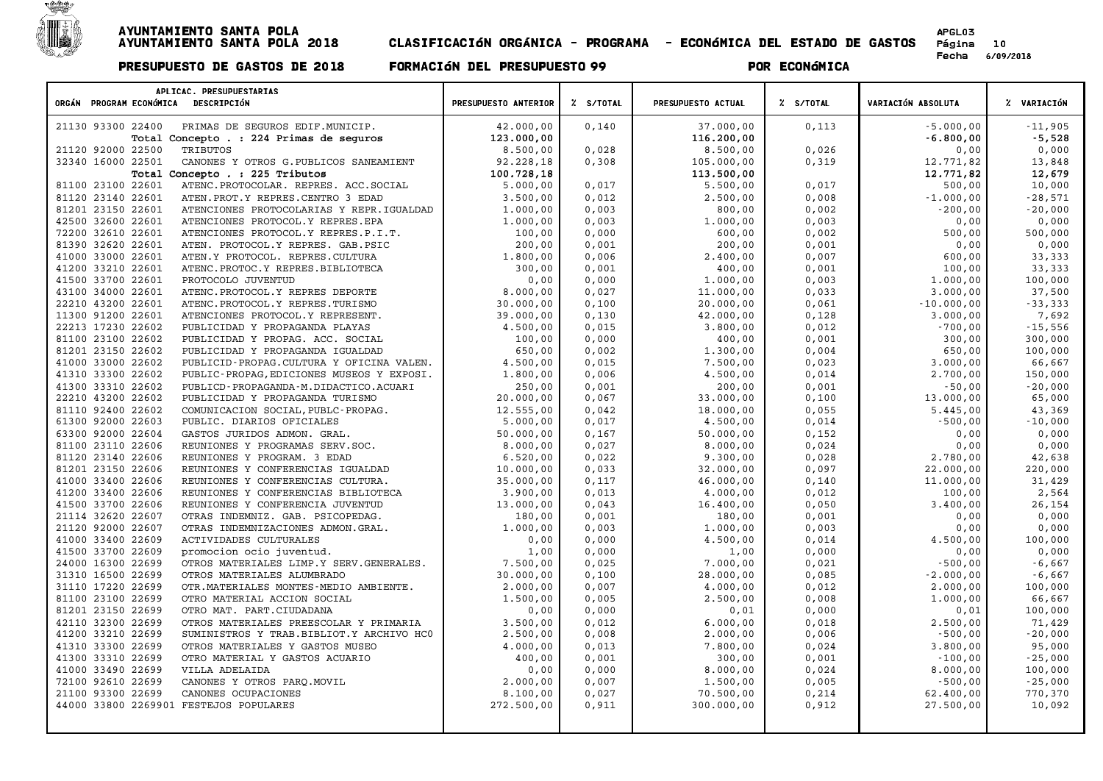

| APLICAC. PRESUPUESTARIAS                                        |                      |               |                    |           |                           |             |
|-----------------------------------------------------------------|----------------------|---------------|--------------------|-----------|---------------------------|-------------|
| ORGÁN PROGRAM ECONÓMICA DESCRIPCIÓN                             | PRESUPUESTO ANTERIOR | Z S/TOTAL     | PRESUPUESTO ACTUAL | Z S/TOTAL | <b>VARIACIÓN ABSOLUTA</b> | % VARIACIÓN |
| PRIMAS DE SEGUROS EDIF. MUNICIP.<br>21130 93300 22400           | 42.000,00            | 0,140         | 37.000,00          | 0,113     | $-5.000,00$               | $-11,905$   |
| Total Concepto . : 224 Primas de seguros                        | 123.000,00           |               | 116.200,00         |           | $-6.800,00$               | $-5,528$    |
| 21120 92000 22500<br>TRIBUTOS                                   | 8.500,00             | 0,028         | 8.500,00           | 0,026     |                           | 0,000       |
| 32340 16000 22501                                               | 92.228,18            |               | 105.000,00         | 0,319     | 0,00<br>12.771,82         | 13,848      |
| CANONES Y OTROS G. PUBLICOS SANEAMIENT                          |                      | 0,308         |                    |           |                           |             |
| Total Concepto . : 225 Tributos                                 | 100.728,18           |               | 113.500,00         |           | 12.771,82                 | 12,679      |
| 81100 23100 22601<br>ATENC. PROTOCOLAR. REPRES. ACC. SOCIAL     | 5.000,00             | 0,017         | 5.500,00           | 0,017     | 500,00                    | 10,000      |
| 81120 23140 22601<br>ATEN. PROT. Y REPRES. CENTRO 3 EDAD        | 3.500,00             | 0,012         | 2.500,00           | 0,008     | $-1.000,00$               | $-28,571$   |
| 81201 23150 22601<br>ATENCIONES PROTOCOLARIAS Y REPR.IGUALDAD   | 1.000,00             | 0,003         | 800,00             | 0,002     | $-200,00$                 | $-20,000$   |
| 42500 32600 22601<br>ATENCIONES PROTOCOL.Y REPRES.EPA           | 1,000,00             | 0,003         | 1.000,00           | 0,003     | 0,00                      | 0,000       |
| 72200 32610 22601<br>ATENCIONES PROTOCOL.Y REPRES.P.I.T.        | 100,00               | 0,000         | 600,00             | 0,002     | 500,00                    | 500,000     |
| 81390 32620 22601<br>ATEN. PROTOCOL.Y REPRES. GAB.PSIC          | 200,00               | 0,001         | 200,00             | 0,001     | 0,00                      | 0,000       |
| 41000 33000 22601<br>ATEN.Y PROTOCOL. REPRES.CULTURA            | 1.800,00             | 0,006         | 2.400,00           | 0,007     | 600,00                    | 33,333      |
| 41200 33210 22601<br>ATENC.PROTOC.Y REPRES.BIBLIOTECA           | 300,00               | 0,001         | 400,00             | 0,001     | 100,00                    | 33,333      |
| 41500 33700 22601<br>PROTOCOLO JUVENTUD                         | 0,00                 | 0,000         | 1.000,00           | 0,003     | 1.000,00                  | 100,000     |
| 43100 34000 22601<br>ATENC. PROTOCOL. Y REPRES DEPORTE          | 8.000,00             | 0,027         | 11.000,00          | 0,033     | 3.000,00                  | 37,500      |
| 22210 43200 22601<br>ATENC. PROTOCOL. Y REPRES. TURISMO         | 30.000,00            | 0,100         | 20.000,00          | 0,061     | $-10.000,00$              | $-33,333$   |
| 11300 91200 22601<br>ATENCIONES PROTOCOL.Y REPRESENT.           | 39.000,00            | 0,130         | 42.000,00          | 0,128     | 3.000,00                  | 7,692       |
| 22213 17230 22602<br>PUBLICIDAD Y PROPAGANDA PLAYAS             | 4.500,00             | 0,015         | 3.800,00           | 0,012     | $-700,00$                 | $-15,556$   |
| 81100 23100 22602<br>PUBLICIDAD Y PROPAG. ACC. SOCIAL           | 100,00               | 0,000         | 400,00             | 0,001     | 300,00                    | 300,000     |
| 81201 23150 22602<br>PUBLICIDAD Y PROPAGANDA IGUALDAD           | 650,00               | 0,002         | 1.300,00           | 0,004     | 650,00                    | 100,000     |
| 41000 33000 22602<br>PUBLICID-PROPAG.CULTURA Y OFICINA VALEN.   | 4.500,00             | 0,015         | 7.500,00           | 0,023     | 3.000,00                  | 66,667      |
| 41310 33300 22602<br>PUBLIC-PROPAG, EDICIONES MUSEOS Y EXPOSI.  | 1.800,00             | 0,006         | 4.500,00           | 0,014     | 2.700,00                  | 150,000     |
| 41300 33310 22602<br>PUBLICD-PROPAGANDA-M.DIDACTICO.ACUARI      | 250,00               | 0,001         | 200,00             | 0,001     | $-50,00$                  | $-20,000$   |
| 22210 43200 22602<br>PUBLICIDAD Y PROPAGANDA TURISMO            | 20.000,00            | 0,067         | 33.000,00          | 0,100     | 13.000,00                 | 65,000      |
| 81110 92400 22602<br>COMUNICACION SOCIAL, PUBLC-PROPAG.         | 12.555,00            | 0,042         | 18.000,00          | 0,055     | 5.445,00                  | 43,369      |
| 61300 92000 22603<br>PUBLIC. DIARIOS OFICIALES                  | 5.000,00             | 0,017         | 4.500,00           | 0,014     | $-500,00$                 | $-10,000$   |
| 63300 92000 22604<br>GASTOS JURIDOS ADMON. GRAL.                | 50.000,00            | 0,167         | 50.000,00          | 0,152     | 0,00                      | 0,000       |
| 81100 23110 22606<br>REUNIONES Y PROGRAMAS SERV. SOC.           | 8.000,00             | 0,027         | 8.000,00           | 0,024     | 0,00                      | 0,000       |
| 81120 23140 22606<br>REUNIONES Y PROGRAM. 3 EDAD                | 6.520,00             | 0,022         | 9.300,00           | 0,028     | 2.780,00                  | 42,638      |
| 81201 23150 22606<br>REUNIONES Y CONFERENCIAS IGUALDAD          | 10.000,00            | 0,033         | 32.000,00          | 0,097     | 22.000,00                 | 220,000     |
| 41000 33400 22606<br>REUNIONES Y CONFERENCIAS CULTURA.          | 35.000,00            | 0,117         | 46.000,00          | 0,140     | 11.000,00                 | 31,429      |
| 41200 33400 22606<br>REUNIONES Y CONFERENCIAS BIBLIOTECA        | 3.900,00             | 0,013         | 4.000,00           | 0,012     | 100,00                    | 2,564       |
| 41500 33700 22606<br>REUNIONES Y CONFERENCIA JUVENTUD           | 13.000,00            | 0,043         | 16.400,00          | 0,050     | 3.400,00                  | 26,154      |
| 21114 32620 22607<br>OTRAS INDEMNIZ. GAB. PSICOPEDAG.           | 180,00               | 0,001         | 180,00             | 0,001     | 0,00                      | 0,000       |
| 21120 92000 22607<br>OTRAS INDEMNIZACIONES ADMON.GRAL.          | 1,000,00             | 0,003         | 1.000,00           | 0,003     | 0,00                      | 0,000       |
| 41000 33400 22609<br>ACTIVIDADES CULTURALES                     | 0,00                 | 0,000         | 4.500,00           | 0,014     | 4.500,00                  | 100,000     |
| 41500 33700 22609<br>promocion ocio juventud.                   | 1,00                 | 0,000         | 1,00               | 0,000     | 0,00                      | 0,000       |
| 24000 16300 22699<br>OTROS MATERIALES LIMP.Y SERV.GENERALES.    | 7.500,00             | 0,025         | 7.000,00           | 0,021     | $-500,00$                 | $-6,667$    |
| 31310 16500 22699<br>OTROS MATERIALES ALUMBRADO                 | 30.000,00            | 0,100         | 28.000,00          | 0,085     | $-2.000,00$               | $-6,667$    |
| 31110 17220 22699<br>OTR.MATERIALES MONTES-MEDIO AMBIENTE.      | 2.000,00             | $0$ , $007\,$ | 4.000,00           | 0,012     | 2.000,00                  | 100,000     |
| 81100 23100 22699<br>OTRO MATERIAL ACCION SOCIAL                | 1.500,00             | 0,005         | 2.500,00           | 0,008     | 1.000,00                  | 66,667      |
| 81201 23150 22699<br>OTRO MAT. PART. CIUDADANA                  | 0,00                 | 0,000         | 0,01               | 0,000     | 0,01                      | 100,000     |
| 42110 32300 22699<br>OTROS MATERIALES PREESCOLAR Y PRIMARIA     | 3.500,00             | 0,012         | 6.000,00           | 0,018     | 2.500,00                  | 71,429      |
| 41200 33210 22699<br>SUMINISTROS Y TRAB. BIBLIOT. Y ARCHIVO HCO | 2.500,00             | 0,008         | 2.000,00           | 0,006     | $-500,00$                 | $-20,000$   |
| 41310 33300 22699<br>OTROS MATERIALES Y GASTOS MUSEO            | 4.000,00             | 0,013         | 7.800,00           | 0,024     | 3.800,00                  | 95,000      |
| 41300 33310 22699<br>OTRO MATERIAL Y GASTOS ACUARIO             | 400,00               | 0,001         | 300,00             | 0,001     | $-100,00$                 | $-25,000$   |
| 41000 33490 22699<br>VILLA ADELAIDA                             | 0,00                 | 0,000         | 8.000,00           | 0,024     | 8.000,00                  | 100,000     |
| 72100 92610 22699<br>CANONES Y OTROS PARQ. MOVIL                | 2.000,00             | 0,007         | 1.500,00           | 0,005     | $-500,00$                 | $-25,000$   |
| 21100 93300 22699<br>CANONES OCUPACIONES                        | 8.100,00             | 0,027         | 70.500,00          | 0,214     | 62.400,00                 | 770,370     |
| 44000 33800 2269901 FESTEJOS POPULARES                          | 272.500,00           | 0,911         | 300.000,00         | 0,912     | 27.500,00                 | 10,092      |
|                                                                 |                      |               |                    |           |                           |             |
|                                                                 |                      |               |                    |           |                           |             |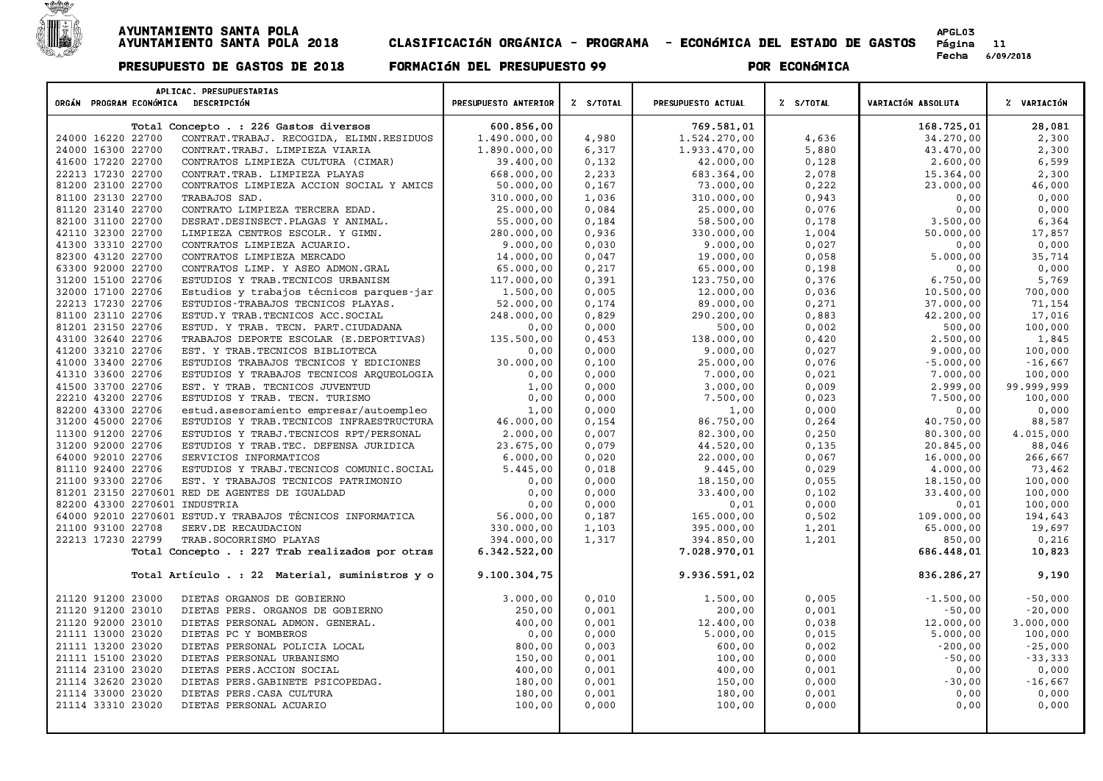

| APLICAC. PRESUPUESTARIAS<br>ORGÁN PROGRAM ECONÓMICA DESCRIPCIÓN                                     | PRESUPUESTO ANTERIOR    | Z S/TOTAL      | PRESUPUESTO ACTUAL      | % S/TOTAL      | VARIACIÓN ABSOLUTA    | % VARIACIÓN     |
|-----------------------------------------------------------------------------------------------------|-------------------------|----------------|-------------------------|----------------|-----------------------|-----------------|
|                                                                                                     |                         |                |                         |                |                       |                 |
| Total Concepto . : 226 Gastos diversos                                                              | 600.856,00              |                | 769.581,01              |                | 168.725,01            | 28,081          |
| 24000 16220 22700<br>CONTRAT. TRABAJ. RECOGIDA, ELIMN. RESIDUOS                                     | 1.490.000,00            | 4,980          | 1.524.270,00            | 4,636          | 34.270,00             | 2,300           |
| 24000 16300 22700<br>CONTRAT. TRABJ. LIMPIEZA VIARIA                                                | 1.890.000,00            | 6,317          | 1.933.470,00            | 5,880          | 43.470,00             | 2,300           |
| 41600 17220 22700<br>CONTRATOS LIMPIEZA CULTURA (CIMAR)                                             | 39.400,00               | 0,132          | 42.000,00               | 0,128          | 2.600,00              | 6,599           |
| 22213 17230 22700<br>CONTRAT. TRAB. LIMPIEZA PLAYAS                                                 | 668.000,00              | 2,233          | 683.364,00              | 2,078          | 15.364,00             | 2,300           |
| 81200 23100 22700<br>CONTRATOS LIMPIEZA ACCION SOCIAL Y AMICS                                       | 50.000,00               | 0,167          | 73.000,00               | 0,222          | 23.000,00             | 46,000          |
| 81100 23130 22700<br>TRABAJOS SAD.                                                                  | 310.000,00              | 1,036          | 310.000,00              | 0,943<br>0,076 | 0,00<br>0,00          | 0,000           |
| 81120 23140 22700<br>CONTRATO LIMPIEZA TERCERA EDAD.<br>82100 31100 22700                           | 25.000,00               | 0,084          | 25.000,00               |                |                       | 0,000           |
| DESRAT.DESINSECT.PLAGAS Y ANIMAL.<br>42110 32300 22700<br>LIMPIEZA CENTROS ESCOLR. Y GIMN.          | 55.000,00<br>280.000,00 | 0,184<br>0,936 | 58.500,00<br>330.000,00 | 0,178<br>1,004 | 3.500,00<br>50.000,00 | 6,364<br>17,857 |
| 41300 33310 22700                                                                                   |                         | 0,030          |                         |                |                       | 0,000           |
| CONTRATOS LIMPIEZA ACUARIO.<br>82300 43120 22700<br>CONTRATOS LIMPIEZA MERCADO                      | 9.000,00<br>14.000,00   | 0,047          | 9.000,00<br>19.000,00   | 0,027<br>0,058 | 0,00<br>5.000,00      | 35,714          |
| 63300 92000 22700<br>CONTRATOS LIMP. Y ASEO ADMON.GRAL                                              | 65.000,00               | 0,217          | 65.000,00               | 0,198          |                       | 0,000           |
| 31200 15100 22706<br>ESTUDIOS Y TRAB. TECNICOS URBANISM                                             | 117.000,00              | 0,391          | 123.750,00              | 0,376          | 0,00<br>6.750,00      | 5,769           |
| 32000 17100 22706                                                                                   | 1.500,00                | 0,005          | 12.000,00               | 0,036          | 10.500,00             | 700,000         |
| Estudios y trabajos técnicos parques-jar<br>22213 17230 22706<br>ESTUDIOS-TRABAJOS TECNICOS PLAYAS. | 52.000,00               | 0,174          | 89.000,00               | 0,271          | 37.000,00             | 71,154          |
| 81100 23110 22706                                                                                   | 248.000,00              | 0,829          | 290.200,00              | 0,883          | 42.200,00             | 17,016          |
| ESTUD.Y TRAB. TECNICOS ACC. SOCIAL<br>81201 23150 22706<br>ESTUD. Y TRAB. TECN. PART.CIUDADANA      |                         | 0,000          | 500,00                  | 0,002          | 500,00                | 100,000         |
| 43100 32640 22706<br>TRABAJOS DEPORTE ESCOLAR (E.DEPORTIVAS)                                        | 0,00                    | 0,453          | 138.000,00              | 0,420          | 2.500,00              | 1,845           |
| 41200 33210 22706<br>EST. Y TRAB. TECNICOS BIBLIOTECA                                               | 135.500,00<br>0,00      | 0,000          | 9.000,00                | 0,027          | 9.000,00              | 100,000         |
| 41000 33400 22706<br>ESTUDIOS TRABAJOS TECNICOS Y EDICIONES                                         | 30.000,00               | 0,100          | 25.000,00               | 0,076          | $-5.000,00$           | $-16,667$       |
| 41310 33600 22706<br>ESTUDIOS Y TRABAJOS TECNICOS ARQUEOLOGIA                                       | 0,00                    | 0,000          | 7.000,00                | 0,021          | 7.000,00              | 100,000         |
| 41500 33700 22706<br>EST. Y TRAB. TECNICOS JUVENTUD                                                 | 1,00                    | 0,000          | 3.000,00                | 0,009          | 2.999,00              | 99.999,999      |
| 22210 43200 22706<br>ESTUDIOS Y TRAB. TECN. TURISMO                                                 | 0,00                    | 0,000          | 7.500,00                | 0,023          | 7.500,00              | 100,000         |
| 82200 43300 22706<br>estud.asesoramiento empresar/autoempleo                                        | 1,00                    | 0,000          | 1,00                    | 0,000          | 0,00                  | 0,000           |
| 31200 45000 22706<br>ESTUDIOS Y TRAB. TECNICOS INFRAESTRUCTURA                                      | 46.000,00               | 0,154          | 86.750,00               | 0, 264         | 40.750,00             | 88,587          |
| 11300 91200 22706<br>ESTUDIOS Y TRABJ. TECNICOS RPT/PERSONAL                                        | 2.000,00                | 0.007          | 82.300.00               | 0,250          | 80.300,00             | 4.015.000       |
| 31200 92000 22706<br>ESTUDIOS Y TRAB. TEC. DEFENSA JURIDICA                                         | 23.675,00               | 0,079          | 44.520,00               | 0,135          | 20.845,00             | 88,046          |
| 64000 92010 22706<br>SERVICIOS INFORMATICOS                                                         | 6.000,00                | 0,020          | 22.000,00               | 0,067          | 16.000,00             | 266,667         |
| 81110 92400 22706<br>ESTUDIOS Y TRABJ. TECNICOS COMUNIC. SOCIAL                                     | 5.445,00                | 0,018          | 9.445,00                | 0,029          | 4.000,00              | 73,462          |
| 21100 93300 22706<br>EST. Y TRABAJOS TECNICOS PATRIMONIO                                            | 0,00                    | 0,000          | 18.150,00               | 0,055          | 18.150,00             | 100,000         |
| 81201 23150 2270601 RED DE AGENTES DE IGUALDAD                                                      | 0,00                    | 0,000          | 33.400,00               | 0,102          | 33.400,00             | 100,000         |
| 82200 43300 2270601 INDUSTRIA                                                                       | 0,00                    | 0,000          | 0,01                    | 0,000          | 0,01                  | 100,000         |
| 64000 92010 2270601 ESTUD.Y TRABAJOS TÉCNICOS INFORMATICA                                           | 56.000,00               | 0,187          | 165.000,00              | 0,502          | 109.000,00            | 194,643         |
| 21100 93100 22708<br>SERV.DE RECAUDACION                                                            | 330.000,00              | 1,103          | 395.000,00              | 1,201          | 65.000,00             | 19,697          |
| 22213 17230 22799<br>TRAB. SOCORRISMO PLAYAS                                                        | 394.000,00              | 1,317          | 394.850,00              | 1,201          | 850,00                | 0,216           |
| Total Concepto . : 227 Trab realizados por otras                                                    | 6.342.522,00            |                | 7.028.970,01            |                | 686.448,01            | 10,823          |
| Total Artículo . : 22 Material, suministros y o                                                     | 9.100.304,75            |                | 9.936.591,02            |                | 836.286,27            | 9,190           |
|                                                                                                     |                         |                |                         |                |                       |                 |
| 21120 91200 23000<br>DIETAS ORGANOS DE GOBIERNO                                                     | 3.000,00                | 0.010          | 1,500,00                | 0,005          | $-1.500,00$           | $-50,000$       |
| 21120 91200 23010<br>DIETAS PERS. ORGANOS DE GOBIERNO                                               | 250,00                  | 0,001          | 200,00                  | 0,001          | $-50,00$              | $-20,000$       |
| 21120 92000 23010<br>DIETAS PERSONAL ADMON. GENERAL.                                                | 400,00                  | 0,001          | 12,400,00               | 0,038          | 12.000,00             | 3.000,000       |
| 21111 13000 23020<br>DIETAS PC Y BOMBEROS                                                           | 0,00                    | 0,000          | 5.000,00                | 0,015          | 5.000,00              | 100,000         |
| 21111 13200 23020<br>DIETAS PERSONAL POLICIA LOCAL                                                  | 800,00                  | 0,003          | 600,00                  | 0,002          | $-200,00$             | $-25,000$       |
| 21111 15100 23020<br>DIETAS PERSONAL URBANISMO                                                      | 150,00                  | 0,001          | 100,00                  | 0,000          | $-50,00$              | $-33,333$       |
| 21114 23100 23020<br>DIETAS PERS.ACCION SOCIAL                                                      | 400,00                  | 0,001          | 400,00                  | 0,001          | 0,00                  | 0,000           |
| 21114 32620 23020<br>DIETAS PERS. GABINETE PSICOPEDAG.                                              | 180,00                  | 0,001          | 150,00                  | 0,000          | $-30,00$              | $-16,667$       |
| 21114 33000 23020<br>DIETAS PERS. CASA CULTURA                                                      | 180,00                  | 0,001          | 180,00                  | 0,001          | 0,00                  | 0,000           |
| 21114 33310 23020<br>DIETAS PERSONAL ACUARIO                                                        | 100,00                  | 0,000          | 100,00                  | 0,000          | 0,00                  | 0,000           |
|                                                                                                     |                         |                |                         |                |                       |                 |
|                                                                                                     |                         |                |                         |                |                       |                 |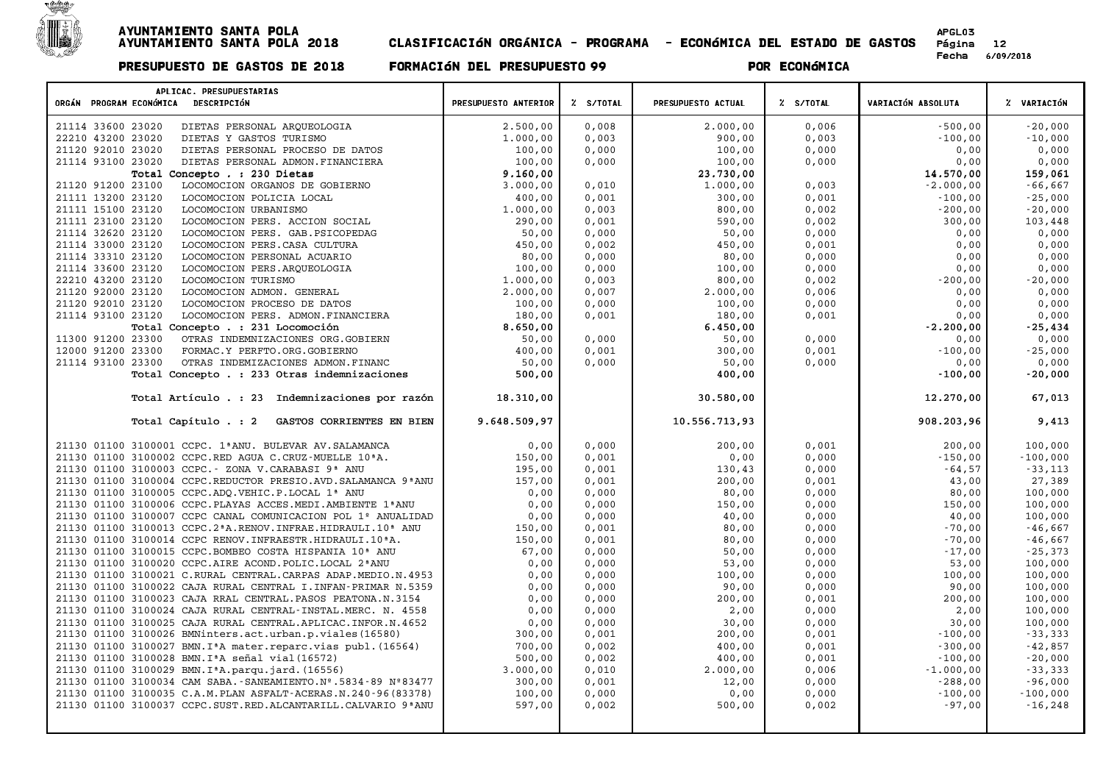

| APLICAC. PRESUPUESTARIAS<br>ORGÁN PROGRAM ECONÓMICA DESCRIPCIÓN             | PRESUPUESTO ANTERIOR | Z S/TOTAL      | PRESUPUESTO ACTUAL | Z S/TOTAL      | VARIACIÓN ABSOLUTA     | % VARIACIÓN            |
|-----------------------------------------------------------------------------|----------------------|----------------|--------------------|----------------|------------------------|------------------------|
|                                                                             |                      |                |                    |                |                        |                        |
| DIETAS PERSONAL ARQUEOLOGIA<br>21114 33600 23020                            | 2.500,00             | 0,008          | 2.000,00           | 0,006          | $-500,00$              | $-20,000$              |
| 22210 43200 23020<br>DIETAS Y GASTOS TURISMO                                | 1.000,00             | 0,003          | 900,00             | 0,003          | $-100,00$              | $-10,000$              |
| 21120 92010 23020<br>DIETAS PERSONAL PROCESO DE DATOS                       | 100,00               | 0,000          | 100,00             | 0,000          | 0,00                   | 0,000                  |
| 21114 93100 23020<br>DIETAS PERSONAL ADMON. FINANCIERA                      | 100,00               | 0,000          | 100,00             | 0,000          | 0,00                   | 0,000                  |
| Total Concepto . : 230 Dietas<br>21120 91200 23100                          | 9.160.00             |                | 23.730,00          |                | 14.570.00              | 159,061                |
| LOCOMOCION ORGANOS DE GOBIERNO<br>21111 13200 23120                         | 3.000,00             | 0,010          | 1.000,00           | 0,003          | $-2.000,00$            | $-66,667$              |
| LOCOMOCION POLICIA LOCAL<br>21111 15100 23120<br>LOCOMOCION URBANISMO       | 400,00<br>1,000,00   | 0,001<br>0,003 | 300,00<br>800,00   | 0,001<br>0,002 | $-100,00$<br>$-200,00$ | $-25,000$<br>$-20,000$ |
| 21111 23100 23120<br>LOCOMOCION PERS. ACCION SOCIAL                         | 290,00               | 0,001          | 590,00             | 0,002          | 300,00                 | 103,448                |
| 21114 32620 23120<br>LOCOMOCION PERS. GAB. PSICOPEDAG                       | 50,00                | 0,000          | 50,00              | 0,000          | 0,00                   | 0,000                  |
| 21114 33000 23120<br>LOCOMOCION PERS. CASA CULTURA                          | 450,00               | 0,002          | 450,00             | 0,001          | 0,00                   | 0,000                  |
| 21114 33310 23120<br>LOCOMOCION PERSONAL ACUARIO                            | 80,00                | 0,000          | 80,00              | 0,000          | 0,00                   | 0,000                  |
| 21114 33600 23120<br>LOCOMOCION PERS.ARQUEOLOGIA                            | 100,00               | 0,000          | 100,00             | 0,000          | 0,00                   | 0,000                  |
| 22210 43200 23120<br>LOCOMOCION TURISMO                                     | 1.000,00             | 0,003          | 800,00             | 0,002          | $-200,00$              | $-20,000$              |
| 21120 92000 23120<br>LOCOMOCION ADMON. GENERAL                              | 2,000,00             | 0,007          | 2.000,00           | 0,006          | 0,00                   | 0,000                  |
| 21120 92010 23120<br>LOCOMOCION PROCESO DE DATOS                            | 100,00               | 0,000          | 100,00             | 0,000          | 0,00                   | 0,000                  |
| 21114 93100 23120<br>LOCOMOCION PERS. ADMON.FINANCIERA                      | 180,00               | 0,001          | 180,00             | 0,001          | 0,00                   | 0,000                  |
| Total Concepto . : 231 Locomoción                                           | 8.650,00             |                | 6.450,00           |                | $-2.200,00$            | $-25,434$              |
| 11300 91200 23300<br>OTRAS INDEMNIZACIONES ORG.GOBIERN                      | 50,00                | 0,000          | 50,00              | 0,000          | 0,00                   | 0,000                  |
| 12000 91200 23300<br>FORMAC.Y PERFTO.ORG.GOBIERNO                           | 400,00               | 0,001          | 300,00             | 0,001          | $-100,00$              | $-25,000$              |
| 21114 93100 23300<br>OTRAS INDEMIZACIONES ADMON. FINANC                     | 50,00                | 0,000          | 50,00              | 0,000          | 0,00                   | 0,000                  |
| Total Concepto . : 233 Otras indemnizaciones                                | 500,00               |                | 400,00             |                | $-100,00$              | $-20,000$              |
|                                                                             |                      |                |                    |                |                        |                        |
| Total Artículo . : 23 Indemnizaciones por razón                             | 18.310,00            |                | 30.580,00          |                | 12.270,00              | 67,013                 |
| Total Capítulo . : 2<br>GASTOS CORRIENTES EN BIEN                           | 9.648.509,97         |                | 10.556.713,93      |                | 908.203,96             | 9,413                  |
| 21130 01100 3100001 CCPC. 1ªANU. BULEVAR AV. SALAMANCA                      | 0,00                 | 0,000          | 200,00             | 0,001          | 200,00                 | 100,000                |
| 21130 01100 3100002 CCPC.RED AGUA C.CRUZ-MUELLE 10 <sup>ª</sup> A.          | 150,00               | 0,001          | 0,00               | 0,000          | $-150,00$              | $-100,000$             |
| 21130 01100 3100003 CCPC. - ZONA V.CARABASI 9ª ANU                          | 195,00               | 0,001          | 130,43             | 0,000          | $-64,57$               | $-33,113$              |
| 21130 01100 3100004 CCPC.REDUCTOR PRESIO.AVD.SALAMANCA 9ªANU                | 157,00               | 0,001          | 200,00             | 0,001          | 43,00                  | 27,389                 |
| 21130 01100 3100005 CCPC.ADQ.VEHIC.P.LOCAL 1ª ANU                           | 0,00                 | 0,000          | 80,00              | 0,000          | 80,00                  | 100,000                |
| 21130 01100 3100006 CCPC. PLAYAS ACCES. MEDI. AMBIENTE 1ª ANU               | 0,00                 | 0,000          | 150,00             | 0,000          | 150,00                 | 100,000                |
| 21130 01100 3100007 CCPC CANAL COMUNICACION POL 1º ANUALIDAD                | 0,00                 | 0,000          | 40,00              | 0,000          | 40,00                  | 100,000                |
| 21130 01100 3100013 CCPC.2ªA.RENOV.INFRAE.HIDRAULI.10ª ANU                  | 150,00               | 0,001          | 80,00              | 0,000          | $-70,00$               | $-46,667$              |
| 21130 01100 3100014 CCPC RENOV. INFRAESTR. HIDRAULI. 10 <sup>ª</sup> A.     | 150,00               | 0,001          | 80,00              | 0,000          | $-70,00$               | $-46,667$              |
| 21130 01100 3100015 CCPC.BOMBEO COSTA HISPANIA 10 <sup>ª</sup> ANU          | 67,00                | 0,000          | 50,00              | 0,000          | $-17,00$               | $-25, 373$             |
| 21130 01100 3100020 CCPC.AIRE ACOND. POLIC.LOCAL 2ªANU                      | 0,00                 | 0,000          | 53,00              | 0,000          | 53,00                  | 100,000                |
| 21130 01100 3100021 C.RURAL CENTRAL.CARPAS ADAP.MEDIO.N.4953                | 0.00                 | 0.000          | 100,00             | 0,000          | 100,00                 | 100,000                |
| 21130 01100 3100022 CAJA RURAL CENTRAL I. INFAN-PRIMAR N.5359               | 0,00                 | 0,000          | 90,00              | 0,000          | 90,00                  | 100,000                |
| 21130 01100 3100023 CAJA RRAL CENTRAL. PASOS PEATONA.N. 3154                | 0,00                 | 0,000          | 200,00             | 0,001          | 200,00                 | 100,000                |
| 21130 01100 3100024 CAJA RURAL CENTRAL-INSTAL. MERC. N. 4558                | 0,00                 | 0,000          | 2,00               | 0,000          | 2,00                   | 100,000                |
| 21130 01100 3100025 CAJA RURAL CENTRAL. APLICAC. INFOR. N. 4652             | 0,00                 | 0,000          | 30,00              | 0,000          | 30,00                  | 100,000                |
| 21130 01100 3100026 BMNinters.act.urban.p.viales(16580)                     | 300,00               | 0,001          | 200,00             | 0,001          | $-100,00$              | $-33,333$              |
| 21130 01100 3100027 BMN. I <sup>ª</sup> A mater. reparc. vias publ. (16564) | 700,00               | 0,002          | 400,00             | 0,001          | $-300,00$              | $-42,857$              |
| 21130 01100 3100028 BMN. IªA señal vial (16572)                             | 500,00               | 0,002          | 400,00             | 0,001          | $-100,00$              | $-20,000$              |
| 21130 01100 3100029 BMN. I <sup>ª</sup> A. parqu. jard. (16556)             | 3.000,00             | 0,010          | 2.000,00           | 0,006          | $-1.000,00$            | $-33,333$              |
| 21130 01100 3100034 CAM SABA. - SANEAMIENTO. Nº. 5834-89 Nº83477            | 300,00               | 0,001          | 12,00              | 0,000          | $-288,00$              | $-96,000$              |
| 21130 01100 3100035 C.A.M.PLAN ASFALT-ACERAS.N.240-96 (83378)               | 100,00               | 0,000          | 0,00               | 0,000          | $-100,00$              | $-100,000$             |
| 21130 01100 3100037 CCPC.SUST.RED.ALCANTARILL.CALVARIO 9ª ANU               | 597,00               | 0,002          | 500,00             | 0,002          | $-97,00$               | $-16, 248$             |
|                                                                             |                      |                |                    |                |                        |                        |
|                                                                             |                      |                |                    |                |                        |                        |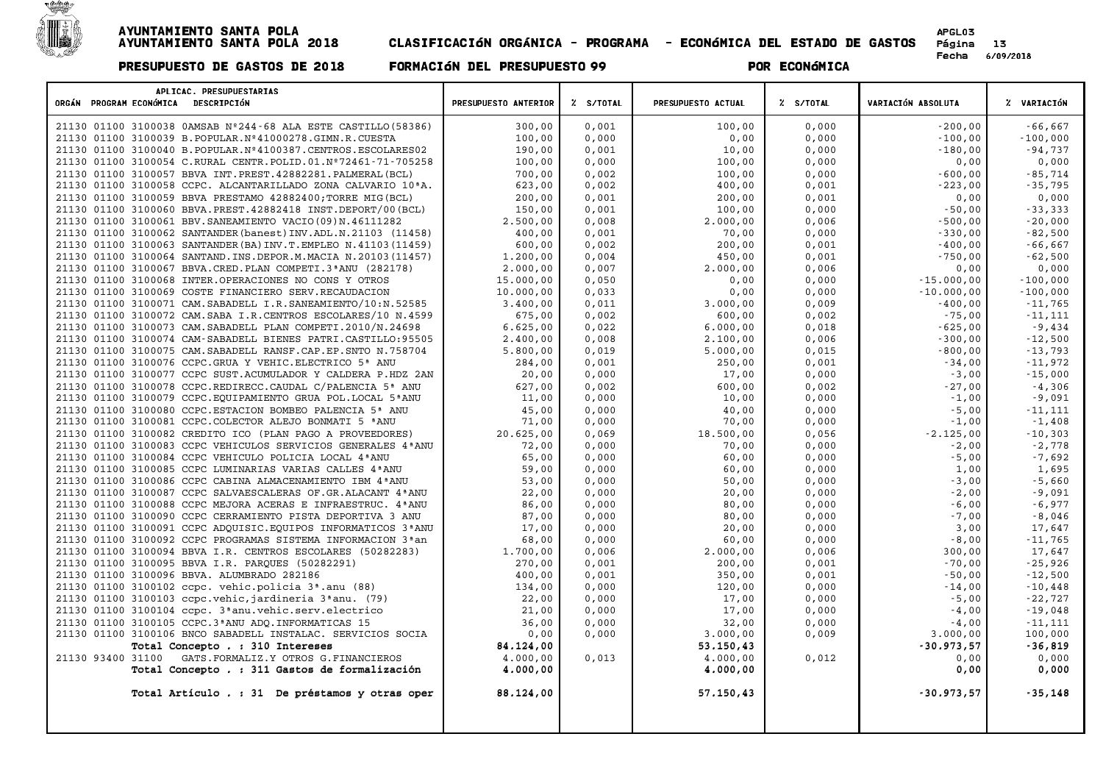

| APLICAC. PRESUPUESTARIAS<br>ORGÁN PROGRAM ECONÓMICA DESCRIPCIÓN          | PRESUPUESTO ANTERIOR | % S/TOTAL | PRESUPUESTO ACTUAL | % S/TOTAL | VARIACIÓN ABSOLUTA | % VARIACIÓN |
|--------------------------------------------------------------------------|----------------------|-----------|--------------------|-----------|--------------------|-------------|
|                                                                          |                      |           |                    |           |                    |             |
| 21130 01100 3100038 0AMSAB Nº244-68 ALA ESTE CASTILLO (58386)            | 300,00               | 0.001     | 100,00             | 0.000     | $-200.00$          | $-66,667$   |
| 21130 01100 3100039 B. POPULAR. Nº41000278. GIMN. R. CUESTA              | 100,00               | 0,000     | 0,00               | 0,000     | $-100,00$          | $-100,000$  |
| 21130 01100 3100040 B. POPULAR. Nº4100387. CENTROS. ESCOLARES02          | 190,00               | 0,001     | 10,00              | 0,000     | $-180,00$          | $-94,737$   |
| 21130 01100 3100054 C.RURAL CENTR. POLID.01.Nº72461-71-705258            | 100,00               | 0,000     | 100,00             | 0,000     | 0,00               | 0,000       |
| 21130 01100 3100057 BBVA INT. PREST. 42882281. PALMERAL (BCL)            | 700,00               | 0,002     | 100,00             | 0,000     | $-600,00$          | $-85,714$   |
| 21130 01100 3100058 CCPC. ALCANTARILLADO ZONA CALVARIO 10ªA.             | 623,00               | 0,002     | 400,00             | 0,001     | $-223,00$          | $-35,795$   |
| 21130 01100 3100059 BBVA PRESTAMO 42882400; TORRE MIG (BCL)              | 200,00               | 0,001     | 200,00             | 0,001     | 0,00               | 0,000       |
| 21130 01100 3100060 BBVA. PREST. 42882418 INST. DEPORT/00 (BCL)          | 150,00               | 0,001     | 100,00             | 0,000     | $-50,00$           | $-33,333$   |
| 21130 01100 3100061 BBV. SANEAMIENTO VACIO (09) N. 46111282              | 2.500,00             | 0,008     | 2.000,00           | 0,006     | $-500,00$          | $-20,000$   |
| 21130 01100 3100062 SANTANDER (banest) INV. ADL. N. 21103 (11458)        | 400,00               | 0,001     | 70,00              | 0,000     | $-330,00$          | $-82,500$   |
| 21130 01100 3100063 SANTANDER (BA) INV.T.EMPLEO N.41103 (11459)          | 600,00               | 0,002     | 200,00             | 0,001     | $-400,00$          | $-66,667$   |
| 21130 01100 3100064 SANTAND. INS. DEPOR. M. MACIA N. 20103 (11457)       | 1.200,00             | 0,004     | 450,00             | 0,001     | $-750,00$          | $-62,500$   |
| 21130 01100 3100067 BBVA.CRED. PLAN COMPETI.3ªANU (282178)               | 2,000,00             | 0,007     | 2.000,00           | 0,006     | 0,00               | 0,000       |
| 21130 01100 3100068 INTER. OPERACIONES NO CONS Y OTROS                   | 15.000,00            | 0,050     | 0,00               | 0,000     | $-15.000,00$       | $-100,000$  |
| 21130 01100 3100069 COSTE FINANCIERO SERV.RECAUDACION                    | 10.000,00            | 0,033     | 0,00               | 0,000     | $-10.000,00$       | $-100,000$  |
| 21130 01100 3100071 CAM. SABADELL I.R. SANEAMIENTO/10:N.52585            | 3.400,00             | 0,011     | 3.000,00           | 0,009     | $-400,00$          | $-11,765$   |
| 21130 01100 3100072 CAM. SABA I.R. CENTROS ESCOLARES/10 N. 4599          | 675,00               | 0,002     | 600,00             | 0,002     | $-75,00$           | $-11,111$   |
| 21130 01100 3100073 CAM. SABADELL PLAN COMPETI.2010/N.24698              | 6.625,00             | 0,022     | 6.000,00           | 0,018     | $-625,00$          | $-9,434$    |
| 21130 01100 3100074 CAM-SABADELL BIENES PATRI.CASTILLO:95505             | 2.400,00             | 0,008     | 2.100,00           | 0,006     | $-300,00$          | $-12,500$   |
| 21130 01100 3100075 CAM. SABADELL RANSF.CAP.EP.SNTO N.758704             | 5.800,00             | 0,019     | 5.000,00           | 0,015     | $-800,00$          | $-13,793$   |
| 21130 01100 3100076 CCPC.GRUA Y VEHIC.ELECTRICO 5ª ANU                   | 284,00               | 0,001     | 250,00             | 0,001     | $-34,00$           | $-11,972$   |
| 21130 01100 3100077 CCPC SUST.ACUMULADOR Y CALDERA P.HDZ 2AN             | 20,00                | 0,000     | 17,00              | 0,000     | $-3,00$            | $-15,000$   |
| 21130 01100 3100078 CCPC.REDIRECC.CAUDAL C/PALENCIA 5ª ANU               | 627,00               | 0,002     | 600,00             | 0,002     | $-27,00$           | $-4,306$    |
| 21130 01100 3100079 CCPC.EQUIPAMIENTO GRUA POL.LOCAL 5ªANU               | 11,00                | 0,000     | 10,00              | 0,000     | $-1,00$            | $-9,091$    |
| 21130 01100 3100080 CCPC.ESTACION BOMBEO PALENCIA 5ª ANU                 | 45,00                | 0,000     | 40,00              | 0,000     | $-5,00$            | $-11,111$   |
| 21130 01100 3100081 CCPC.COLECTOR ALEJO BONMATI 5 ªANU                   | 71,00                | 0,000     | 70,00              | 0,000     | $-1,00$            | $-1,408$    |
| 21130 01100 3100082 CREDITO ICO (PLAN PAGO A PROVEEDORES)                | 20.625,00            | 0,069     | 18.500,00          | 0,056     | $-2.125,00$        | $-10,303$   |
| 21130 01100 3100083 CCPC VEHICULOS SERVICIOS GENERALES 4 ANU             | 72,00                | 0,000     | 70,00              | 0,000     | $-2,00$            | $-2,778$    |
| 21130 01100 3100084 CCPC VEHICULO POLICIA LOCAL 4 ANU                    | 65,00                | 0,000     | 60,00              | 0,000     | $-5,00$            | $-7,692$    |
| 21130 01100 3100085 CCPC LUMINARIAS VARIAS CALLES 4ª ANU                 | 59,00                | 0,000     | 60,00              | 0,000     | 1,00               | 1,695       |
| 21130 01100 3100086 CCPC CABINA ALMACENAMIENTO IBM 4 ª ANU               | 53,00                | 0,000     | 50,00              | 0,000     | $-3,00$            | $-5,660$    |
| 21130 01100 3100087 CCPC SALVAESCALERAS OF.GR.ALACANT 4ªANU              | 22,00                | 0,000     | 20,00              | 0,000     | $-2,00$            | $-9,091$    |
| 21130 01100 3100088 CCPC MEJORA ACERAS E INFRAESTRUC. 4ª ANU             | 86,00                | 0,000     | 80,00              | 0,000     | $-6,00$            | $-6,977$    |
| 21130 01100 3100090 CCPC CERRAMIENTO PISTA DEPORTIVA 3 ANU               | 87,00                | 0,000     | 80,00              | 0,000     | $-7,00$            | $-8,046$    |
| 21130 01100 3100091 CCPC ADOUISIC. EOUIPOS INFORMATICOS 3ª ANU           | 17,00                | 0,000     | 20,00              | 0,000     | 3,00               | 17,647      |
| 21130 01100 3100092 CCPC PROGRAMAS SISTEMA INFORMACION 3 <sup>ª</sup> an | 68,00                | 0,000     | 60,00              | 0,000     | $-8,00$            | $-11,765$   |
| 21130 01100 3100094 BBVA I.R. CENTROS ESCOLARES (50282283)               | 1.700,00             | 0,006     | 2.000,00           | 0,006     | 300,00             | 17,647      |
| 21130 01100 3100095 BBVA I.R. PARQUES (50282291)                         | 270,00               | 0,001     | 200,00             | 0,001     | $-70,00$           | $-25,926$   |
| 21130 01100 3100096 BBVA. ALUMBRADO 282186                               | 400,00               | 0,001     | 350,00             | 0,001     | $-50,00$           | $-12,500$   |
| 21130 01100 3100102 ccpc. vehic.policia 3 <sup>ª</sup> .anu (88)         | 134,00               | 0,000     | 120,00             | 0,000     | $-14,00$           | $-10,448$   |
| 21130 01100 3100103 ccpc.vehic, jardineria 3ªanu. (79)                   | 22,00                | 0,000     | 17,00              | 0,000     | $-5,00$            | $-22,727$   |
| 21130 01100 3100104 ccpc. 3ªanu.vehic.serv.electrico                     | 21,00                | 0,000     | 17,00              | 0,000     | $-4,00$            | $-19,048$   |
| 21130 01100 3100105 CCPC.3 ª ANU ADQ. INFORMATICAS 15                    | 36,00                | 0,000     | 32,00              | 0,000     | $-4,00$            | $-11,111$   |
| 21130 01100 3100106 BNCO SABADELL INSTALAC. SERVICIOS SOCIA              | 0,00                 | 0,000     | 3.000,00           | 0,009     | 3.000,00           | 100,000     |
| Total Concepto . : 310 Intereses                                         | 84.124,00            |           | 53.150,43          |           | $-30.973,57$       | $-36,819$   |
| 21130 93400 31100<br>GATS. FORMALIZ. Y OTROS G. FINANCIEROS              | 4.000,00             | 0,013     | 4.000,00           | 0,012     | 0,00               | 0,000       |
| Total Concepto . : 311 Gastos de formalización                           | 4.000,00             |           | 4.000,00           |           | 0,00               | 0,000       |
| Total Artículo . : 31 De préstamos y otras oper                          | 88.124,00            |           | 57.150,43          |           | $-30.973,57$       | $-35,148$   |
|                                                                          |                      |           |                    |           |                    |             |
|                                                                          |                      |           |                    |           |                    |             |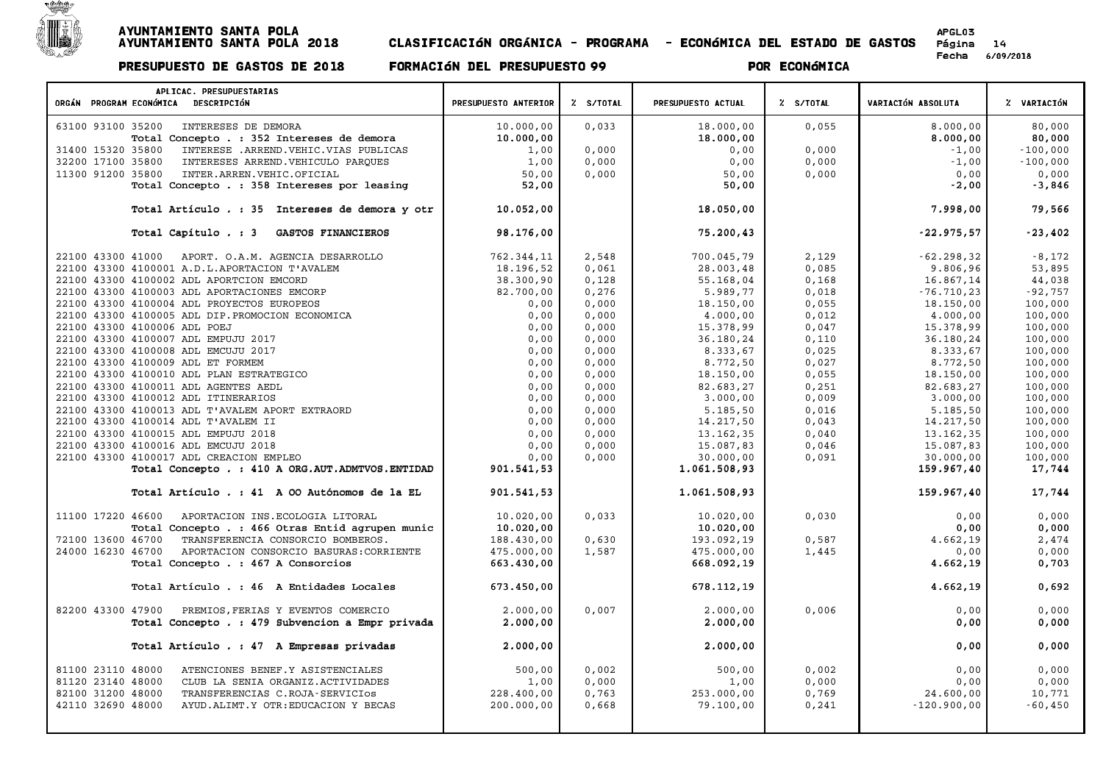

| APLICAC. PRESUPUESTARIAS<br>ORGÁN PROGRAM ECONÓMICA DESCRIPCIÓN | PRESUPUESTO ANTERIOR | % S/TOTAL | PRESUPUESTO ACTUAL | % S/TOTAL | VARIACIÓN ABSOLUTA | % VARIACIÓN |
|-----------------------------------------------------------------|----------------------|-----------|--------------------|-----------|--------------------|-------------|
| INTERESES DE DEMORA<br>63100 93100 35200                        | 10.000,00            | 0,033     | 18.000,00          | 0,055     | 8.000,00           | 80,000      |
| Total Concepto . : 352 Intereses de demora                      | 10.000,00            |           | 18.000,00          |           | 8.000,00           | 80,000      |
| 31400 15320 35800<br>INTERESE .ARREND. VEHIC. VIAS PUBLICAS     | 1,00                 | 0,000     | 0,00               | 0,000     | $-1,00$            | $-100,000$  |
| 32200 17100 35800<br>INTERESES ARREND. VEHICULO PAROUES         | 1,00                 | 0,000     | 0,00               | 0,000     | $-1,00$            | $-100,000$  |
| 11300 91200 35800<br>INTER.ARREN.VEHIC.OFICIAL                  | 50,00                | 0,000     | 50,00              | 0,000     | 0,00               | 0,000       |
| Total Concepto . : 358 Intereses por leasing                    | 52,00                |           | 50,00              |           | $-2,00$            | $-3,846$    |
|                                                                 |                      |           |                    |           |                    |             |
| Total Artículo . : 35 Intereses de demora y otr                 | 10.052,00            |           | 18.050,00          |           | 7.998,00           | 79,566      |
| Total Capítulo . : 3<br>GASTOS FINANCIEROS                      | 98.176,00            |           | 75.200,43          |           | $-22.975,57$       | $-23,402$   |
| 22100 43300 41000<br>APORT. O.A.M. AGENCIA DESARROLLO           | 762.344,11           | 2,548     | 700.045,79         | 2,129     | $-62, 298, 32$     | $-8,172$    |
| 22100 43300 4100001 A.D.L.APORTACION T'AVALEM                   | 18.196,52            | 0,061     | 28.003,48          | 0,085     | 9.806,96           | 53,895      |
| 22100 43300 4100002 ADL APORTCION EMCORD                        | 38.300,90            | 0,128     | 55.168,04          | 0,168     | 16.867,14          | 44,038      |
| 22100 43300 4100003 ADL APORTACIONES EMCORP                     | 82.700,00            | 0,276     | 5.989,77           | 0,018     | $-76.710, 23$      | $-92,757$   |
| 22100 43300 4100004 ADL PROYECTOS EUROPEOS                      | 0,00                 | 0,000     | 18.150,00          | 0,055     | 18.150,00          | 100,000     |
| 22100 43300 4100005 ADL DIP. PROMOCION ECONOMICA                | 0,00                 | 0,000     | 4.000,00           | 0,012     | 4,000,00           | 100,000     |
| 22100 43300 4100006 ADL POEJ                                    | 0,00                 | 0,000     | 15.378,99          | 0,047     | 15.378,99          | 100,000     |
| 22100 43300 4100007 ADL EMPUJU 2017                             | 0,00                 | 0,000     | 36.180,24          | 0,110     | 36.180,24          | 100,000     |
| 22100 43300 4100008 ADL EMCUJU 2017                             | 0,00                 | 0,000     | 8.333,67           | 0,025     | 8.333,67           | 100,000     |
| 22100 43300 4100009 ADL ET FORMEM                               | 0,00                 | 0,000     | 8.772,50           | 0,027     | 8.772,50           | 100,000     |
| 22100 43300 4100010 ADL PLAN ESTRATEGICO                        | 0,00                 | 0,000     | 18.150,00          | 0,055     | 18.150,00          | 100,000     |
| 22100 43300 4100011 ADL AGENTES AEDL                            | 0,00                 | 0,000     | 82.683,27          | 0,251     | 82.683,27          | 100,000     |
| 22100 43300 4100012 ADL ITINERARIOS                             | 0,00                 | 0,000     | 3.000,00           | 0,009     | 3.000,00           | 100,000     |
| 22100 43300 4100013 ADL T'AVALEM APORT EXTRAORD                 | 0,00                 | 0,000     | 5.185,50           | 0,016     | 5.185,50           | 100,000     |
| 22100 43300 4100014 ADL T'AVALEM II                             | 0,00                 | 0,000     | 14.217,50          | 0,043     | 14.217,50          | 100,000     |
| 22100 43300 4100015 ADL EMPUJU 2018                             | 0,00                 | 0,000     | 13.162,35          | 0,040     | 13.162,35          | 100,000     |
| 22100 43300 4100016 ADL EMCUJU 2018                             | 0,00                 | 0,000     | 15.087,83          | 0,046     | 15.087,83          | 100,000     |
| 22100 43300 4100017 ADL CREACION EMPLEO                         | 0.00                 | 0,000     | 30.000,00          | 0,091     | 30.000,00          | 100,000     |
| Total Concepto . : 410 A ORG. AUT. ADMTVOS. ENTIDAD             | 901.541,53           |           | 1.061.508,93       |           | 159.967,40         | 17,744      |
| Total Artículo . : 41 A 00 Autónomos de la EL                   | 901.541,53           |           | 1.061.508,93       |           | 159.967,40         | 17,744      |
| 11100 17220 46600<br>APORTACION INS. ECOLOGIA LITORAL           | 10.020,00            | 0,033     | 10.020,00          | 0,030     | 0,00               | 0,000       |
| Total Concepto . : 466 Otras Entid agrupen munic                | 10.020,00            |           | 10.020,00          |           | 0,00               | 0,000       |
| TRANSFERENCIA CONSORCIO BOMBEROS.<br>72100 13600 46700          | 188.430,00           | 0,630     | 193.092,19         | 0,587     | 4.662,19           | 2,474       |
| 24000 16230 46700<br>APORTACION CONSORCIO BASURAS: CORRIENTE    | 475.000,00           | 1,587     | 475.000,00         | 1,445     | 0,00               | 0,000       |
| Total Concepto . : 467 A Consorcios                             | 663.430,00           |           | 668.092,19         |           | 4.662,19           | 0,703       |
|                                                                 |                      |           |                    |           |                    |             |
| Total Artículo . : 46 A Entidades Locales                       | 673.450,00           |           | 678.112,19         |           | 4.662,19           | 0,692       |
| 82200 43300 47900<br>PREMIOS, FERIAS Y EVENTOS COMERCIO         | 2.000,00             | 0.007     | 2.000,00           | 0.006     | 0,00               | 0,000       |
| Total Concepto . : 479 Subvencion a Empr privada                | 2,000,00             |           | 2.000,00           |           | 0,00               | 0,000       |
|                                                                 |                      |           |                    |           |                    |             |
| Total Artículo . : 47 A Empresas privadas                       | 2,000,00             |           | 2,000,00           |           | 0,00               | 0.000       |
| ATENCIONES BENEF.Y ASISTENCIALES<br>81100 23110 48000           | 500,00               | 0,002     | 500,00             | 0,002     | 0,00               | 0,000       |
| 81120 23140 48000<br>CLUB LA SENIA ORGANIZ.ACTIVIDADES          | 1,00                 | 0,000     | 1,00               | 0,000     | 0,00               | 0,000       |
| 82100 31200 48000<br>TRANSFERENCIAS C.ROJA-SERVICIOS            | 228,400,00           | 0,763     | 253.000,00         | 0,769     | 24.600,00          | 10,771      |
| 42110 32690 48000<br>AYUD. ALIMT. Y OTR: EDUCACION Y BECAS      | 200.000,00           | 0,668     | 79.100,00          | 0,241     | $-120.900,00$      | $-60,450$   |
|                                                                 |                      |           |                    |           |                    |             |
|                                                                 |                      |           |                    |           |                    |             |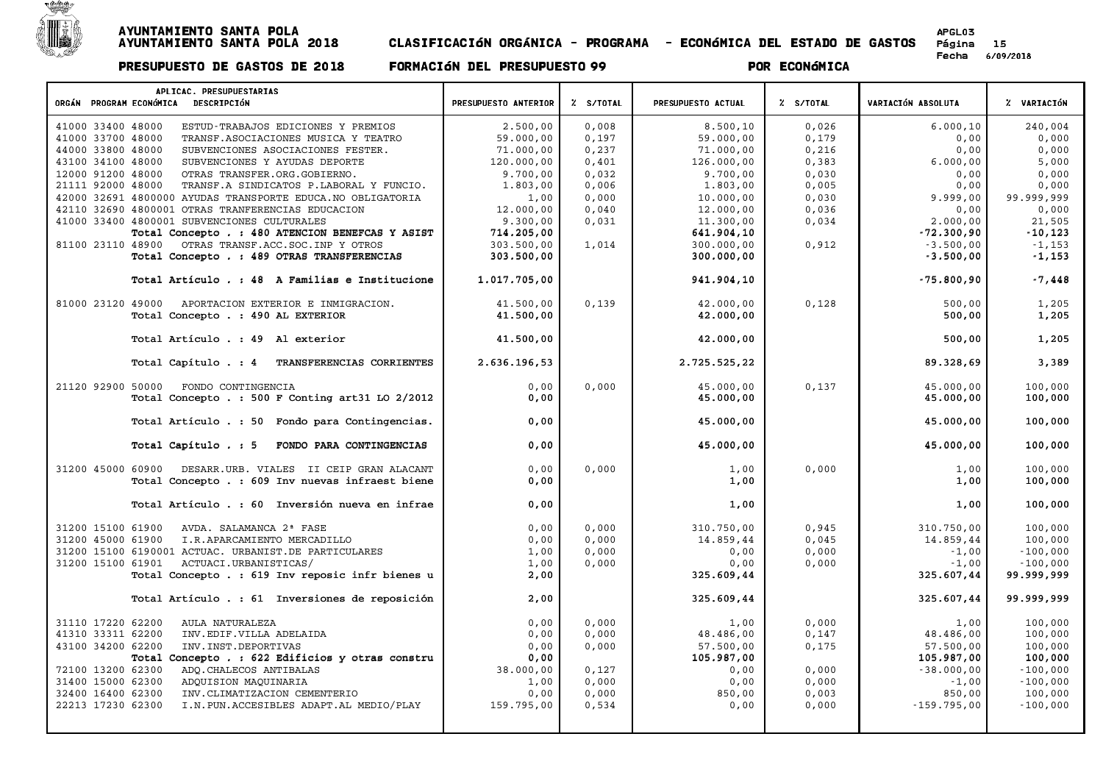

| ORGÁN PROGRAM ECONÓMICA DESCRIPCIÓN<br>% S/TOTAL<br>% S/TOTAL<br>VARIACIÓN ABSOLUTA<br>% VARIACIÓN<br>PRESUPUESTO ANTERIOR<br>PRESUPUESTO ACTUAL<br>0,008<br>6.000, 10<br>240,004<br>41000 33400 48000<br>ESTUD-TRABAJOS EDICIONES Y PREMIOS<br>2.500,00<br>8.500, 10<br>0,026<br>41000 33700 48000<br>59.000,00<br>TRANSF.ASOCIACIONES MUSICA Y TEATRO<br>59.000,00<br>0,197<br>0,179<br>0,00<br>0,000<br>0,00<br>0,000<br>44000 33800 48000<br>71.000,00<br>0,237<br>71.000,00<br>0,216<br>SUBVENCIONES ASOCIACIONES FESTER.<br>5,000<br>43100 34100 48000<br>120.000,00<br>0,401<br>126.000,00<br>6.000,00<br>SUBVENCIONES Y AYUDAS DEPORTE<br>0,383<br>12000 91200 48000<br>9.700,00<br>0,032<br>9.700,00<br>0,030<br>0,00<br>0,000<br>OTRAS TRANSFER.ORG.GOBIERNO.<br>0,006<br>0,005<br>0,000<br>21111 92000 48000<br>TRANSF.A SINDICATOS P.LABORAL Y FUNCIO.<br>1,803,00<br>1.803,00<br>0,00<br>0,000<br>99.999,999<br>42000 32691 4800000 AYUDAS TRANSPORTE EDUCA. NO OBLIGATORIA<br>1,00<br>10.000,00<br>0,030<br>9.999,00<br>42110 32690 4800001 OTRAS TRANFERENCIAS EDUCACION<br>12.000,00<br>0,040<br>12.000,00<br>0,036<br>0,00<br>0,000<br>41000 33400 4800001 SUBVENCIONES CULTURALES<br>9.300,00<br>0,031<br>0,034<br>2.000,00<br>11,300,00<br>21,505<br>Total Concepto . : 480 ATENCION BENEFCAS Y ASIST<br>714.205,00<br>$-72.300,90$<br>$-10, 123$<br>641.904,10<br>81100 23110 48900<br>OTRAS TRANSF.ACC.SOC.INP Y OTROS<br>303.500,00<br>1,014<br>300.000,00<br>0,912<br>$-3.500,00$<br>$-1,153$<br>303.500,00<br>$-3.500,00$<br>Total Concepto . : 489 OTRAS TRANSFERENCIAS<br>300.000,00<br>$-1,153$<br>$-7,448$<br>Total Artículo . : 48 A Familias e Institucione<br>1.017.705,00<br>941.904,10<br>$-75.800,90$<br>0,139<br>41.500,00<br>42.000,00<br>0,128<br>500,00<br>1,205<br>81000 23120 49000<br>APORTACION EXTERIOR E INMIGRACION.<br>Total Concepto . : 490 AL EXTERIOR<br>41.500,00<br>42.000,00<br>500,00<br>1,205<br>41.500,00<br>1,205<br>Total Artículo . : 49 Al exterior<br>42.000,00<br>500,00<br>Total Capítulo . : 4<br>TRANSFERENCIAS CORRIENTES<br>2.636.196,53<br>89.328,69<br>3,389<br>2.725.525,22<br>21120 92900 50000<br>FONDO CONTINGENCIA<br>0,00<br>0,000<br>45.000,00<br>0,137<br>45.000,00<br>100,000<br>Total Concepto . : 500 F Conting art31 LO 2/2012<br>0,00<br>45.000,00<br>100,000<br>45.000,00<br>0,00<br>45.000,00<br>45.000,00<br>100,000<br>Total Artículo . : 50 Fondo para Contingencias.<br>45.000,00<br>Total Capítulo . : 5<br>FONDO PARA CONTINGENCIAS<br>0,00<br>45.000,00<br>100,000<br>31200 45000 60900<br>0,00<br>0,000<br>0,000<br>1,00<br>100,000<br>DESARR.URB. VIALES II CEIP GRAN ALACANT<br>1,00<br>Total Concepto . : 609 Inv nuevas infraest biene<br>0,00<br>1,00<br>1,00<br>100,000<br>Total Artículo . : 60 Inversión nueva en infrae<br>0,00<br>1,00<br>1,00<br>100,000<br>31200 15100 61900<br>AVDA. SALAMANCA 2ª FASE<br>0,00<br>0,000<br>310.750,00<br>0,945<br>310.750,00<br>100,000<br>0,00<br>0,000<br>14.859,44<br>100,000<br>31200 45000 61900<br>I.R.APARCAMIENTO MERCADILLO<br>14.859,44<br>0,045<br>1,00<br>31200 15100 6190001 ACTUAC. URBANIST.DE PARTICULARES<br>0,000<br>0,00<br>0,000<br>$-1,00$<br>$-100,000$<br>31200 15100 61901<br>ACTUACI.URBANISTICAS/<br>1,00<br>0,000<br>0,00<br>0,000<br>$-1,00$<br>$-100,000$<br>Total Concepto . : 619 Inv reposic infr bienes u<br>2,00<br>325.607,44<br>99.999,999<br>325.609,44<br>Total Artículo . : 61 Inversiones de reposición<br>2,00<br>325.607,44<br>99.999,999<br>325.609,44<br>31110 17220 62200<br>AULA NATURALEZA<br>0,00<br>0,000<br>0,000<br>1,00<br>100,000<br>1,00<br>41310 33311 62200<br>0,00<br>100,000<br>INV.EDIF.VILLA ADELAIDA<br>0,000<br>48.486,00<br>0,147<br>48.486,00<br>43100 34200 62200<br>0,00<br>57.500,00<br>57.500,00<br>100,000<br>INV. INST. DEPORTIVAS<br>0,000<br>0,175<br>105.987,00<br>Total Concepto . : 622 Edificios y otras constru<br>0,00<br>105.987,00<br>100,000<br>72100 13200 62300<br>ADQ. CHALECOS ANTIBALAS<br>38.000,00<br>$-38.000,00$<br>$-100,000$<br>0,127<br>0,00<br>0,000<br>31400 15000 62300<br>0,000<br>$-100,000$<br>ADQUISION MAQUINARIA<br>1,00<br>0,00<br>0,000<br>$-1,00$<br>0,000<br>0,003<br>100,000<br>32400 16400 62300<br>INV. CLIMATIZACION CEMENTERIO<br>0,00<br>850,00<br>850,00<br>$-100,000$<br>22213 17230 62300<br>I.N. PUN. ACCESIBLES ADAPT. AL MEDIO/PLAY<br>159.795,00<br>0,534<br>0,00<br>0,000<br>$-159.795,00$ | APLICAC. PRESUPUESTARIAS |  |  |  |
|-------------------------------------------------------------------------------------------------------------------------------------------------------------------------------------------------------------------------------------------------------------------------------------------------------------------------------------------------------------------------------------------------------------------------------------------------------------------------------------------------------------------------------------------------------------------------------------------------------------------------------------------------------------------------------------------------------------------------------------------------------------------------------------------------------------------------------------------------------------------------------------------------------------------------------------------------------------------------------------------------------------------------------------------------------------------------------------------------------------------------------------------------------------------------------------------------------------------------------------------------------------------------------------------------------------------------------------------------------------------------------------------------------------------------------------------------------------------------------------------------------------------------------------------------------------------------------------------------------------------------------------------------------------------------------------------------------------------------------------------------------------------------------------------------------------------------------------------------------------------------------------------------------------------------------------------------------------------------------------------------------------------------------------------------------------------------------------------------------------------------------------------------------------------------------------------------------------------------------------------------------------------------------------------------------------------------------------------------------------------------------------------------------------------------------------------------------------------------------------------------------------------------------------------------------------------------------------------------------------------------------------------------------------------------------------------------------------------------------------------------------------------------------------------------------------------------------------------------------------------------------------------------------------------------------------------------------------------------------------------------------------------------------------------------------------------------------------------------------------------------------------------------------------------------------------------------------------------------------------------------------------------------------------------------------------------------------------------------------------------------------------------------------------------------------------------------------------------------------------------------------------------------------------------------------------------------------------------------------------------------------------------------------------------------------------------------------------------------------------------------------------------------------------------------------------------------------------------------------------------------------------------------------------------------------------------------------------------------------------------------------------------------------------------------------------------------------------------------------------------------------------------------------------------------------------------------------------------------------------------------------------------------------------------------------------------------------------------------------------------------------------------------------------------------------------------------------------|--------------------------|--|--|--|
|                                                                                                                                                                                                                                                                                                                                                                                                                                                                                                                                                                                                                                                                                                                                                                                                                                                                                                                                                                                                                                                                                                                                                                                                                                                                                                                                                                                                                                                                                                                                                                                                                                                                                                                                                                                                                                                                                                                                                                                                                                                                                                                                                                                                                                                                                                                                                                                                                                                                                                                                                                                                                                                                                                                                                                                                                                                                                                                                                                                                                                                                                                                                                                                                                                                                                                                                                                                                                                                                                                                                                                                                                                                                                                                                                                                                                                                                                                                                                                                                                                                                                                                                                                                                                                                                                                                                                                                                                                                             |                          |  |  |  |
|                                                                                                                                                                                                                                                                                                                                                                                                                                                                                                                                                                                                                                                                                                                                                                                                                                                                                                                                                                                                                                                                                                                                                                                                                                                                                                                                                                                                                                                                                                                                                                                                                                                                                                                                                                                                                                                                                                                                                                                                                                                                                                                                                                                                                                                                                                                                                                                                                                                                                                                                                                                                                                                                                                                                                                                                                                                                                                                                                                                                                                                                                                                                                                                                                                                                                                                                                                                                                                                                                                                                                                                                                                                                                                                                                                                                                                                                                                                                                                                                                                                                                                                                                                                                                                                                                                                                                                                                                                                             |                          |  |  |  |
|                                                                                                                                                                                                                                                                                                                                                                                                                                                                                                                                                                                                                                                                                                                                                                                                                                                                                                                                                                                                                                                                                                                                                                                                                                                                                                                                                                                                                                                                                                                                                                                                                                                                                                                                                                                                                                                                                                                                                                                                                                                                                                                                                                                                                                                                                                                                                                                                                                                                                                                                                                                                                                                                                                                                                                                                                                                                                                                                                                                                                                                                                                                                                                                                                                                                                                                                                                                                                                                                                                                                                                                                                                                                                                                                                                                                                                                                                                                                                                                                                                                                                                                                                                                                                                                                                                                                                                                                                                                             |                          |  |  |  |
|                                                                                                                                                                                                                                                                                                                                                                                                                                                                                                                                                                                                                                                                                                                                                                                                                                                                                                                                                                                                                                                                                                                                                                                                                                                                                                                                                                                                                                                                                                                                                                                                                                                                                                                                                                                                                                                                                                                                                                                                                                                                                                                                                                                                                                                                                                                                                                                                                                                                                                                                                                                                                                                                                                                                                                                                                                                                                                                                                                                                                                                                                                                                                                                                                                                                                                                                                                                                                                                                                                                                                                                                                                                                                                                                                                                                                                                                                                                                                                                                                                                                                                                                                                                                                                                                                                                                                                                                                                                             |                          |  |  |  |
|                                                                                                                                                                                                                                                                                                                                                                                                                                                                                                                                                                                                                                                                                                                                                                                                                                                                                                                                                                                                                                                                                                                                                                                                                                                                                                                                                                                                                                                                                                                                                                                                                                                                                                                                                                                                                                                                                                                                                                                                                                                                                                                                                                                                                                                                                                                                                                                                                                                                                                                                                                                                                                                                                                                                                                                                                                                                                                                                                                                                                                                                                                                                                                                                                                                                                                                                                                                                                                                                                                                                                                                                                                                                                                                                                                                                                                                                                                                                                                                                                                                                                                                                                                                                                                                                                                                                                                                                                                                             |                          |  |  |  |
|                                                                                                                                                                                                                                                                                                                                                                                                                                                                                                                                                                                                                                                                                                                                                                                                                                                                                                                                                                                                                                                                                                                                                                                                                                                                                                                                                                                                                                                                                                                                                                                                                                                                                                                                                                                                                                                                                                                                                                                                                                                                                                                                                                                                                                                                                                                                                                                                                                                                                                                                                                                                                                                                                                                                                                                                                                                                                                                                                                                                                                                                                                                                                                                                                                                                                                                                                                                                                                                                                                                                                                                                                                                                                                                                                                                                                                                                                                                                                                                                                                                                                                                                                                                                                                                                                                                                                                                                                                                             |                          |  |  |  |
|                                                                                                                                                                                                                                                                                                                                                                                                                                                                                                                                                                                                                                                                                                                                                                                                                                                                                                                                                                                                                                                                                                                                                                                                                                                                                                                                                                                                                                                                                                                                                                                                                                                                                                                                                                                                                                                                                                                                                                                                                                                                                                                                                                                                                                                                                                                                                                                                                                                                                                                                                                                                                                                                                                                                                                                                                                                                                                                                                                                                                                                                                                                                                                                                                                                                                                                                                                                                                                                                                                                                                                                                                                                                                                                                                                                                                                                                                                                                                                                                                                                                                                                                                                                                                                                                                                                                                                                                                                                             |                          |  |  |  |
|                                                                                                                                                                                                                                                                                                                                                                                                                                                                                                                                                                                                                                                                                                                                                                                                                                                                                                                                                                                                                                                                                                                                                                                                                                                                                                                                                                                                                                                                                                                                                                                                                                                                                                                                                                                                                                                                                                                                                                                                                                                                                                                                                                                                                                                                                                                                                                                                                                                                                                                                                                                                                                                                                                                                                                                                                                                                                                                                                                                                                                                                                                                                                                                                                                                                                                                                                                                                                                                                                                                                                                                                                                                                                                                                                                                                                                                                                                                                                                                                                                                                                                                                                                                                                                                                                                                                                                                                                                                             |                          |  |  |  |
|                                                                                                                                                                                                                                                                                                                                                                                                                                                                                                                                                                                                                                                                                                                                                                                                                                                                                                                                                                                                                                                                                                                                                                                                                                                                                                                                                                                                                                                                                                                                                                                                                                                                                                                                                                                                                                                                                                                                                                                                                                                                                                                                                                                                                                                                                                                                                                                                                                                                                                                                                                                                                                                                                                                                                                                                                                                                                                                                                                                                                                                                                                                                                                                                                                                                                                                                                                                                                                                                                                                                                                                                                                                                                                                                                                                                                                                                                                                                                                                                                                                                                                                                                                                                                                                                                                                                                                                                                                                             |                          |  |  |  |
|                                                                                                                                                                                                                                                                                                                                                                                                                                                                                                                                                                                                                                                                                                                                                                                                                                                                                                                                                                                                                                                                                                                                                                                                                                                                                                                                                                                                                                                                                                                                                                                                                                                                                                                                                                                                                                                                                                                                                                                                                                                                                                                                                                                                                                                                                                                                                                                                                                                                                                                                                                                                                                                                                                                                                                                                                                                                                                                                                                                                                                                                                                                                                                                                                                                                                                                                                                                                                                                                                                                                                                                                                                                                                                                                                                                                                                                                                                                                                                                                                                                                                                                                                                                                                                                                                                                                                                                                                                                             |                          |  |  |  |
|                                                                                                                                                                                                                                                                                                                                                                                                                                                                                                                                                                                                                                                                                                                                                                                                                                                                                                                                                                                                                                                                                                                                                                                                                                                                                                                                                                                                                                                                                                                                                                                                                                                                                                                                                                                                                                                                                                                                                                                                                                                                                                                                                                                                                                                                                                                                                                                                                                                                                                                                                                                                                                                                                                                                                                                                                                                                                                                                                                                                                                                                                                                                                                                                                                                                                                                                                                                                                                                                                                                                                                                                                                                                                                                                                                                                                                                                                                                                                                                                                                                                                                                                                                                                                                                                                                                                                                                                                                                             |                          |  |  |  |
|                                                                                                                                                                                                                                                                                                                                                                                                                                                                                                                                                                                                                                                                                                                                                                                                                                                                                                                                                                                                                                                                                                                                                                                                                                                                                                                                                                                                                                                                                                                                                                                                                                                                                                                                                                                                                                                                                                                                                                                                                                                                                                                                                                                                                                                                                                                                                                                                                                                                                                                                                                                                                                                                                                                                                                                                                                                                                                                                                                                                                                                                                                                                                                                                                                                                                                                                                                                                                                                                                                                                                                                                                                                                                                                                                                                                                                                                                                                                                                                                                                                                                                                                                                                                                                                                                                                                                                                                                                                             |                          |  |  |  |
|                                                                                                                                                                                                                                                                                                                                                                                                                                                                                                                                                                                                                                                                                                                                                                                                                                                                                                                                                                                                                                                                                                                                                                                                                                                                                                                                                                                                                                                                                                                                                                                                                                                                                                                                                                                                                                                                                                                                                                                                                                                                                                                                                                                                                                                                                                                                                                                                                                                                                                                                                                                                                                                                                                                                                                                                                                                                                                                                                                                                                                                                                                                                                                                                                                                                                                                                                                                                                                                                                                                                                                                                                                                                                                                                                                                                                                                                                                                                                                                                                                                                                                                                                                                                                                                                                                                                                                                                                                                             |                          |  |  |  |
|                                                                                                                                                                                                                                                                                                                                                                                                                                                                                                                                                                                                                                                                                                                                                                                                                                                                                                                                                                                                                                                                                                                                                                                                                                                                                                                                                                                                                                                                                                                                                                                                                                                                                                                                                                                                                                                                                                                                                                                                                                                                                                                                                                                                                                                                                                                                                                                                                                                                                                                                                                                                                                                                                                                                                                                                                                                                                                                                                                                                                                                                                                                                                                                                                                                                                                                                                                                                                                                                                                                                                                                                                                                                                                                                                                                                                                                                                                                                                                                                                                                                                                                                                                                                                                                                                                                                                                                                                                                             |                          |  |  |  |
|                                                                                                                                                                                                                                                                                                                                                                                                                                                                                                                                                                                                                                                                                                                                                                                                                                                                                                                                                                                                                                                                                                                                                                                                                                                                                                                                                                                                                                                                                                                                                                                                                                                                                                                                                                                                                                                                                                                                                                                                                                                                                                                                                                                                                                                                                                                                                                                                                                                                                                                                                                                                                                                                                                                                                                                                                                                                                                                                                                                                                                                                                                                                                                                                                                                                                                                                                                                                                                                                                                                                                                                                                                                                                                                                                                                                                                                                                                                                                                                                                                                                                                                                                                                                                                                                                                                                                                                                                                                             |                          |  |  |  |
|                                                                                                                                                                                                                                                                                                                                                                                                                                                                                                                                                                                                                                                                                                                                                                                                                                                                                                                                                                                                                                                                                                                                                                                                                                                                                                                                                                                                                                                                                                                                                                                                                                                                                                                                                                                                                                                                                                                                                                                                                                                                                                                                                                                                                                                                                                                                                                                                                                                                                                                                                                                                                                                                                                                                                                                                                                                                                                                                                                                                                                                                                                                                                                                                                                                                                                                                                                                                                                                                                                                                                                                                                                                                                                                                                                                                                                                                                                                                                                                                                                                                                                                                                                                                                                                                                                                                                                                                                                                             |                          |  |  |  |
|                                                                                                                                                                                                                                                                                                                                                                                                                                                                                                                                                                                                                                                                                                                                                                                                                                                                                                                                                                                                                                                                                                                                                                                                                                                                                                                                                                                                                                                                                                                                                                                                                                                                                                                                                                                                                                                                                                                                                                                                                                                                                                                                                                                                                                                                                                                                                                                                                                                                                                                                                                                                                                                                                                                                                                                                                                                                                                                                                                                                                                                                                                                                                                                                                                                                                                                                                                                                                                                                                                                                                                                                                                                                                                                                                                                                                                                                                                                                                                                                                                                                                                                                                                                                                                                                                                                                                                                                                                                             |                          |  |  |  |
|                                                                                                                                                                                                                                                                                                                                                                                                                                                                                                                                                                                                                                                                                                                                                                                                                                                                                                                                                                                                                                                                                                                                                                                                                                                                                                                                                                                                                                                                                                                                                                                                                                                                                                                                                                                                                                                                                                                                                                                                                                                                                                                                                                                                                                                                                                                                                                                                                                                                                                                                                                                                                                                                                                                                                                                                                                                                                                                                                                                                                                                                                                                                                                                                                                                                                                                                                                                                                                                                                                                                                                                                                                                                                                                                                                                                                                                                                                                                                                                                                                                                                                                                                                                                                                                                                                                                                                                                                                                             |                          |  |  |  |
|                                                                                                                                                                                                                                                                                                                                                                                                                                                                                                                                                                                                                                                                                                                                                                                                                                                                                                                                                                                                                                                                                                                                                                                                                                                                                                                                                                                                                                                                                                                                                                                                                                                                                                                                                                                                                                                                                                                                                                                                                                                                                                                                                                                                                                                                                                                                                                                                                                                                                                                                                                                                                                                                                                                                                                                                                                                                                                                                                                                                                                                                                                                                                                                                                                                                                                                                                                                                                                                                                                                                                                                                                                                                                                                                                                                                                                                                                                                                                                                                                                                                                                                                                                                                                                                                                                                                                                                                                                                             |                          |  |  |  |
|                                                                                                                                                                                                                                                                                                                                                                                                                                                                                                                                                                                                                                                                                                                                                                                                                                                                                                                                                                                                                                                                                                                                                                                                                                                                                                                                                                                                                                                                                                                                                                                                                                                                                                                                                                                                                                                                                                                                                                                                                                                                                                                                                                                                                                                                                                                                                                                                                                                                                                                                                                                                                                                                                                                                                                                                                                                                                                                                                                                                                                                                                                                                                                                                                                                                                                                                                                                                                                                                                                                                                                                                                                                                                                                                                                                                                                                                                                                                                                                                                                                                                                                                                                                                                                                                                                                                                                                                                                                             |                          |  |  |  |
|                                                                                                                                                                                                                                                                                                                                                                                                                                                                                                                                                                                                                                                                                                                                                                                                                                                                                                                                                                                                                                                                                                                                                                                                                                                                                                                                                                                                                                                                                                                                                                                                                                                                                                                                                                                                                                                                                                                                                                                                                                                                                                                                                                                                                                                                                                                                                                                                                                                                                                                                                                                                                                                                                                                                                                                                                                                                                                                                                                                                                                                                                                                                                                                                                                                                                                                                                                                                                                                                                                                                                                                                                                                                                                                                                                                                                                                                                                                                                                                                                                                                                                                                                                                                                                                                                                                                                                                                                                                             |                          |  |  |  |
|                                                                                                                                                                                                                                                                                                                                                                                                                                                                                                                                                                                                                                                                                                                                                                                                                                                                                                                                                                                                                                                                                                                                                                                                                                                                                                                                                                                                                                                                                                                                                                                                                                                                                                                                                                                                                                                                                                                                                                                                                                                                                                                                                                                                                                                                                                                                                                                                                                                                                                                                                                                                                                                                                                                                                                                                                                                                                                                                                                                                                                                                                                                                                                                                                                                                                                                                                                                                                                                                                                                                                                                                                                                                                                                                                                                                                                                                                                                                                                                                                                                                                                                                                                                                                                                                                                                                                                                                                                                             |                          |  |  |  |
|                                                                                                                                                                                                                                                                                                                                                                                                                                                                                                                                                                                                                                                                                                                                                                                                                                                                                                                                                                                                                                                                                                                                                                                                                                                                                                                                                                                                                                                                                                                                                                                                                                                                                                                                                                                                                                                                                                                                                                                                                                                                                                                                                                                                                                                                                                                                                                                                                                                                                                                                                                                                                                                                                                                                                                                                                                                                                                                                                                                                                                                                                                                                                                                                                                                                                                                                                                                                                                                                                                                                                                                                                                                                                                                                                                                                                                                                                                                                                                                                                                                                                                                                                                                                                                                                                                                                                                                                                                                             |                          |  |  |  |
|                                                                                                                                                                                                                                                                                                                                                                                                                                                                                                                                                                                                                                                                                                                                                                                                                                                                                                                                                                                                                                                                                                                                                                                                                                                                                                                                                                                                                                                                                                                                                                                                                                                                                                                                                                                                                                                                                                                                                                                                                                                                                                                                                                                                                                                                                                                                                                                                                                                                                                                                                                                                                                                                                                                                                                                                                                                                                                                                                                                                                                                                                                                                                                                                                                                                                                                                                                                                                                                                                                                                                                                                                                                                                                                                                                                                                                                                                                                                                                                                                                                                                                                                                                                                                                                                                                                                                                                                                                                             |                          |  |  |  |
|                                                                                                                                                                                                                                                                                                                                                                                                                                                                                                                                                                                                                                                                                                                                                                                                                                                                                                                                                                                                                                                                                                                                                                                                                                                                                                                                                                                                                                                                                                                                                                                                                                                                                                                                                                                                                                                                                                                                                                                                                                                                                                                                                                                                                                                                                                                                                                                                                                                                                                                                                                                                                                                                                                                                                                                                                                                                                                                                                                                                                                                                                                                                                                                                                                                                                                                                                                                                                                                                                                                                                                                                                                                                                                                                                                                                                                                                                                                                                                                                                                                                                                                                                                                                                                                                                                                                                                                                                                                             |                          |  |  |  |
|                                                                                                                                                                                                                                                                                                                                                                                                                                                                                                                                                                                                                                                                                                                                                                                                                                                                                                                                                                                                                                                                                                                                                                                                                                                                                                                                                                                                                                                                                                                                                                                                                                                                                                                                                                                                                                                                                                                                                                                                                                                                                                                                                                                                                                                                                                                                                                                                                                                                                                                                                                                                                                                                                                                                                                                                                                                                                                                                                                                                                                                                                                                                                                                                                                                                                                                                                                                                                                                                                                                                                                                                                                                                                                                                                                                                                                                                                                                                                                                                                                                                                                                                                                                                                                                                                                                                                                                                                                                             |                          |  |  |  |
|                                                                                                                                                                                                                                                                                                                                                                                                                                                                                                                                                                                                                                                                                                                                                                                                                                                                                                                                                                                                                                                                                                                                                                                                                                                                                                                                                                                                                                                                                                                                                                                                                                                                                                                                                                                                                                                                                                                                                                                                                                                                                                                                                                                                                                                                                                                                                                                                                                                                                                                                                                                                                                                                                                                                                                                                                                                                                                                                                                                                                                                                                                                                                                                                                                                                                                                                                                                                                                                                                                                                                                                                                                                                                                                                                                                                                                                                                                                                                                                                                                                                                                                                                                                                                                                                                                                                                                                                                                                             |                          |  |  |  |
|                                                                                                                                                                                                                                                                                                                                                                                                                                                                                                                                                                                                                                                                                                                                                                                                                                                                                                                                                                                                                                                                                                                                                                                                                                                                                                                                                                                                                                                                                                                                                                                                                                                                                                                                                                                                                                                                                                                                                                                                                                                                                                                                                                                                                                                                                                                                                                                                                                                                                                                                                                                                                                                                                                                                                                                                                                                                                                                                                                                                                                                                                                                                                                                                                                                                                                                                                                                                                                                                                                                                                                                                                                                                                                                                                                                                                                                                                                                                                                                                                                                                                                                                                                                                                                                                                                                                                                                                                                                             |                          |  |  |  |
|                                                                                                                                                                                                                                                                                                                                                                                                                                                                                                                                                                                                                                                                                                                                                                                                                                                                                                                                                                                                                                                                                                                                                                                                                                                                                                                                                                                                                                                                                                                                                                                                                                                                                                                                                                                                                                                                                                                                                                                                                                                                                                                                                                                                                                                                                                                                                                                                                                                                                                                                                                                                                                                                                                                                                                                                                                                                                                                                                                                                                                                                                                                                                                                                                                                                                                                                                                                                                                                                                                                                                                                                                                                                                                                                                                                                                                                                                                                                                                                                                                                                                                                                                                                                                                                                                                                                                                                                                                                             |                          |  |  |  |
|                                                                                                                                                                                                                                                                                                                                                                                                                                                                                                                                                                                                                                                                                                                                                                                                                                                                                                                                                                                                                                                                                                                                                                                                                                                                                                                                                                                                                                                                                                                                                                                                                                                                                                                                                                                                                                                                                                                                                                                                                                                                                                                                                                                                                                                                                                                                                                                                                                                                                                                                                                                                                                                                                                                                                                                                                                                                                                                                                                                                                                                                                                                                                                                                                                                                                                                                                                                                                                                                                                                                                                                                                                                                                                                                                                                                                                                                                                                                                                                                                                                                                                                                                                                                                                                                                                                                                                                                                                                             |                          |  |  |  |
|                                                                                                                                                                                                                                                                                                                                                                                                                                                                                                                                                                                                                                                                                                                                                                                                                                                                                                                                                                                                                                                                                                                                                                                                                                                                                                                                                                                                                                                                                                                                                                                                                                                                                                                                                                                                                                                                                                                                                                                                                                                                                                                                                                                                                                                                                                                                                                                                                                                                                                                                                                                                                                                                                                                                                                                                                                                                                                                                                                                                                                                                                                                                                                                                                                                                                                                                                                                                                                                                                                                                                                                                                                                                                                                                                                                                                                                                                                                                                                                                                                                                                                                                                                                                                                                                                                                                                                                                                                                             |                          |  |  |  |
|                                                                                                                                                                                                                                                                                                                                                                                                                                                                                                                                                                                                                                                                                                                                                                                                                                                                                                                                                                                                                                                                                                                                                                                                                                                                                                                                                                                                                                                                                                                                                                                                                                                                                                                                                                                                                                                                                                                                                                                                                                                                                                                                                                                                                                                                                                                                                                                                                                                                                                                                                                                                                                                                                                                                                                                                                                                                                                                                                                                                                                                                                                                                                                                                                                                                                                                                                                                                                                                                                                                                                                                                                                                                                                                                                                                                                                                                                                                                                                                                                                                                                                                                                                                                                                                                                                                                                                                                                                                             |                          |  |  |  |
|                                                                                                                                                                                                                                                                                                                                                                                                                                                                                                                                                                                                                                                                                                                                                                                                                                                                                                                                                                                                                                                                                                                                                                                                                                                                                                                                                                                                                                                                                                                                                                                                                                                                                                                                                                                                                                                                                                                                                                                                                                                                                                                                                                                                                                                                                                                                                                                                                                                                                                                                                                                                                                                                                                                                                                                                                                                                                                                                                                                                                                                                                                                                                                                                                                                                                                                                                                                                                                                                                                                                                                                                                                                                                                                                                                                                                                                                                                                                                                                                                                                                                                                                                                                                                                                                                                                                                                                                                                                             |                          |  |  |  |
|                                                                                                                                                                                                                                                                                                                                                                                                                                                                                                                                                                                                                                                                                                                                                                                                                                                                                                                                                                                                                                                                                                                                                                                                                                                                                                                                                                                                                                                                                                                                                                                                                                                                                                                                                                                                                                                                                                                                                                                                                                                                                                                                                                                                                                                                                                                                                                                                                                                                                                                                                                                                                                                                                                                                                                                                                                                                                                                                                                                                                                                                                                                                                                                                                                                                                                                                                                                                                                                                                                                                                                                                                                                                                                                                                                                                                                                                                                                                                                                                                                                                                                                                                                                                                                                                                                                                                                                                                                                             |                          |  |  |  |
|                                                                                                                                                                                                                                                                                                                                                                                                                                                                                                                                                                                                                                                                                                                                                                                                                                                                                                                                                                                                                                                                                                                                                                                                                                                                                                                                                                                                                                                                                                                                                                                                                                                                                                                                                                                                                                                                                                                                                                                                                                                                                                                                                                                                                                                                                                                                                                                                                                                                                                                                                                                                                                                                                                                                                                                                                                                                                                                                                                                                                                                                                                                                                                                                                                                                                                                                                                                                                                                                                                                                                                                                                                                                                                                                                                                                                                                                                                                                                                                                                                                                                                                                                                                                                                                                                                                                                                                                                                                             |                          |  |  |  |
|                                                                                                                                                                                                                                                                                                                                                                                                                                                                                                                                                                                                                                                                                                                                                                                                                                                                                                                                                                                                                                                                                                                                                                                                                                                                                                                                                                                                                                                                                                                                                                                                                                                                                                                                                                                                                                                                                                                                                                                                                                                                                                                                                                                                                                                                                                                                                                                                                                                                                                                                                                                                                                                                                                                                                                                                                                                                                                                                                                                                                                                                                                                                                                                                                                                                                                                                                                                                                                                                                                                                                                                                                                                                                                                                                                                                                                                                                                                                                                                                                                                                                                                                                                                                                                                                                                                                                                                                                                                             |                          |  |  |  |
|                                                                                                                                                                                                                                                                                                                                                                                                                                                                                                                                                                                                                                                                                                                                                                                                                                                                                                                                                                                                                                                                                                                                                                                                                                                                                                                                                                                                                                                                                                                                                                                                                                                                                                                                                                                                                                                                                                                                                                                                                                                                                                                                                                                                                                                                                                                                                                                                                                                                                                                                                                                                                                                                                                                                                                                                                                                                                                                                                                                                                                                                                                                                                                                                                                                                                                                                                                                                                                                                                                                                                                                                                                                                                                                                                                                                                                                                                                                                                                                                                                                                                                                                                                                                                                                                                                                                                                                                                                                             |                          |  |  |  |
|                                                                                                                                                                                                                                                                                                                                                                                                                                                                                                                                                                                                                                                                                                                                                                                                                                                                                                                                                                                                                                                                                                                                                                                                                                                                                                                                                                                                                                                                                                                                                                                                                                                                                                                                                                                                                                                                                                                                                                                                                                                                                                                                                                                                                                                                                                                                                                                                                                                                                                                                                                                                                                                                                                                                                                                                                                                                                                                                                                                                                                                                                                                                                                                                                                                                                                                                                                                                                                                                                                                                                                                                                                                                                                                                                                                                                                                                                                                                                                                                                                                                                                                                                                                                                                                                                                                                                                                                                                                             |                          |  |  |  |
|                                                                                                                                                                                                                                                                                                                                                                                                                                                                                                                                                                                                                                                                                                                                                                                                                                                                                                                                                                                                                                                                                                                                                                                                                                                                                                                                                                                                                                                                                                                                                                                                                                                                                                                                                                                                                                                                                                                                                                                                                                                                                                                                                                                                                                                                                                                                                                                                                                                                                                                                                                                                                                                                                                                                                                                                                                                                                                                                                                                                                                                                                                                                                                                                                                                                                                                                                                                                                                                                                                                                                                                                                                                                                                                                                                                                                                                                                                                                                                                                                                                                                                                                                                                                                                                                                                                                                                                                                                                             |                          |  |  |  |
|                                                                                                                                                                                                                                                                                                                                                                                                                                                                                                                                                                                                                                                                                                                                                                                                                                                                                                                                                                                                                                                                                                                                                                                                                                                                                                                                                                                                                                                                                                                                                                                                                                                                                                                                                                                                                                                                                                                                                                                                                                                                                                                                                                                                                                                                                                                                                                                                                                                                                                                                                                                                                                                                                                                                                                                                                                                                                                                                                                                                                                                                                                                                                                                                                                                                                                                                                                                                                                                                                                                                                                                                                                                                                                                                                                                                                                                                                                                                                                                                                                                                                                                                                                                                                                                                                                                                                                                                                                                             |                          |  |  |  |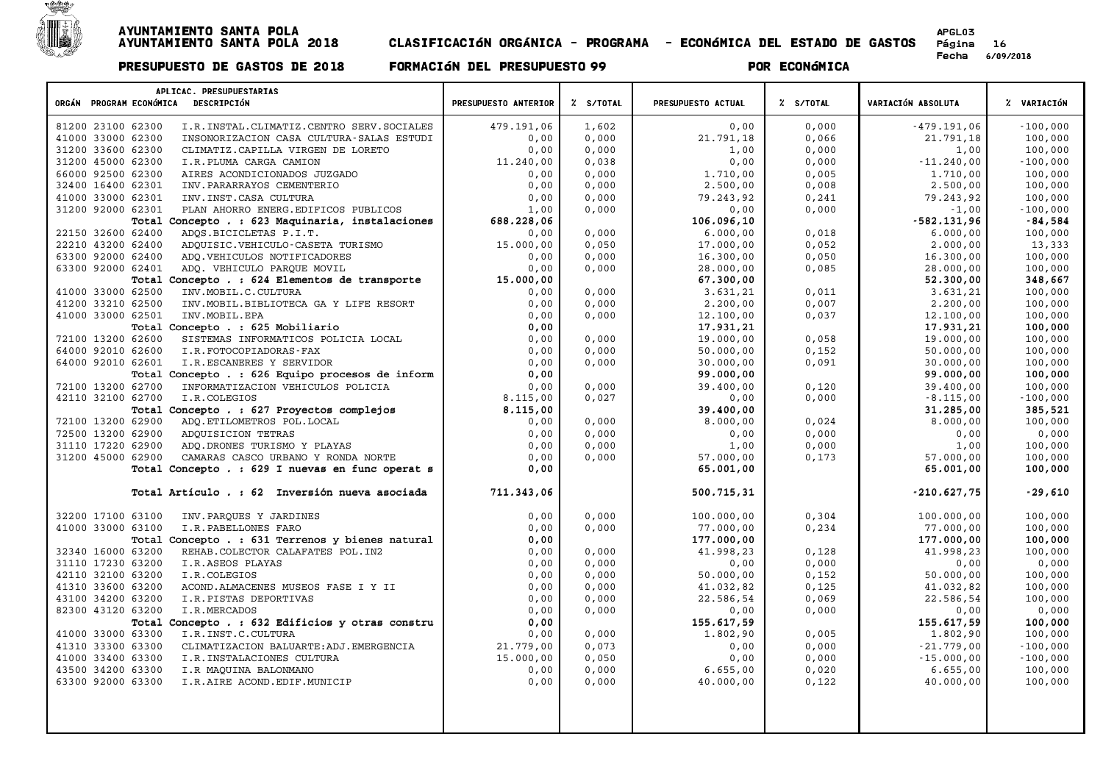

| APLICAC. PRESUPUESTARIAS                                                                  |                      |                |                       |                |                          |                       |
|-------------------------------------------------------------------------------------------|----------------------|----------------|-----------------------|----------------|--------------------------|-----------------------|
| ORGÁN PROGRAM ECONÓMICA DESCRIPCIÓN                                                       | PRESUPUESTO ANTERIOR | Z S/TOTAL      | PRESUPUESTO ACTUAL    | Z S/TOTAL      | VARIACIÓN ABSOLUTA       | % VARIACIÓN           |
| 81200 23100 62300<br>I.R. INSTAL. CLIMATIZ. CENTRO SERV. SOCIALES                         | 479.191,06           | 1,602          | 0,00                  | 0.000          | $-479.191.06$            | $-100,000$            |
| 41000 33000 62300<br>INSONORIZACION CASA CULTURA-SALAS ESTUDI                             | 0,00                 | 0,000          | 21.791,18             | 0,066          | 21.791,18                | 100,000               |
| 31200 33600 62300<br>CLIMATIZ. CAPILLA VIRGEN DE LORETO                                   | 0,00                 | 0,000          | 1,00                  | 0,000          | 1,00                     | 100,000               |
| 31200 45000 62300<br>I.R.PLUMA CARGA CAMION                                               | 11.240,00            | 0,038          | 0,00                  | 0,000          | $-11.240,00$             | $-100,000$            |
| 66000 92500 62300<br>AIRES ACONDICIONADOS JUZGADO                                         | 0,00                 | 0,000          | 1,710,00              | 0,005          | 1,710,00                 | 100,000               |
| 32400 16400 62301<br>INV. PARARRAYOS CEMENTERIO                                           | 0,00                 | 0,000          | 2.500,00              | 0,008          | 2.500,00                 | 100,000               |
| 41000 33000 62301<br>INV. INST. CASA CULTURA                                              | 0,00                 | 0,000          | 79.243,92             | 0,241          | 79.243,92                | 100,000               |
| 31200 92000 62301<br>PLAN AHORRO ENERG. EDIFICOS PUBLICOS                                 | 1,00                 | 0,000          | 0,00                  | 0,000          | $-1,00$                  | $-100,000$            |
| Total Concepto . : 623 Maquinaria, instalaciones<br>22150 32600 62400                     | 688.228,06<br>0,00   | 0,000          | 106.096,10            | 0,018          | $-582.131,96$            | $-84,584$             |
| ADQS.BICICLETAS P.I.T.<br>22210 43200 62400<br>ADQUISIC.VEHICULO-CASETA TURISMO           | 15.000,00            | 0,050          | 6.000,00<br>17.000,00 | 0,052          | 6.000,00<br>2.000,00     | 100,000<br>13,333     |
| 63300 92000 62400<br>ADQ.VEHICULOS NOTIFICADORES                                          | 0,00                 | 0,000          | 16.300,00             | 0,050          | 16.300,00                | 100,000               |
| 63300 92000 62401<br>ADO. VEHICULO PAROUE MOVIL                                           | 0.00                 | 0,000          | 28.000,00             | 0,085          | 28.000,00                | 100,000               |
| Total Concepto . : 624 Elementos de transporte                                            | 15.000,00            |                | 67.300,00             |                | 52.300,00                | 348,667               |
| 41000 33000 62500<br>INV. MOBIL.C. CULTURA                                                | 0,00                 | 0,000          | 3.631,21              | 0,011          | 3.631,21                 | 100,000               |
| 41200 33210 62500<br>INV. MOBIL. BIBLIOTECA GA Y LIFE RESORT                              | 0,00                 | 0,000          | 2.200,00              | 0,007          | 2.200,00                 | 100,000               |
| 41000 33000 62501<br>INV. MOBIL. EPA                                                      | 0.00                 | 0,000          | 12,100,00             | 0,037          | 12,100,00                | 100,000               |
| Total Concepto . : 625 Mobiliario                                                         | 0,00                 |                | 17.931,21             |                | 17.931,21                | 100,000               |
| 72100 13200 62600<br>SISTEMAS INFORMATICOS POLICIA LOCAL                                  | 0,00                 | 0,000          | 19.000,00             | 0,058          | 19.000,00                | 100,000               |
| 64000 92010 62600<br>I.R.FOTOCOPIADORAS-FAX                                               | 0,00                 | 0,000          | 50.000,00             | 0,152          | 50.000,00                | 100,000               |
| 64000 92010 62601<br>I.R.ESCANERES Y SERVIDOR                                             | 0,00                 | 0,000          | 30.000,00             | 0,091          | 30.000,00                | 100,000               |
| Total Concepto . : 626 Equipo procesos de inform                                          | 0,00                 |                | 99.000,00             |                | 99.000,00                | 100,000               |
| 72100 13200 62700<br>INFORMATIZACION VEHICULOS POLICIA                                    | 0,00                 | 0,000          | 39.400,00             | 0,120          | 39.400,00                | 100,000               |
| 42110 32100 62700<br>I.R.COLEGIOS                                                         | 8.115,00             | 0,027          | 0,00                  | 0,000          | $-8.115,00$              | $-100,000$            |
| Total Concepto . : 627 Proyectos complejos                                                | 8.115,00             |                | 39.400,00             |                | 31.285,00                | 385,521               |
| 72100 13200 62900<br>ADQ.ETILOMETROS POL.LOCAL                                            | 0,00                 | 0,000          | 8.000,00              | 0,024          | 8.000,00                 | 100,000               |
| 72500 13200 62900<br>ADOUISICION TETRAS                                                   | 0,00                 | 0,000          | 0,00                  | 0,000          | 0,00                     | 0,000                 |
| 31110 17220 62900<br>ADQ.DRONES TURISMO Y PLAYAS                                          | 0,00                 | 0,000          | 1,00                  | 0,000          | 1,00                     | 100,000               |
| 31200 45000 62900<br>CAMARAS CASCO URBANO Y RONDA NORTE                                   | 0,00                 | 0,000          | 57.000,00             | 0,173          | 57.000,00                | 100,000               |
| Total Concepto . : 629 I nuevas en func operat s                                          | 0,00                 |                | 65.001,00             |                | 65.001,00                | 100,000               |
| Total Artículo . : 62 Inversión nueva asociada                                            | 711.343,06           |                | 500.715,31            |                | $-210.627,75$            | $-29,610$             |
| 32200 17100 63100<br>INV. PARQUES Y JARDINES                                              | 0,00                 | 0,000          | 100.000,00            | 0,304          | 100.000,00               | 100,000               |
| 41000 33000 63100<br>I.R.PABELLONES FARO                                                  | 0,00                 | 0,000          | 77.000,00             | 0, 234         | 77.000,00                | 100,000               |
| Total Concepto . : 631 Terrenos y bienes natural                                          | 0.00                 |                | 177.000,00            |                | 177.000,00               | 100,000               |
| 32340 16000 63200<br>REHAB. COLECTOR CALAFATES POL. IN2                                   | 0.00                 | 0.000          | 41.998,23             | 0,128          | 41.998,23                | 100,000               |
| 31110 17230 63200<br>I.R.ASEOS PLAYAS                                                     | 0,00                 | 0,000          | 0,00                  | 0,000          | 0,00                     | 0,000                 |
| 42110 32100 63200<br>I.R.COLEGIOS                                                         | 0.00                 | 0,000          | 50.000,00             | 0,152          | 50.000,00                | 100,000               |
| 41310 33600 63200<br>ACOND.ALMACENES MUSEOS FASE I Y II                                   | 0,00                 | 0,000          | 41.032,82             | 0,125          | 41.032,82                | 100,000               |
| 43100 34200 63200<br>I.R.PISTAS DEPORTIVAS                                                | 0,00                 | 0,000          | 22.586,54             | 0,069          | 22.586,54                | 100,000               |
| 82300 43120 63200<br>I.R.MERCADOS                                                         | 0,00                 | 0,000          | 0,00                  | 0,000          | 0,00                     | 0,000                 |
| Total Concepto . : 632 Edificios y otras constru                                          | 0,00                 |                | 155.617,59            |                | 155.617,59               | 100,000               |
| 41000 33000 63300<br>I.R. INST.C. CULTURA<br>41310 33300 63300                            | 0,00<br>21.779.00    | 0,000<br>0.073 | 1.802,90<br>0,00      | 0,005<br>0.000 | 1.802,90<br>$-21.779.00$ | 100,000<br>$-100,000$ |
| CLIMATIZACION BALUARTE: ADJ. EMERGENCIA<br>41000 33400 63300<br>I.R.INSTALACIONES CULTURA | 15.000,00            | 0,050          | 0,00                  | 0,000          | $-15.000,00$             | $-100,000$            |
| 43500 34200 63300<br>I.R MAQUINA BALONMANO                                                | 0,00                 | 0,000          | 6.655,00              | 0,020          | 6.655,00                 | 100,000               |
| 63300 92000 63300<br>I.R.AIRE ACOND.EDIF.MUNICIP                                          | 0,00                 | 0,000          | 40.000,00             | 0,122          | 40.000,00                | 100,000               |
|                                                                                           |                      |                |                       |                |                          |                       |
|                                                                                           |                      |                |                       |                |                          |                       |
|                                                                                           |                      |                |                       |                |                          |                       |
|                                                                                           |                      |                |                       |                |                          |                       |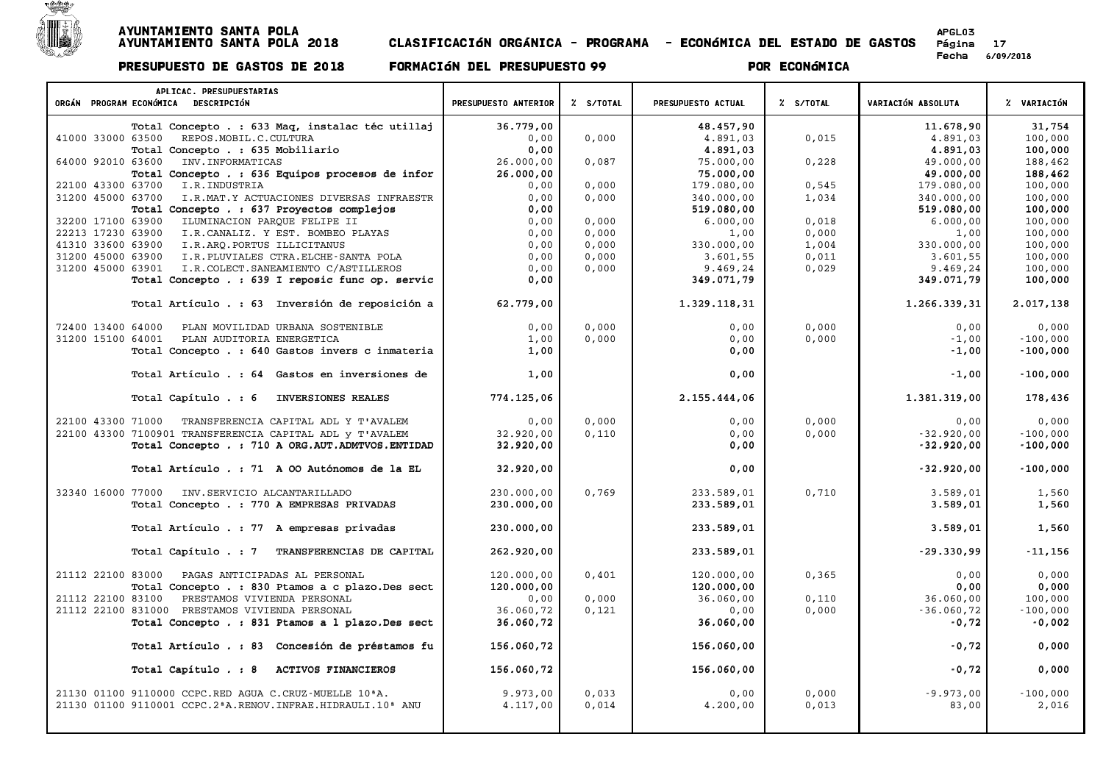

| APLICAC. PRESUPUESTARIAS                                                                                      |                      |                |                        |                |                        |                    |
|---------------------------------------------------------------------------------------------------------------|----------------------|----------------|------------------------|----------------|------------------------|--------------------|
| ORGÁN PROGRAM ECONÓMICA DESCRIPCIÓN                                                                           | PRESUPUESTO ANTERIOR | % S/TOTAL      | PRESUPUESTO ACTUAL     | Z S/TOTAL      | VARIACIÓN ABSOLUTA     | % VARIACIÓN        |
| Total Concepto . : 633 Maq, instalac téc utillaj                                                              | 36.779,00            |                | 48.457,90              |                | 11.678,90              | 31,754             |
| 41000 33000 63500<br>REPOS.MOBIL.C.CULTURA                                                                    | 0,00                 | 0,000          | 4.891,03               | 0,015          | 4.891,03               | 100,000            |
| Total Concepto . : 635 Mobiliario                                                                             | 0,00                 |                | 4.891,03               |                | 4.891,03               | 100,000            |
| 64000 92010 63600<br>INV. INFORMATICAS                                                                        | 26.000,00            | 0,087          | 75.000,00              | 0,228          | 49.000,00              | 188,462            |
| Total Concepto . : 636 Equipos procesos de infor                                                              | 26.000,00            |                | 75.000,00              |                | 49.000,00              | 188,462            |
| 22100 43300 63700<br>I.R. INDUSTRIA                                                                           | 0,00                 | 0,000          | 179.080,00             | 0,545          | 179.080,00             | 100,000            |
| 31200 45000 63700<br>I.R.MAT.Y ACTUACIONES DIVERSAS INFRAESTR                                                 | 0.00                 | 0.000          | 340.000,00             | 1,034          | 340.000,00             | 100,000            |
| Total Concepto . : 637 Proyectos complejos                                                                    | 0.00                 |                | 519.080,00             |                | 519.080,00             | 100,000            |
| 32200 17100 63900<br>ILUMINACION PARQUE FELIPE II                                                             | 0,00                 | 0,000          | 6.000,00               | 0,018          | 6.000,00               | 100,000            |
| I.R.CANALIZ. Y EST. BOMBEO PLAYAS<br>22213 17230 63900                                                        | 0,00                 | 0,000          | 1,00                   | 0,000          | 1,00                   | 100,000            |
| 41310 33600 63900<br>I.R.ARO.PORTUS ILLICITANUS<br>31200 45000 63900<br>I.R. PLUVIALES CTRA. ELCHE-SANTA POLA | 0,00<br>0,00         | 0,000<br>0,000 | 330.000,00<br>3.601,55 | 1,004<br>0,011 | 330.000,00<br>3.601,55 | 100,000<br>100,000 |
| I.R. COLECT. SANEAMIENTO C/ASTILLEROS<br>31200 45000 63901                                                    | 0,00                 | 0,000          | 9.469,24               | 0,029          | 9.469,24               | 100,000            |
| Total Concepto . : 639 I reposic func op. servic                                                              | 0,00                 |                | 349.071,79             |                | 349.071,79             | 100,000            |
|                                                                                                               |                      |                |                        |                |                        |                    |
| Total Artículo . : 63 Inversión de reposición a                                                               | 62.779,00            |                | 1.329.118,31           |                | 1.266.339,31           | 2.017,138          |
| 72400 13400 64000<br>PLAN MOVILIDAD URBANA SOSTENIBLE                                                         | 0,00                 | 0,000          | 0,00                   | 0,000          | 0.00                   | 0,000              |
| 31200 15100 64001<br>PLAN AUDITORIA ENERGETICA                                                                | 1,00                 | 0,000          | 0,00                   | 0,000          | $-1.00$                | $-100,000$         |
| Total Concepto . : 640 Gastos invers c inmateria                                                              | 1,00                 |                | 0,00                   |                | $-1,00$                | $-100,000$         |
|                                                                                                               |                      |                |                        |                |                        |                    |
| Total Artículo . : 64 Gastos en inversiones de                                                                | 1,00                 |                | 0,00                   |                | $-1,00$                | $-100,000$         |
| Total Capítulo . : 6<br>INVERSIONES REALES                                                                    | 774.125,06           |                | 2.155.444,06           |                | 1.381.319,00           | 178,436            |
| 22100 43300 71000<br>TRANSFERENCIA CAPITAL ADL Y T'AVALEM                                                     | 0.00                 | 0.000          | 0.00                   | 0.000          | 0.00                   | 0.000              |
| 22100 43300 7100901 TRANSFERENCIA CAPITAL ADL y T'AVALEM                                                      | 32.920,00            | 0,110          | 0,00                   | 0,000          | $-32.920,00$           | $-100,000$         |
| Total Concepto . : 710 A ORG.AUT.ADMTVOS.ENTIDAD                                                              | 32.920,00            |                | 0,00                   |                | $-32.920.00$           | $-100,000$         |
|                                                                                                               |                      |                |                        |                |                        |                    |
| Total Artículo . : 71 A 00 Autónomos de la EL                                                                 | 32.920,00            |                | 0,00                   |                | $-32.920,00$           | $-100,000$         |
| 32340 16000 77000<br>INV. SERVICIO ALCANTARILLADO                                                             | 230.000,00           | 0,769          | 233.589,01             | 0,710          | 3.589,01               | 1,560              |
| Total Concepto . : 770 A EMPRESAS PRIVADAS                                                                    | 230.000,00           |                | 233.589,01             |                | 3.589,01               | 1,560              |
| Total Artículo . : 77 A empresas privadas                                                                     | 230.000,00           |                | 233.589.01             |                | 3.589,01               | 1,560              |
| Total Capítulo . : 7<br>TRANSFERENCIAS DE CAPITAL                                                             | 262.920,00           |                | 233.589,01             |                | $-29.330.99$           | $-11,156$          |
| 21112 22100 83000<br>PAGAS ANTICIPADAS AL PERSONAL                                                            | 120.000,00           | 0,401          | 120.000,00             | 0, 365         | 0.00                   | 0,000              |
| Total Concepto . : 830 Ptamos a c plazo. Des sect                                                             | 120.000,00           |                | 120.000,00             |                | 0,00                   | 0,000              |
| 21112 22100 83100<br>PRESTAMOS VIVIENDA PERSONAL                                                              | 0,00                 | 0,000          | 36.060,00              | 0,110          | 36.060,00              | 100,000            |
| 21112 22100 831000 PRESTAMOS VIVIENDA PERSONAL                                                                | 36.060,72            | 0,121          | 0,00                   | 0,000          | $-36.060, 72$          | $-100,000$         |
| Total Concepto . : 831 Ptamos a 1 plazo. Des sect                                                             | 36.060,72            |                | 36.060,00              |                | $-0,72$                | $-0,002$           |
|                                                                                                               |                      |                |                        |                |                        |                    |
| Total Artículo . : 83 Concesión de préstamos fu                                                               | 156.060,72           |                | 156.060,00             |                | $-0,72$                | 0,000              |
| Total Capítulo . : 8<br>ACTIVOS FINANCIEROS                                                                   | 156.060,72           |                | 156.060,00             |                | $-0,72$                | 0,000              |
| 21130 01100 9110000 CCPC.RED AGUA C.CRUZ-MUELLE 10 <sup>ª</sup> A.                                            | 9.973,00             | 0,033          | 0,00                   | 0,000          | $-9.973,00$            | $-100,000$         |
| 21130 01100 9110001 CCPC.2ªA.RENOV.INFRAE.HIDRAULI.10ª ANU                                                    | 4.117,00             | 0,014          | 4,200,00               | 0,013          | 83,00                  | 2,016              |
|                                                                                                               |                      |                |                        |                |                        |                    |
|                                                                                                               |                      |                |                        |                |                        |                    |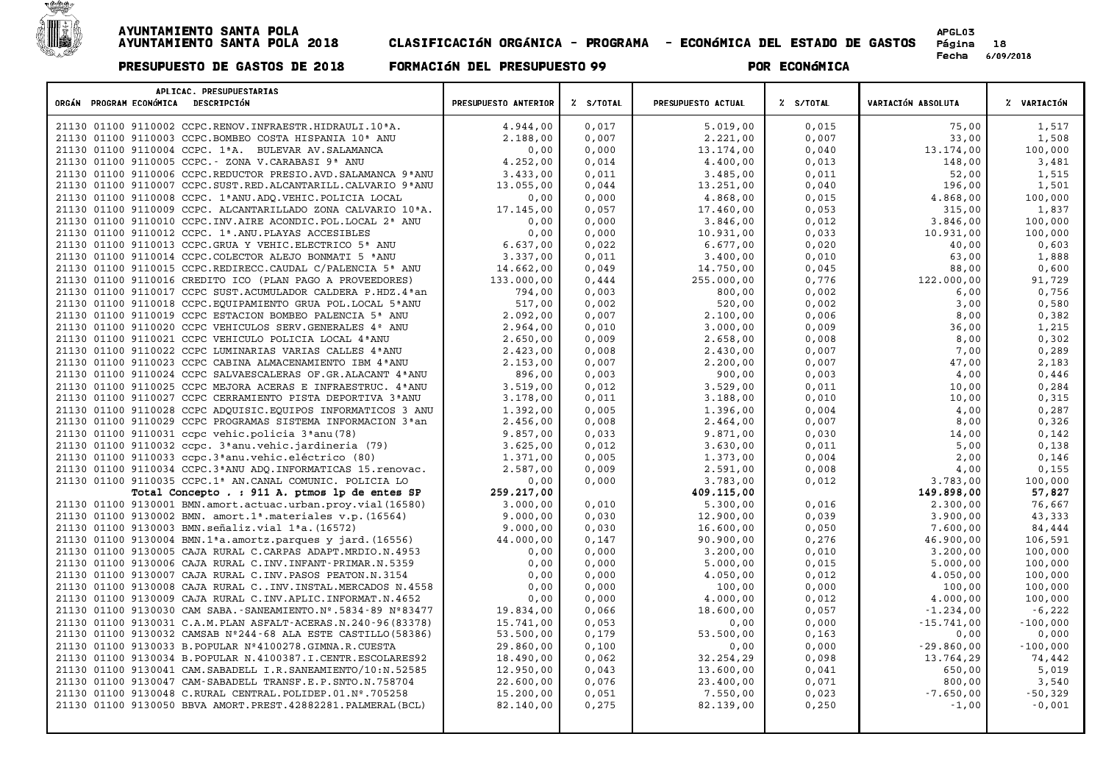

| APLICAC. PRESUPUESTARIAS<br>ORGÁN PROGRAM ECONÓMICA DESCRIPCIÓN                                                              | PRESUPUESTO ANTERIOR   | % S/TOTAL      | PRESUPUESTO ACTUAL     | % S/TOTAL      | <b>VARIACIÓN ABSOLUTA</b> | % VARIACIÓN          |
|------------------------------------------------------------------------------------------------------------------------------|------------------------|----------------|------------------------|----------------|---------------------------|----------------------|
| 21130 01100 9110002 CCPC.RENOV.INFRAESTR.HIDRAULI.10 <sup>ª</sup> A.                                                         | 4.944,00               | 0,017          | 5.019,00               | 0,015          | 75,00                     | 1,517                |
| 21130 01100 9110003 CCPC.BOMBEO COSTA HISPANIA 10 <sup>ª</sup> ANU                                                           | 2.188,00               | 0,007          | 2.221,00               | 0,007          | 33,00                     | 1,508                |
| 21130 01100 9110004 CCPC. 1ªA. BULEVAR AV. SALAMANCA                                                                         | 0,00                   | 0,000          | 13.174,00              | 0,040          | 13.174,00                 | 100,000              |
| 21130 01100 9110005 CCPC. - ZONA V.CARABASI 9ª ANU                                                                           | 4.252,00               | 0,014          | 4.400,00               | 0,013          | 148,00                    | 3,481                |
| 21130 01100 9110006 CCPC.REDUCTOR PRESIO.AVD.SALAMANCA 9ªANU                                                                 | 3.433,00               | 0,011          | 3.485,00               | 0,011          | 52,00                     | 1,515                |
| 21130 01100 9110007 CCPC.SUST.RED.ALCANTARILL.CALVARIO 9ª ANU                                                                | 13.055,00              | 0,044          | 13.251,00              | 0,040          | 196,00                    | 1,501                |
| 21130 01100 9110008 CCPC. 1ªANU.ADO.VEHIC.POLICIA LOCAL                                                                      | 0,00                   | 0,000          | 4.868,00               | 0,015          | 4.868,00                  | 100,000              |
| 21130 01100 9110009 CCPC. ALCANTARILLADO ZONA CALVARIO 10ªA.                                                                 | 17.145,00              | 0,057          | 17.460,00              | 0,053          | 315,00                    | 1,837                |
| 21130 01100 9110010 CCPC. INV. AIRE ACONDIC. POL. LOCAL 2ª ANU                                                               | 0,00                   | 0,000          | 3.846,00               | 0,012          | 3.846,00                  | 100,000              |
| 21130 01100 9110012 CCPC. 1ª.ANU. PLAYAS ACCESIBLES                                                                          | 0,00                   | 0,000          | 10.931,00              | 0,033          | 10.931,00                 | 100,000              |
| 21130 01100 9110013 CCPC.GRUA Y VEHIC.ELECTRICO 5ª ANU                                                                       | 6.637.00               | 0,022          | 6.677,00               | 0,020          | 40,00                     | 0,603                |
| 21130 01100 9110014 CCPC. COLECTOR ALEJO BONMATI 5 <sup>ª</sup> ANU                                                          | 3.337,00               | 0,011          | 3.400,00               | 0,010          | 63,00                     | 1,888                |
| 21130 01100 9110015 CCPC.REDIRECC.CAUDAL C/PALENCIA 5ª ANU                                                                   | 14.662,00              | 0,049          | 14.750,00              | 0,045          | 88,00                     | 0,600                |
| 21130 01100 9110016 CREDITO ICO (PLAN PAGO A PROVEEDORES)                                                                    | 133.000,00             | 0,444          | 255.000,00             | 0,776          | 122,000,00                | 91,729               |
| 21130 01100 9110017 CCPC SUST. ACUMULADOR CALDERA P.HDZ.4ªan                                                                 | 794,00                 | 0,003          | 800,00                 | 0,002          | 6,00                      | 0,756                |
| 21130 01100 9110018 CCPC. EQUIPAMIENTO GRUA POL. LOCAL 5ª ANU                                                                | 517,00                 | 0,002          | 520,00                 | 0,002          | 3,00                      | 0,580                |
| 21130 01100 9110019 CCPC ESTACION BOMBEO PALENCIA 5 <sup>ª</sup> ANU                                                         | 2.092.00               | 0,007          | 2.100,00               | 0,006          | 8.00                      | 0,382                |
| 21130 01100 9110020 CCPC VEHICULOS SERV.GENERALES 4º ANU                                                                     | 2.964,00               | 0,010          | 3.000,00               | 0,009          | 36,00                     | 1,215                |
| 21130 01100 9110021 CCPC VEHICULO POLICIA LOCAL 4ª ANU                                                                       | 2.650,00               | 0,009          | 2.658,00               | 0,008          | 8,00                      | 0,302                |
| 21130 01100 9110022 CCPC LUMINARIAS VARIAS CALLES 4ª ANU                                                                     | 2.423,00               | 0,008          | 2.430,00               | 0,007          | 7,00                      | 0,289                |
| 21130 01100 9110023 CCPC CABINA ALMACENAMIENTO IBM 4 ª ANU                                                                   | 2.153,00               | 0,007          | 2.200,00               | 0,007          | 47,00                     | 2,183                |
| 21130 01100 9110024 CCPC SALVAESCALERAS OF. GR. ALACANT 4 ANU                                                                | 896,00                 | 0,003          | 900,00                 | 0,003          | 4,00                      | 0,446                |
| 21130 01100 9110025 CCPC MEJORA ACERAS E INFRAESTRUC. 4ªANU                                                                  | 3.519,00               | 0,012          | 3.529,00               | 0,011          | 10,00                     | 0,284                |
| 21130 01100 9110027 CCPC CERRAMIENTO PISTA DEPORTIVA 3ªANU                                                                   | 3.178,00               | 0,011          | 3.188,00               | 0,010          | 10,00                     | 0,315                |
| 21130 01100 9110028 CCPC ADOUISIC. EOUIPOS INFORMATICOS 3 ANU                                                                | 1,392,00               | 0,005          | 1.396,00               | 0,004          | 4,00                      | 0,287                |
| 21130 01100 9110029 CCPC PROGRAMAS SISTEMA INFORMACION 3 <sup>ª</sup> an                                                     | 2.456,00               | 0,008          | 2.464,00               | 0,007          | 8,00                      | 0,326                |
| 21130 01100 9110031 ccpc vehic.policia 3ªanu (78)                                                                            | 9.857,00               | 0,033          | 9.871,00               | 0,030          | 14,00                     | 0,142                |
| 21130 01100 9110032 ccpc. 3ªanu.vehic.jardineria (79)                                                                        | 3.625,00               | 0,012          | 3.630,00               | 0,011          | 5,00                      | 0,138                |
| 21130 01100 9110033 ccpc.3 <sup>ª</sup> anu.vehic.eléctrico (80)                                                             | 1.371,00               | 0,005          | 1.373,00               | 0,004          | 2,00                      | 0,146                |
| 21130 01100 9110034 CCPC.3 <sup>ª</sup> ANU ADQ.INFORMATICAS 15.renovac.                                                     | 2.587,00               | 0,009          | 2.591,00               | 0,008          | 4,00                      | 0,155                |
| 21130 01100 9110035 CCPC.1ª AN.CANAL COMUNIC. POLICIA LO                                                                     | 0,00                   | 0,000          | 3.783,00               | 0,012          | 3.783,00                  | 100,000              |
| Total Concepto . : 911 A. ptmos lp de entes SP                                                                               | 259.217,00             |                | 409.115,00             |                | 149.898,00                | 57,827               |
| 21130 01100 9130001 BMN.amort.actuac.urban.proy.vial(16580)                                                                  | 3.000,00               | 0,010          | 5.300,00               | 0,016          | 2.300,00                  | 76,667               |
| 21130 01100 9130002 BMN. amort.1 <sup>ª</sup> .materiales v.p. (16564)                                                       | 9.000,00               | 0,030          | 12.900,00              | 0,039          | 3.900,00                  | 43,333               |
| 21130 01100 9130003 BMN.señaliz.vial 1ªa. (16572)                                                                            | 9.000,00               | 0,030          | 16.600,00              | 0,050          | 7.600,00                  | 84,444               |
| 21130 01100 9130004 BMN.1 <sup>ª</sup> a.amortz.parques y jard. (16556)                                                      | 44.000,00              | 0,147          | 90.900,00              | 0,276          | 46.900,00                 | 106,591              |
| 21130 01100 9130005 CAJA RURAL C.CARPAS ADAPT.MRDIO.N.4953                                                                   | 0,00                   | 0,000          | 3.200,00               | 0,010          | 3.200,00                  | 100,000              |
| 21130 01100 9130006 CAJA RURAL C.INV.INFANT-PRIMAR.N.5359                                                                    | 0,00                   | 0,000          | 5.000,00               | 0,015          | 5.000,00                  | 100,000              |
| 21130 01100 9130007 CAJA RURAL C.INV. PASOS PEATON.N.3154                                                                    | 0,00                   | 0,000          | 4.050,00               | 0,012          | 4.050,00                  | 100,000              |
| 21130 01100 9130008 CAJA RURAL C INV. INSTAL. MERCADOS N. 4558                                                               | 0,00                   | 0,000          | 100,00                 | 0,000          | 100,00                    | 100,000              |
| 21130 01100 9130009 CAJA RURAL C.INV.APLIC.INFORMAT.N.4652                                                                   | 0,00<br>19.834,00      | 0,000<br>0,066 | 4.000,00<br>18.600,00  | 0,012<br>0,057 | 4.000,00                  | 100,000              |
| 21130 01100 9130030 CAM SABA.-SANEAMIENTO.Nº.5834-89 Nº83477                                                                 |                        |                |                        |                | $-1.234,00$               | $-6,222$             |
| 21130 01100 9130031 C.A.M. PLAN ASFALT-ACERAS.N.240-96 (83378)                                                               | 15.741,00<br>53.500,00 | 0,053<br>0,179 | 0,00                   | 0,000          | $-15.741,00$              | $-100,000$           |
| 21130 01100 9130032 CAMSAB Nº244-68 ALA ESTE CASTILLO (58386)                                                                | 29.860,00              |                | 53.500,00              | 0,163          | 0,00                      | 0,000                |
| 21130 01100 9130033 B. POPULAR Nº4100278. GIMNA.R. CUESTA<br>21130 01100 9130034 B. POPULAR N. 4100387.I. CENTR. ESCOLARES92 | 18.490,00              | 0,100<br>0,062 | 0,00<br>32.254,29      | 0,000<br>0,098 | $-29.860,00$<br>13.764,29 | $-100,000$<br>74,442 |
|                                                                                                                              | 12.950,00              |                |                        |                |                           | 5,019                |
| 21130 01100 9130041 CAM. SABADELL I.R. SANEAMIENTO/10:N.52585<br>21130 01100 9130047 CAM-SABADELL TRANSF.E.P.SNTO.N.758704   | 22.600,00              | 0,043<br>0,076 | 13.600,00<br>23.400,00 | 0,041<br>0,071 | 650,00<br>800,00          | 3,540                |
| 21130 01100 9130048 C.RURAL CENTRAL. POLIDEP.01.Nº.705258                                                                    | 15.200,00              | 0,051          | 7.550,00               | 0,023          | $-7.650,00$               | $-50,329$            |
| 21130 01100 9130050 BBVA AMORT. PREST. 42882281. PALMERAL (BCL)                                                              | 82.140,00              | 0,275          | 82.139,00              | 0,250          | $-1,00$                   | $-0,001$             |
|                                                                                                                              |                        |                |                        |                |                           |                      |
|                                                                                                                              |                        |                |                        |                |                           |                      |
|                                                                                                                              |                        |                |                        |                |                           |                      |